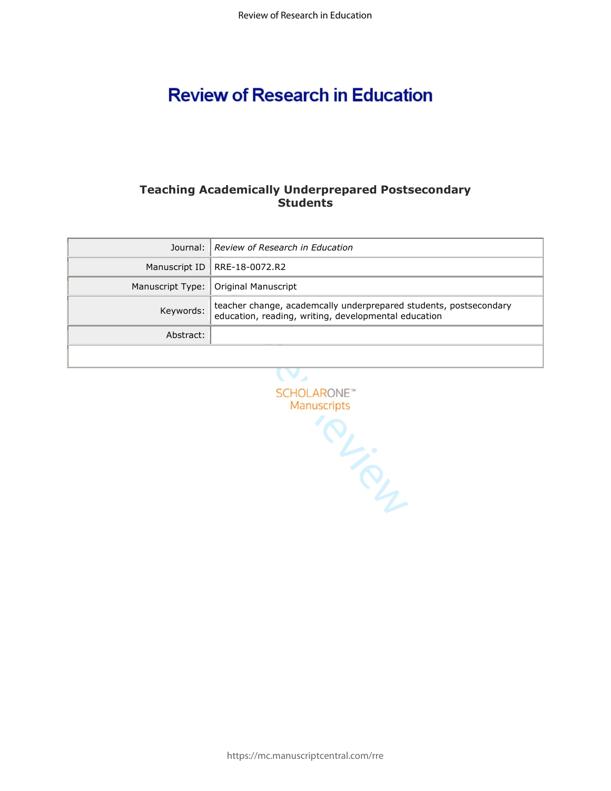# **Review of Research in Education**

# **Teaching Academically Underprepared Postsecondary Students**

|           | Journal:   Review of Research in Education                                                                                |
|-----------|---------------------------------------------------------------------------------------------------------------------------|
|           | Manuscript ID   RRE-18-0072.R2                                                                                            |
|           | Manuscript Type:   Original Manuscript                                                                                    |
| Keywords: | teacher change, academcally underprepared students, postsecondary<br>education, reading, writing, developmental education |
| Abstract: |                                                                                                                           |
|           |                                                                                                                           |

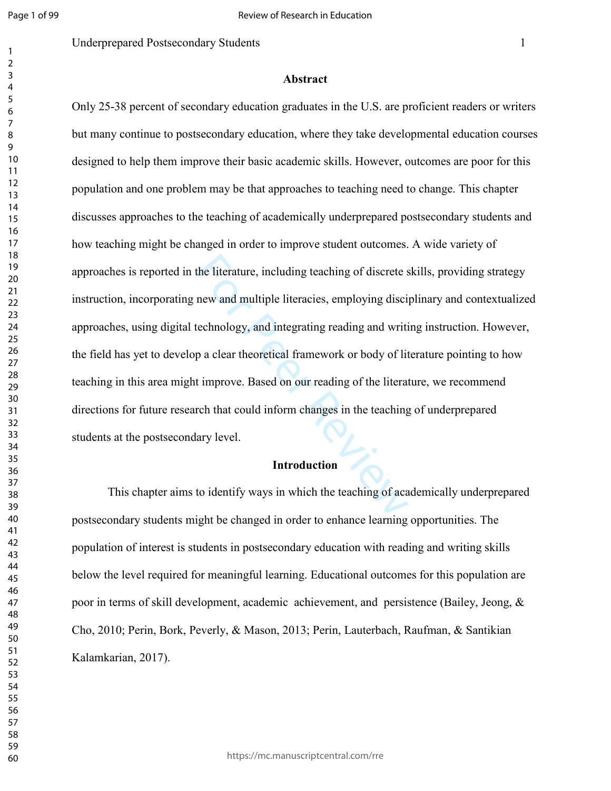### **Abstract**

the literature, including teaching of discrete s<br>new and multiple literacies, employing discipated<br>technology, and integrating reading and writing a clear theoretical framework or body of literat<br>in a clear theoretical fra Only 25-38 percent of secondary education graduates in the U.S. are proficient readers or writers but many continue to postsecondary education, where they take developmental education courses designed to help them improve their basic academic skills. However, outcomes are poor for this population and one problem may be that approaches to teaching need to change. This chapter discusses approaches to the teaching of academically underprepared postsecondary students and how teaching might be changed in order to improve student outcomes. A wide variety of approaches is reported in the literature, including teaching of discrete skills, providing strategy instruction, incorporating new and multiple literacies, employing disciplinary and contextualized approaches, using digital technology, and integrating reading and writing instruction. However, the field has yet to develop a clear theoretical framework or body of literature pointing to how teaching in this area might improve. Based on our reading of the literature, we recommend directions for future research that could inform changes in the teaching of underprepared students at the postsecondary level.

#### **Introduction**

This chapter aims to identify ways in which the teaching of academically underprepared postsecondary students might be changed in order to enhance learning opportunities. The population of interest is students in postsecondary education with reading and writing skills below the level required for meaningful learning. Educational outcomes for this population are poor in terms of skill development, academic achievement, and persistence (Bailey, Jeong, & Cho, 2010; Perin, Bork, Peverly, & Mason, 2013; Perin, Lauterbach, Raufman, & Santikian Kalamkarian, 2017).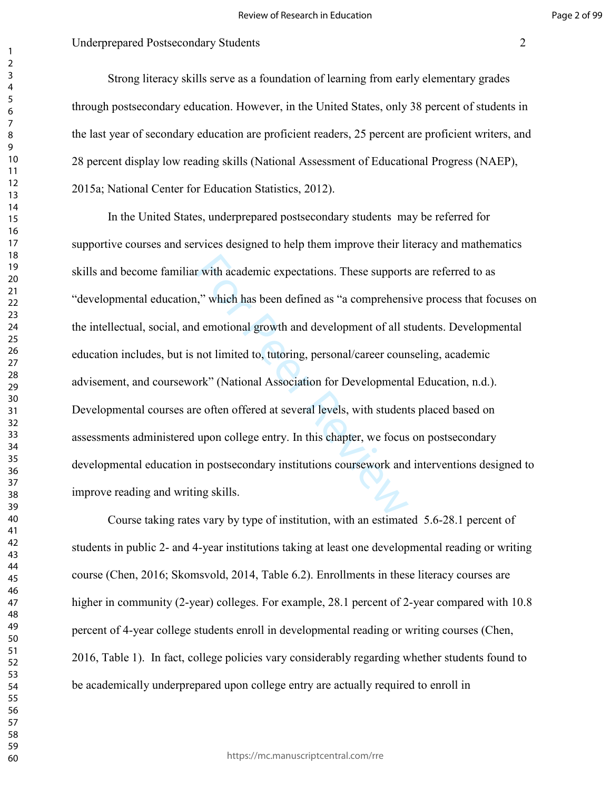Strong literacy skills serve as a foundation of learning from early elementary grades through postsecondary education. However, in the United States, only 38 percent of students in the last year of secondary education are proficient readers, 25 percent are proficient writers, and 28 percent display low reading skills (National Assessment of Educational Progress (NAEP), 2015a; National Center for Education Statistics, 2012).

r with academic expectations. These supports<br>," which has been defined as "a comprehens<br>d emotional growth and development of all st<br>not limited to, tutoring, personal/career coun<br>ork" (National Association for Development In the United States, underprepared postsecondary students may be referred for supportive courses and services designed to help them improve their literacy and mathematics skills and become familiar with academic expectations. These supports are referred to as "developmental education," which has been defined as "a comprehensive process that focuses on the intellectual, social, and emotional growth and development of all students. Developmental education includes, but is not limited to, tutoring, personal/career counseling, academic advisement, and coursework" (National Association for Developmental Education, n.d.). Developmental courses are often offered at several levels, with students placed based on assessments administered upon college entry. In this chapter, we focus on postsecondary developmental education in postsecondary institutions coursework and interventions designed to improve reading and writing skills.

Course taking rates vary by type of institution, with an estimated 5.6-28.1 percent of students in public 2- and 4-year institutions taking at least one developmental reading or writing course (Chen, 2016; Skomsvold, 2014, Table 6.2). Enrollments in these literacy courses are higher in community (2-year) colleges. For example, 28.1 percent of 2-year compared with 10.8 percent of 4-year college students enroll in developmental reading or writing courses (Chen, 2016, Table 1). In fact, college policies vary considerably regarding whether students found to be academically underprepared upon college entry are actually required to enroll in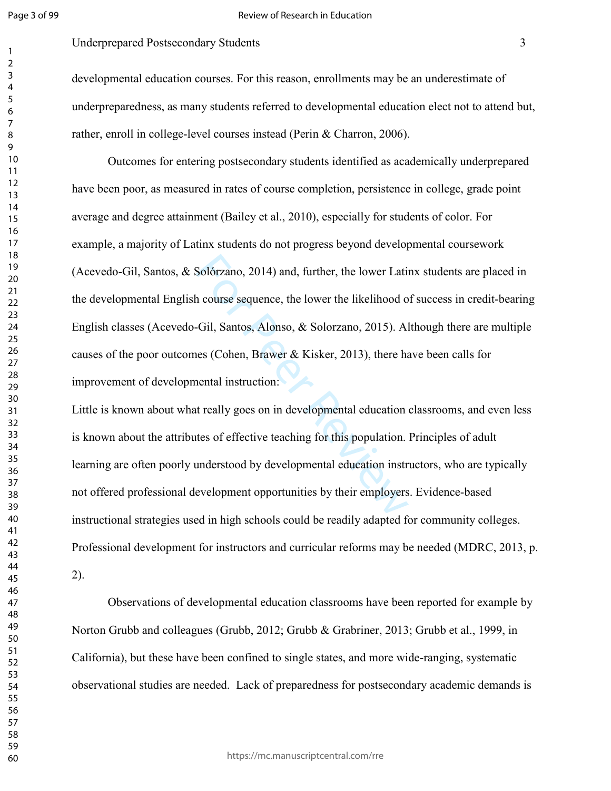#### Review of Research in Education

# Underprepared Postsecondary Students 3

developmental education courses. For this reason, enrollments may be an underestimate of underpreparedness, as many students referred to developmental education elect not to attend but, rather, enroll in college-level courses instead (Perin & Charron, 2006).

Solórzano, 2014) and, further, the lower Lation<br>1 course sequence, the lower the likelihood of<br>1 course sequence, the lower the likelihood of<br>1 colid Santos, Alonso, & Solorzano, 2015). Al<br>1 es (Cohen, Brawer & Kisker, 201 Outcomes for entering postsecondary students identified as academically underprepared have been poor, as measured in rates of course completion, persistence in college, grade point average and degree attainment (Bailey et al., 2010), especially for students of color. For example, a majority of Latinx students do not progress beyond developmental coursework (Acevedo-Gil, Santos, & Solórzano, 2014) and, further, the lower Latinx students are placed in the developmental English course sequence, the lower the likelihood of success in credit-bearing English classes (Acevedo-Gil, Santos, Alonso, & Solorzano, 2015). Although there are multiple causes of the poor outcomes (Cohen, Brawer & Kisker, 2013), there have been calls for improvement of developmental instruction:

Little is known about what really goes on in developmental education classrooms, and even less is known about the attributes of effective teaching for this population. Principles of adult learning are often poorly understood by developmental education instructors, who are typically not offered professional development opportunities by their employers. Evidence-based instructional strategies used in high schools could be readily adapted for community colleges. Professional development for instructors and curricular reforms may be needed (MDRC, 2013, p. 2).

Observations of developmental education classrooms have been reported for example by Norton Grubb and colleagues (Grubb, 2012; Grubb & Grabriner, 2013; Grubb et al., 1999, in California), but these have been confined to single states, and more wide-ranging, systematic observational studies are needed. Lack of preparedness for postsecondary academic demands is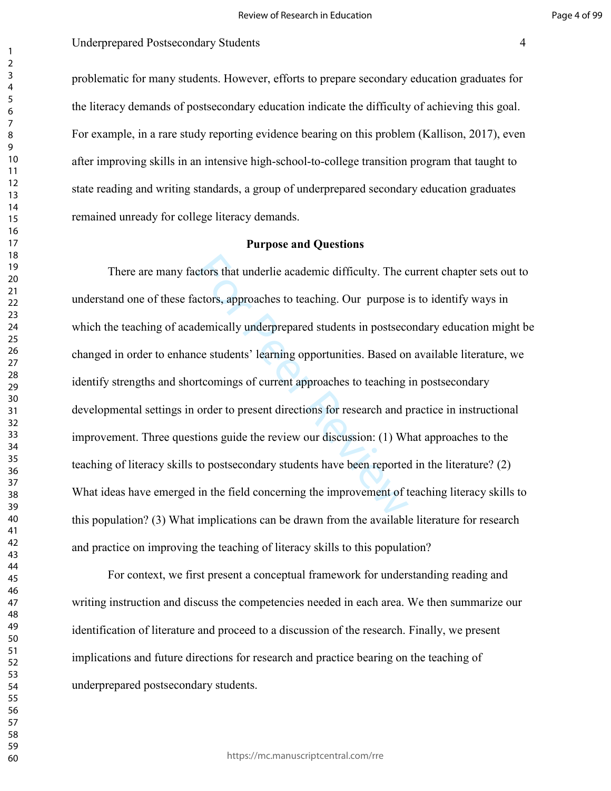problematic for many students. However, efforts to prepare secondary education graduates for the literacy demands of postsecondary education indicate the difficulty of achieving this goal. For example, in a rare study reporting evidence bearing on this problem (Kallison, 2017), even after improving skills in an intensive high-school-to-college transition program that taught to state reading and writing standards, a group of underprepared secondary education graduates remained unready for college literacy demands.

#### **Purpose and Questions**

ctors that underlie academic difficulty. The c<br>actors, approaches to teaching. Our purpose idemically underprepared students in postsecc<br>ce students' learning opportunities. Based or<br>rtcomings of current approaches to teac There are many factors that underlie academic difficulty. The current chapter sets out to understand one of these factors, approaches to teaching. Our purpose is to identify ways in which the teaching of academically underprepared students in postsecondary education might be changed in order to enhance students' learning opportunities. Based on available literature, we identify strengths and shortcomings of current approaches to teaching in postsecondary developmental settings in order to present directions for research and practice in instructional improvement. Three questions guide the review our discussion: (1) What approaches to the teaching of literacy skills to postsecondary students have been reported in the literature? (2) What ideas have emerged in the field concerning the improvement of teaching literacy skills to this population? (3) What implications can be drawn from the available literature for research and practice on improving the teaching of literacy skills to this population?

For context, we first present a conceptual framework for understanding reading and writing instruction and discuss the competencies needed in each area. We then summarize our identification of literature and proceed to a discussion of the research. Finally, we present implications and future directions for research and practice bearing on the teaching of underprepared postsecondary students.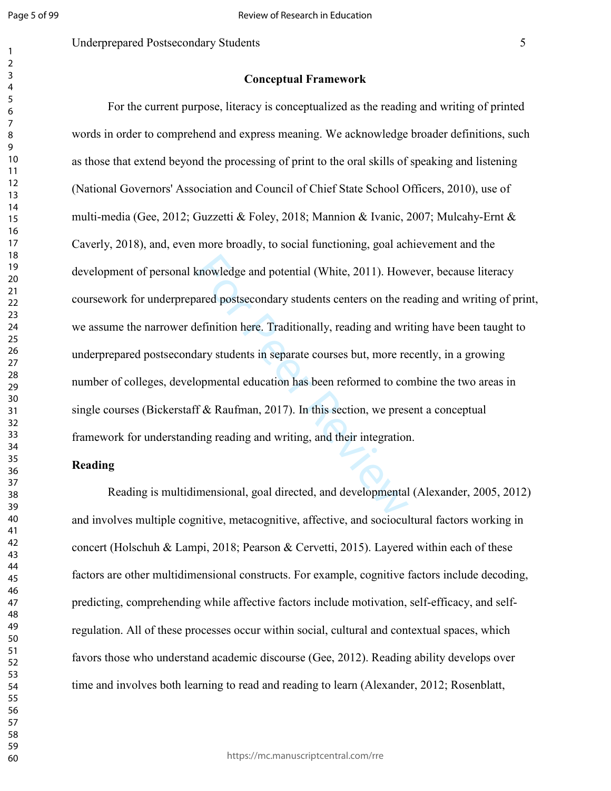## Underprepared Postsecondary Students 5

#### **Conceptual Framework**

knowledge and potential (White, 2011). How<br>ared postsecondary students centers on the re<br>lefinition here. Traditionally, reading and wri<br>lary students in separate courses but, more re<br>opmental education has been reformed t For the current purpose, literacy is conceptualized as the reading and writing of printed words in order to comprehend and express meaning. We acknowledge broader definitions, such as those that extend beyond the processing of print to the oral skills of speaking and listening (National Governors' Association and Council of Chief State School Officers, 2010), use of multi-media (Gee, 2012; Guzzetti & Foley, 2018; Mannion & Ivanic, 2007; Mulcahy-Ernt & Caverly, 2018), and, even more broadly, to social functioning, goal achievement and the development of personal knowledge and potential (White, 2011). However, because literacy coursework for underprepared postsecondary students centers on the reading and writing of print, we assume the narrower definition here. Traditionally, reading and writing have been taught to underprepared postsecondary students in separate courses but, more recently, in a growing number of colleges, developmental education has been reformed to combine the two areas in single courses (Bickerstaff & Raufman, 2017). In this section, we present a conceptual framework for understanding reading and writing, and their integration.

#### **Reading**

Reading is multidimensional, goal directed, and developmental (Alexander, 2005, 2012) and involves multiple cognitive, metacognitive, affective, and sociocultural factors working in concert (Holschuh & Lampi, 2018; Pearson & Cervetti, 2015). Layered within each of these factors are other multidimensional constructs. For example, cognitive factors include decoding, predicting, comprehending while affective factors include motivation, self-efficacy, and selfregulation. All of these processes occur within social, cultural and contextual spaces, which favors those who understand academic discourse (Gee, 2012). Reading ability develops over time and involves both learning to read and reading to learn (Alexander, 2012; Rosenblatt,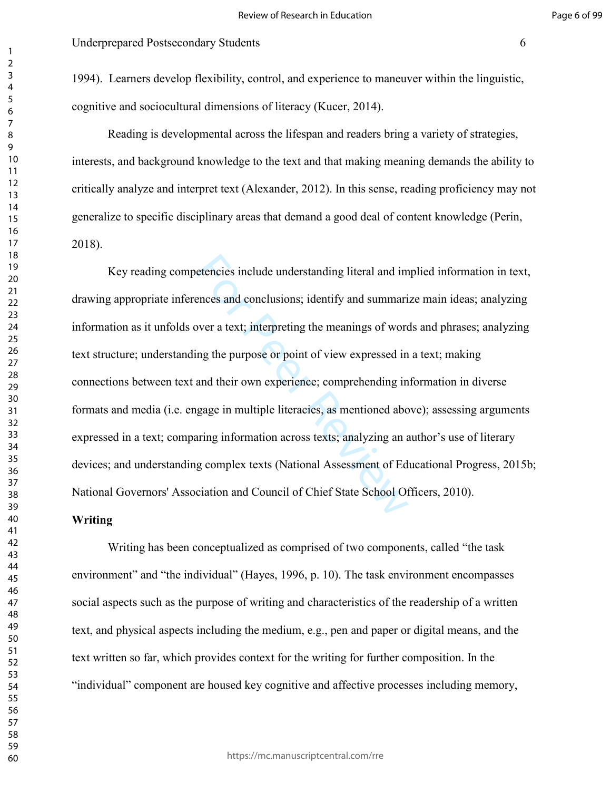1994). Learners develop flexibility, control, and experience to maneuver within the linguistic, cognitive and sociocultural dimensions of literacy (Kucer, 2014).

Reading is developmental across the lifespan and readers bring a variety of strategies, interests, and background knowledge to the text and that making meaning demands the ability to critically analyze and interpret text (Alexander, 2012). In this sense, reading proficiency may not generalize to specific disciplinary areas that demand a good deal of content knowledge (Perin, 2018).

etencies include understanding literal and im<br>ences and conclusions; identify and summari<br>over a text; interpreting the meanings of word<br>ng the purpose or point of view expressed in<br>and their own experience; comprehending Key reading competencies include understanding literal and implied information in text, drawing appropriate inferences and conclusions; identify and summarize main ideas; analyzing information as it unfolds over a text; interpreting the meanings of words and phrases; analyzing text structure; understanding the purpose or point of view expressed in a text; making connections between text and their own experience; comprehending information in diverse formats and media (i.e. engage in multiple literacies, as mentioned above); assessing arguments expressed in a text; comparing information across texts; analyzing an author's use of literary devices; and understanding complex texts (National Assessment of Educational Progress, 2015b; National Governors' Association and Council of Chief State School Officers, 2010).

## **Writing**

Writing has been conceptualized as comprised of two components, called "the task environment" and "the individual" (Hayes, 1996, p. 10). The task environment encompasses social aspects such as the purpose of writing and characteristics of the readership of a written text, and physical aspects including the medium, e.g., pen and paper or digital means, and the text written so far, which provides context for the writing for further composition. In the "individual" component are housed key cognitive and affective processes including memory,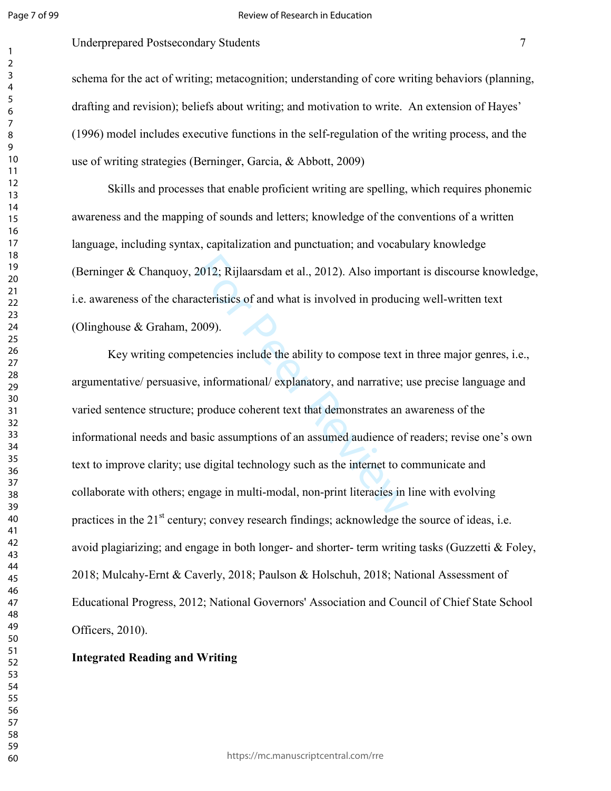#### Review of Research in Education

# Underprepared Postsecondary Students 7

schema for the act of writing; metacognition; understanding of core writing behaviors (planning, drafting and revision); beliefs about writing; and motivation to write. An extension of Hayes' (1996) model includes executive functions in the self-regulation of the writing process, and the use of writing strategies (Berninger, Garcia, & Abbott, 2009)

Skills and processes that enable proficient writing are spelling, which requires phonemic awareness and the mapping of sounds and letters; knowledge of the conventions of a written language, including syntax, capitalization and punctuation; and vocabulary knowledge (Berninger & Chanquoy, 2012; Rijlaarsdam et al., 2012). Also important is discourse knowledge, i.e. awareness of the characteristics of and what is involved in producing well-written text (Olinghouse & Graham, 2009).

2012; Rijlaarsdam et al., 2012). Also important<br>acteristics of and what is involved in producion<br>1009).<br>etencies include the ability to compose text is<br>etencies include the ability to compose text is<br>etencies include the a Key writing competencies include the ability to compose text in three major genres, i.e., argumentative/ persuasive, informational/ explanatory, and narrative; use precise language and varied sentence structure; produce coherent text that demonstrates an awareness of the informational needs and basic assumptions of an assumed audience of readers; revise one's own text to improve clarity; use digital technology such as the internet to communicate and collaborate with others; engage in multi-modal, non-print literacies in line with evolving practices in the  $21<sup>st</sup>$  century; convey research findings; acknowledge the source of ideas, i.e. avoid plagiarizing; and engage in both longer- and shorter- term writing tasks (Guzzetti  $\&$  Foley, 2018; Mulcahy-Ernt & Caverly, 2018; Paulson & Holschuh, 2018; National Assessment of Educational Progress, 2012; National Governors' Association and Council of Chief State School Officers, 2010).

# **Integrated Reading and Writing**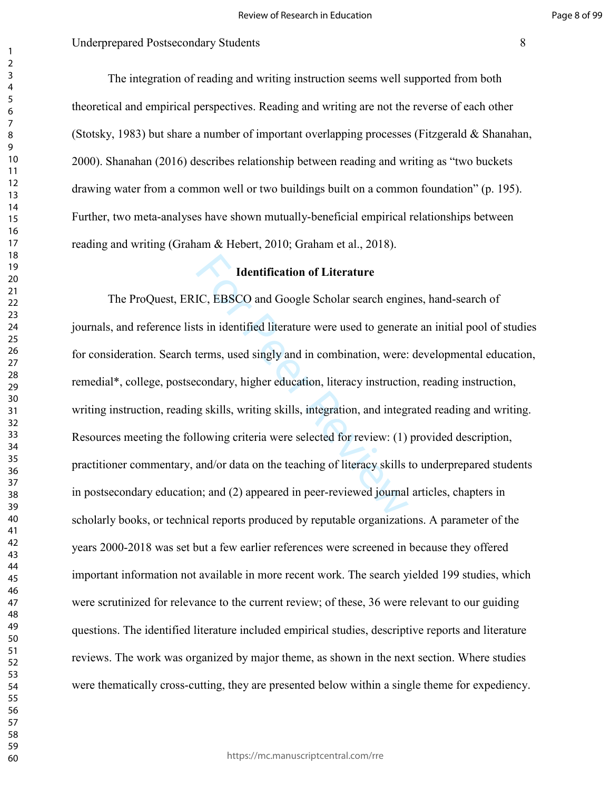Page 8 of 99

 The integration of reading and writing instruction seems well supported from both theoretical and empirical perspectives. Reading and writing are not the reverse of each other (Stotsky, 1983) but share a number of important overlapping processes (Fitzgerald & Shanahan, 2000). Shanahan (2016) describes relationship between reading and writing as "two buckets drawing water from a common well or two buildings built on a common foundation" (p. 195). Further, two meta-analyses have shown mutually-beneficial empirical relationships between reading and writing (Graham & Hebert, 2010; Graham et al., 2018).

# **Identification of Literature**

Identification of Literature<br>IC, EBSCO and Google Scholar search enging<br>ts in identified literature were used to genera<br>terms, used singly and in combination, were:<br>condary, higher education, literacy instruction<br>g skills, The ProQuest, ERIC, EBSCO and Google Scholar search engines, hand-search of journals, and reference lists in identified literature were used to generate an initial pool of studies for consideration. Search terms, used singly and in combination, were: developmental education, remedial\*, college, postsecondary, higher education, literacy instruction, reading instruction, writing instruction, reading skills, writing skills, integration, and integrated reading and writing. Resources meeting the following criteria were selected for review: (1) provided description, practitioner commentary, and/or data on the teaching of literacy skills to underprepared students in postsecondary education; and (2) appeared in peer-reviewed journal articles, chapters in scholarly books, or technical reports produced by reputable organizations. A parameter of the years 2000-2018 was set but a few earlier references were screened in because they offered important information not available in more recent work. The search yielded 199 studies, which were scrutinized for relevance to the current review; of these, 36 were relevant to our guiding questions. The identified literature included empirical studies, descriptive reports and literature reviews. The work was organized by major theme, as shown in the next section. Where studies were thematically cross-cutting, they are presented below within a single theme for expediency.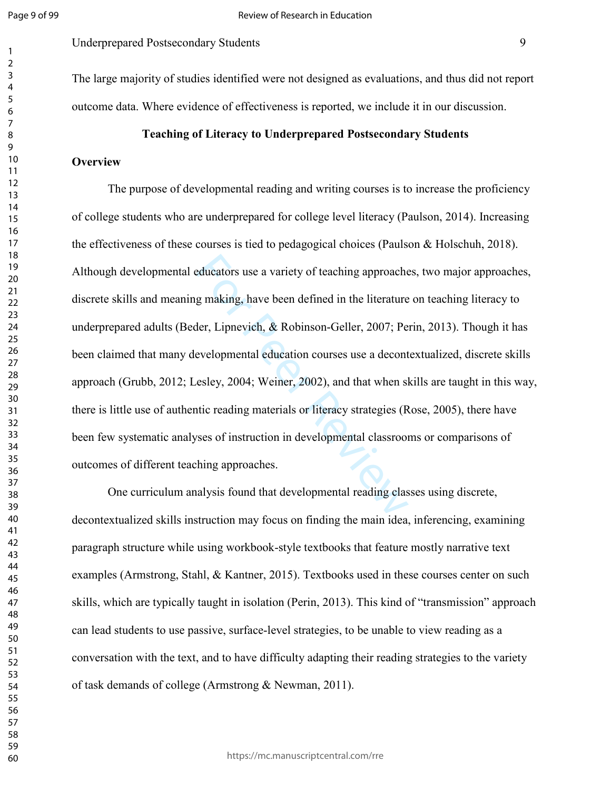Underprepared Postsecondary Students 9

The large majority of studies identified were not designed as evaluations, and thus did not report outcome data. Where evidence of effectiveness is reported, we include it in our discussion.

## **Teaching of Literacy to Underprepared Postsecondary Students**

## **Overview**

educators use a variety of teaching approacherd g making, have been defined in the literature<br>der, Lipnevich, & Robinson-Geller, 2007; Pe<br>evelopmental education courses use a decont<br>esley, 2004; Weiner, 2002), and that whe The purpose of developmental reading and writing courses is to increase the proficiency of college students who are underprepared for college level literacy (Paulson, 2014). Increasing the effectiveness of these courses is tied to pedagogical choices (Paulson & Holschuh, 2018). Although developmental educators use a variety of teaching approaches, two major approaches, discrete skills and meaning making, have been defined in the literature on teaching literacy to underprepared adults (Beder, Lipnevich, & Robinson-Geller, 2007; Perin, 2013). Though it has been claimed that many developmental education courses use a decontextualized, discrete skills approach (Grubb, 2012; Lesley, 2004; Weiner, 2002), and that when skills are taught in this way, there is little use of authentic reading materials or literacy strategies (Rose, 2005), there have been few systematic analyses of instruction in developmental classrooms or comparisons of outcomes of different teaching approaches.

One curriculum analysis found that developmental reading classes using discrete, decontextualized skills instruction may focus on finding the main idea, inferencing, examining paragraph structure while using workbook-style textbooks that feature mostly narrative text examples (Armstrong, Stahl, & Kantner, 2015). Textbooks used in these courses center on such skills, which are typically taught in isolation (Perin, 2013). This kind of "transmission" approach can lead students to use passive, surface-level strategies, to be unable to view reading as a conversation with the text, and to have difficulty adapting their reading strategies to the variety of task demands of college (Armstrong & Newman, 2011).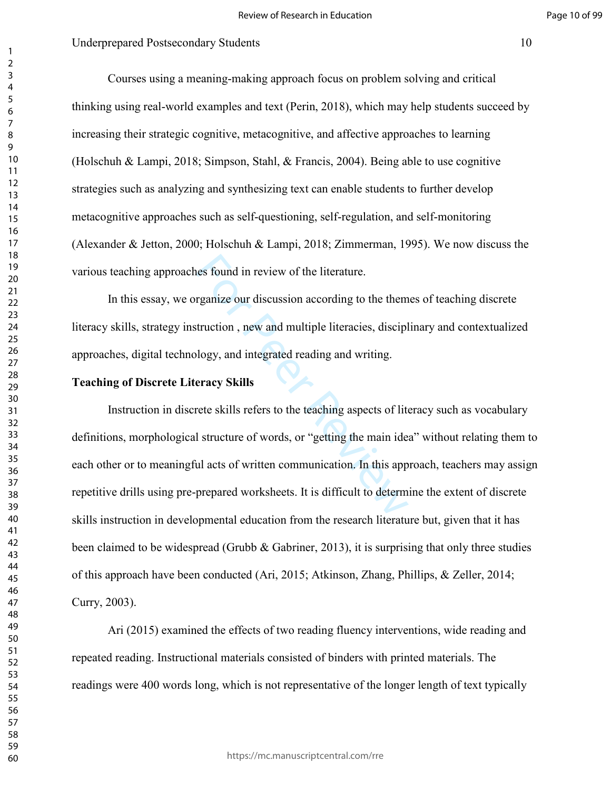Courses using a meaning-making approach focus on problem solving and critical thinking using real-world examples and text (Perin, 2018), which may help students succeed by increasing their strategic cognitive, metacognitive, and affective approaches to learning (Holschuh & Lampi, 2018; Simpson, Stahl, & Francis, 2004). Being able to use cognitive strategies such as analyzing and synthesizing text can enable students to further develop metacognitive approaches such as self-questioning, self-regulation, and self-monitoring (Alexander & Jetton, 2000; Holschuh & Lampi, 2018; Zimmerman, 1995). We now discuss the various teaching approaches found in review of the literature.

In this essay, we organize our discussion according to the themes of teaching discrete literacy skills, strategy instruction , new and multiple literacies, disciplinary and contextualized approaches, digital technology, and integrated reading and writing.

#### **Teaching of Discrete Literacy Skills**

nes found in review of the literature.<br>
rganize our discussion according to the them<br>
truction, new and multiple literacies, discipl<br>
logy, and integrated reading and writing.<br> **eracy Skills**<br>
rete skills refers to the tea Instruction in discrete skills refers to the teaching aspects of literacy such as vocabulary definitions, morphological structure of words, or "getting the main idea" without relating them to each other or to meaningful acts of written communication. In this approach, teachers may assign repetitive drills using pre-prepared worksheets. It is difficult to determine the extent of discrete skills instruction in developmental education from the research literature but, given that it has been claimed to be widespread (Grubb  $\&$  Gabriner, 2013), it is surprising that only three studies of this approach have been conducted (Ari, 2015; Atkinson, Zhang, Phillips, & Zeller, 2014; Curry, 2003).

Ari (2015) examined the effects of two reading fluency interventions, wide reading and repeated reading. Instructional materials consisted of binders with printed materials. The readings were 400 words long, which is not representative of the longer length of text typically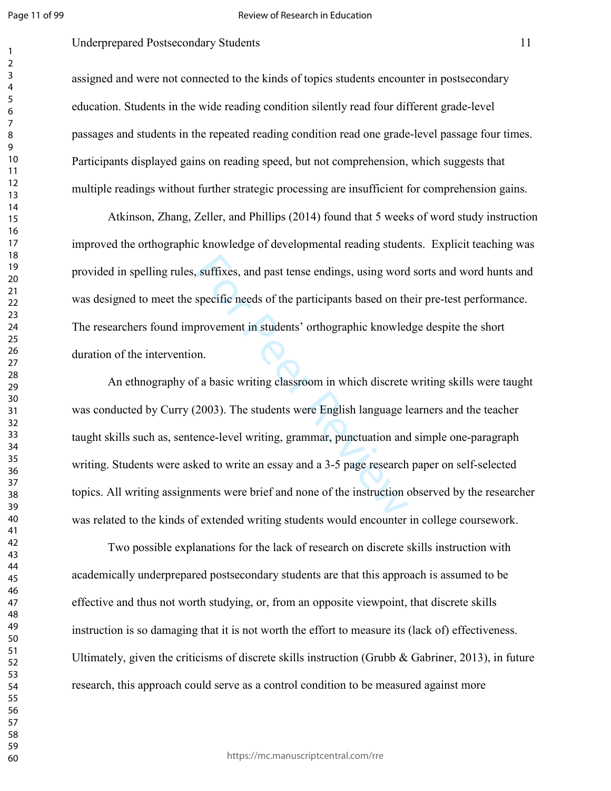#### Review of Research in Education

# Underprepared Postsecondary Students 11

assigned and were not connected to the kinds of topics students encounter in postsecondary education. Students in the wide reading condition silently read four different grade-level passages and students in the repeated reading condition read one grade-level passage four times. Participants displayed gains on reading speed, but not comprehension, which suggests that multiple readings without further strategic processing are insufficient for comprehension gains.

Atkinson, Zhang, Zeller, and Phillips (2014) found that 5 weeks of word study instruction improved the orthographic knowledge of developmental reading students. Explicit teaching was provided in spelling rules, suffixes, and past tense endings, using word sorts and word hunts and was designed to meet the specific needs of the participants based on their pre-test performance. The researchers found improvement in students' orthographic knowledge despite the short duration of the intervention.

suffixes, and past tense endings, using word<br>specific needs of the participants based on th<br>provement in students' orthographic knowled<br>n.<br>f a basic writing classroom in which discrete<br>2003). The students were English lang An ethnography of a basic writing classroom in which discrete writing skills were taught was conducted by Curry (2003). The students were English language learners and the teacher taught skills such as, sentence-level writing, grammar, punctuation and simple one-paragraph writing. Students were asked to write an essay and a 3-5 page research paper on self-selected topics. All writing assignments were brief and none of the instruction observed by the researcher was related to the kinds of extended writing students would encounter in college coursework.

Two possible explanations for the lack of research on discrete skills instruction with academically underprepared postsecondary students are that this approach is assumed to be effective and thus not worth studying, or, from an opposite viewpoint, that discrete skills instruction is so damaging that it is not worth the effort to measure its (lack of) effectiveness. Ultimately, given the criticisms of discrete skills instruction (Grubb  $\&$  Gabriner, 2013), in future research, this approach could serve as a control condition to be measured against more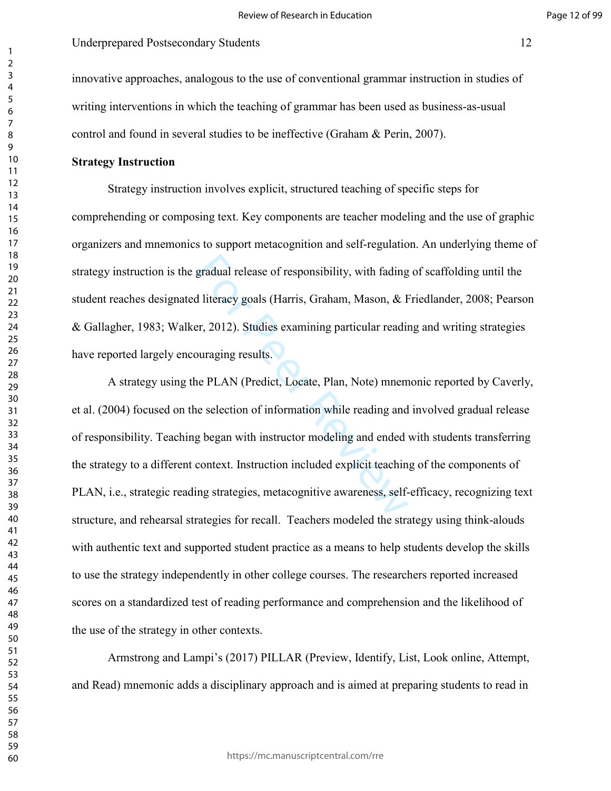innovative approaches, analogous to the use of conventional grammar instruction in studies of writing interventions in which the teaching of grammar has been used as business-as-usual control and found in several studies to be ineffective (Graham & Perin, 2007).

## **Strategy Instruction**

Strategy instruction involves explicit, structured teaching of specific steps for comprehending or composing text. Key components are teacher modeling and the use of graphic organizers and mnemonics to support metacognition and self-regulation. An underlying theme of strategy instruction is the gradual release of responsibility, with fading of scaffolding until the student reaches designated literacy goals (Harris, Graham, Mason, & Friedlander, 2008; Pearson & Gallagher, 1983; Walker, 2012). Studies examining particular reading and writing strategies have reported largely encouraging results.

gradual release of responsibility, with fading<br>d literacy goals (Harris, Graham, Mason, & F<br>er, 2012). Studies examining particular readin<br>buraging results.<br>he PLAN (Predict, Locate, Plan, Note) mnem<br>e selection of informa A strategy using the PLAN (Predict, Locate, Plan, Note) mnemonic reported by Caverly, et al. (2004) focused on the selection of information while reading and involved gradual release of responsibility. Teaching began with instructor modeling and ended with students transferring the strategy to a different context. Instruction included explicit teaching of the components of PLAN, i.e., strategic reading strategies, metacognitive awareness, self-efficacy, recognizing text structure, and rehearsal strategies for recall. Teachers modeled the strategy using think-alouds with authentic text and supported student practice as a means to help students develop the skills to use the strategy independently in other college courses. The researchers reported increased scores on a standardized test of reading performance and comprehension and the likelihood of the use of the strategy in other contexts.

Armstrong and Lampi's (2017) PILLAR (Preview, Identify, List, Look online, Attempt, and Read) mnemonic adds a disciplinary approach and is aimed at preparing students to read in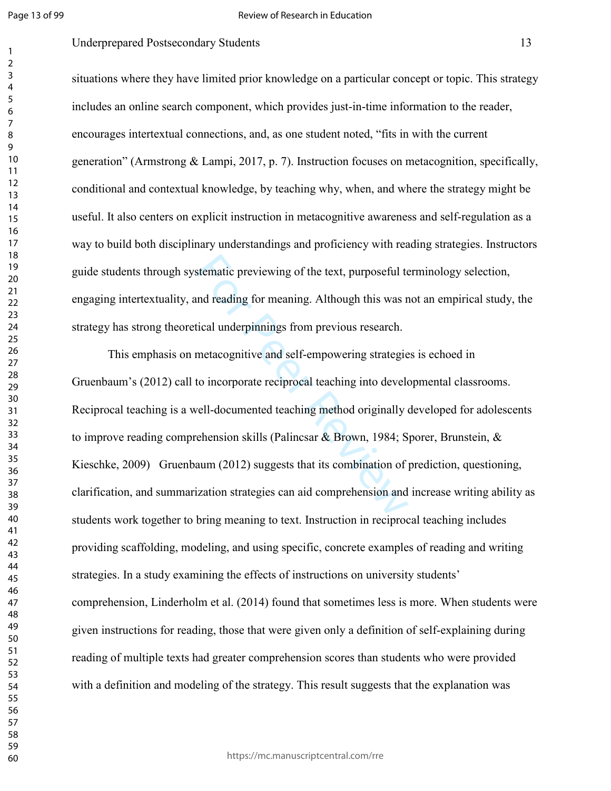# Underprepared Postsecondary Students 13

situations where they have limited prior knowledge on a particular concept or topic. This strategy includes an online search component, which provides just-in-time information to the reader, encourages intertextual connections, and, as one student noted, "fits in with the current generation" (Armstrong & Lampi, 2017, p. 7). Instruction focuses on metacognition, specifically, conditional and contextual knowledge, by teaching why, when, and where the strategy might be useful. It also centers on explicit instruction in metacognitive awareness and self-regulation as a way to build both disciplinary understandings and proficiency with reading strategies. Instructors guide students through systematic previewing of the text, purposeful terminology selection, engaging intertextuality, and reading for meaning. Although this was not an empirical study, the strategy has strong theoretical underpinnings from previous research.

stematic previewing of the text, purposeful to<br>and reading for meaning. Although this was recalled underpinnings from previous research.<br>The interacognitive and self-empowering strategie<br>to incorporate reciprocal teaching This emphasis on metacognitive and self-empowering strategies is echoed in Gruenbaum's (2012) call to incorporate reciprocal teaching into developmental classrooms. Reciprocal teaching is a well-documented teaching method originally developed for adolescents to improve reading comprehension skills (Palincsar & Brown, 1984; Sporer, Brunstein, & Kieschke, 2009) Gruenbaum (2012) suggests that its combination of prediction, questioning, clarification, and summarization strategies can aid comprehension and increase writing ability as students work together to bring meaning to text. Instruction in reciprocal teaching includes providing scaffolding, modeling, and using specific, concrete examples of reading and writing strategies. In a study examining the effects of instructions on university students' comprehension, Linderholm et al. (2014) found that sometimes less is more. When students were given instructions for reading, those that were given only a definition of self-explaining during reading of multiple texts had greater comprehension scores than students who were provided with a definition and modeling of the strategy. This result suggests that the explanation was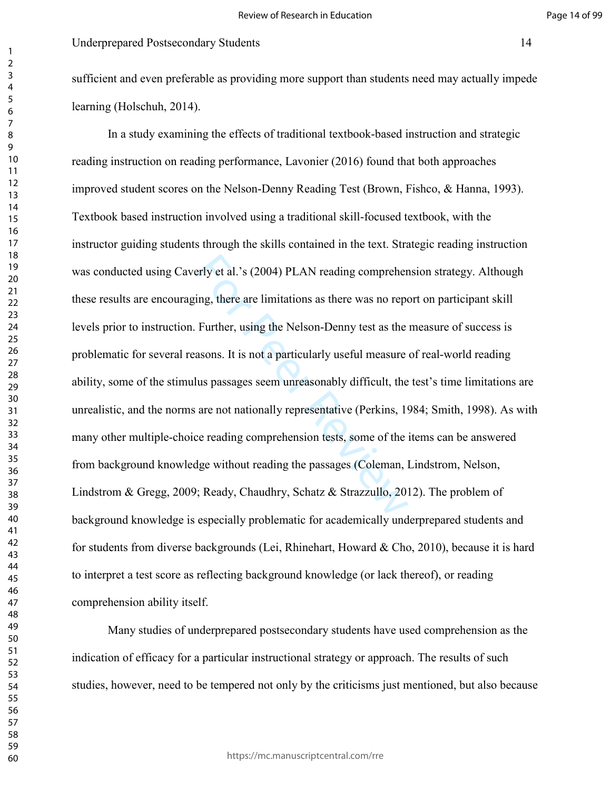sufficient and even preferable as providing more support than students need may actually impede learning (Holschuh, 2014).

erly et al.'s (2004) PLAN reading compreher<br>ing, there are limitations as there was no repo<br>Further, using the Nelson-Denny test as the<br>asons. It is not a particularly useful measure<br>lus passages seem unreasonably difficul In a study examining the effects of traditional textbook-based instruction and strategic reading instruction on reading performance, Lavonier (2016) found that both approaches improved student scores on the Nelson-Denny Reading Test (Brown, Fishco, & Hanna, 1993). Textbook based instruction involved using a traditional skill-focused textbook, with the instructor guiding students through the skills contained in the text. Strategic reading instruction was conducted using Caverly et al.'s (2004) PLAN reading comprehension strategy. Although these results are encouraging, there are limitations as there was no report on participant skill levels prior to instruction. Further, using the Nelson-Denny test as the measure of success is problematic for several reasons. It is not a particularly useful measure of real-world reading ability, some of the stimulus passages seem unreasonably difficult, the test's time limitations are unrealistic, and the norms are not nationally representative (Perkins, 1984; Smith, 1998). As with many other multiple-choice reading comprehension tests, some of the items can be answered from background knowledge without reading the passages (Coleman, Lindstrom, Nelson, Lindstrom & Gregg, 2009; Ready, Chaudhry, Schatz & Strazzullo, 2012). The problem of background knowledge is especially problematic for academically underprepared students and for students from diverse backgrounds (Lei, Rhinehart, Howard & Cho, 2010), because it is hard to interpret a test score as reflecting background knowledge (or lack thereof), or reading comprehension ability itself.

Many studies of underprepared postsecondary students have used comprehension as the indication of efficacy for a particular instructional strategy or approach. The results of such studies, however, need to be tempered not only by the criticisms just mentioned, but also because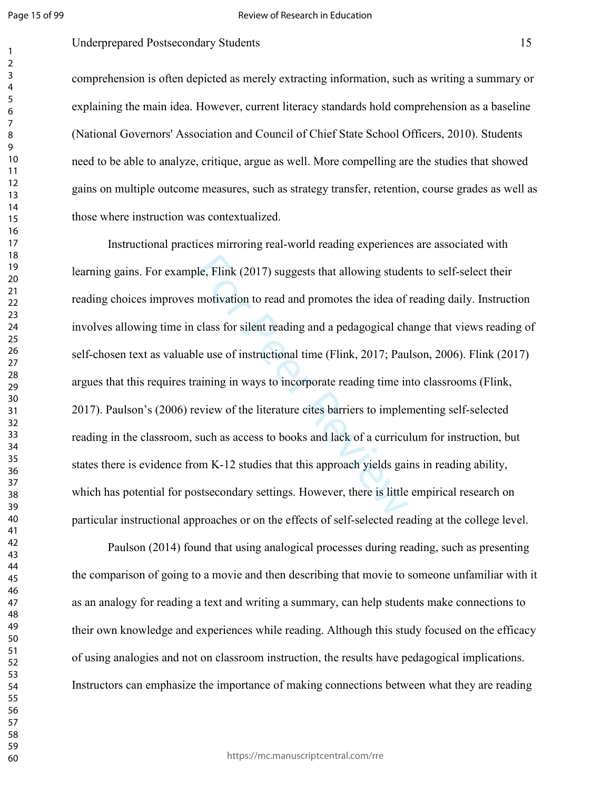#### Review of Research in Education

## Underprepared Postsecondary Students 15

comprehension is often depicted as merely extracting information, such as writing a summary or explaining the main idea. However, current literacy standards hold comprehension as a baseline (National Governors' Association and Council of Chief State School Officers, 2010). Students need to be able to analyze, critique, argue as well. More compelling are the studies that showed gains on multiple outcome measures, such as strategy transfer, retention, course grades as well as those where instruction was contextualized.

le, Flink (2017) suggests that allowing stude<br>motivation to read and promotes the idea of<br>class for silent reading and a pedagogical ch<br>le use of instructional time (Flink, 2017; Pau<br>aining in ways to incorporate reading t Instructional practices mirroring real-world reading experiences are associated with learning gains. For example, Flink (2017) suggests that allowing students to self-select their reading choices improves motivation to read and promotes the idea of reading daily. Instruction involves allowing time in class for silent reading and a pedagogical change that views reading of self-chosen text as valuable use of instructional time (Flink, 2017; Paulson, 2006). Flink (2017) argues that this requires training in ways to incorporate reading time into classrooms (Flink, 2017). Paulson's (2006) review of the literature cites barriers to implementing self-selected reading in the classroom, such as access to books and lack of a curriculum for instruction, but states there is evidence from K-12 studies that this approach yields gains in reading ability, which has potential for postsecondary settings. However, there is little empirical research on particular instructional approaches or on the effects of self-selected reading at the college level.

Paulson (2014) found that using analogical processes during reading, such as presenting the comparison of going to a movie and then describing that movie to someone unfamiliar with it as an analogy for reading a text and writing a summary, can help students make connections to their own knowledge and experiences while reading. Although this study focused on the efficacy of using analogies and not on classroom instruction, the results have pedagogical implications. Instructors can emphasize the importance of making connections between what they are reading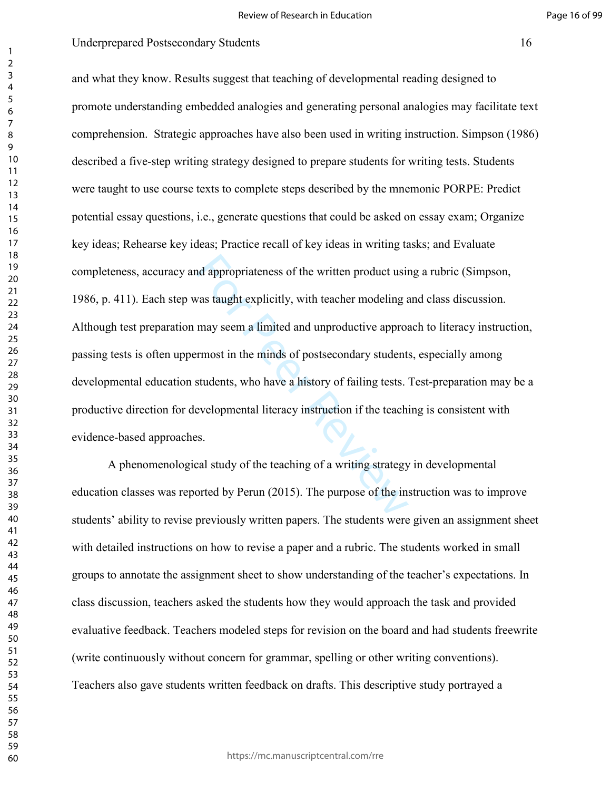nd appropriateness of the written product usine<br>was taught explicitly, with teacher modeling a<br>may seem a limited and unproductive approaching<br>transitions in the minds of postsecondary students<br>students, who have a history and what they know. Results suggest that teaching of developmental reading designed to promote understanding embedded analogies and generating personal analogies may facilitate text comprehension. Strategic approaches have also been used in writing instruction. Simpson (1986) described a five-step writing strategy designed to prepare students for writing tests. Students were taught to use course texts to complete steps described by the mnemonic PORPE: Predict potential essay questions, i.e., generate questions that could be asked on essay exam; Organize key ideas; Rehearse key ideas; Practice recall of key ideas in writing tasks; and Evaluate completeness, accuracy and appropriateness of the written product using a rubric (Simpson, 1986, p. 411). Each step was taught explicitly, with teacher modeling and class discussion. Although test preparation may seem a limited and unproductive approach to literacy instruction, passing tests is often uppermost in the minds of postsecondary students, especially among developmental education students, who have a history of failing tests. Test-preparation may be a productive direction for developmental literacy instruction if the teaching is consistent with evidence-based approaches.

A phenomenological study of the teaching of a writing strategy in developmental education classes was reported by Perun (2015). The purpose of the instruction was to improve students' ability to revise previously written papers. The students were given an assignment sheet with detailed instructions on how to revise a paper and a rubric. The students worked in small groups to annotate the assignment sheet to show understanding of the teacher's expectations. In class discussion, teachers asked the students how they would approach the task and provided evaluative feedback. Teachers modeled steps for revision on the board and had students freewrite (write continuously without concern for grammar, spelling or other writing conventions). Teachers also gave students written feedback on drafts. This descriptive study portrayed a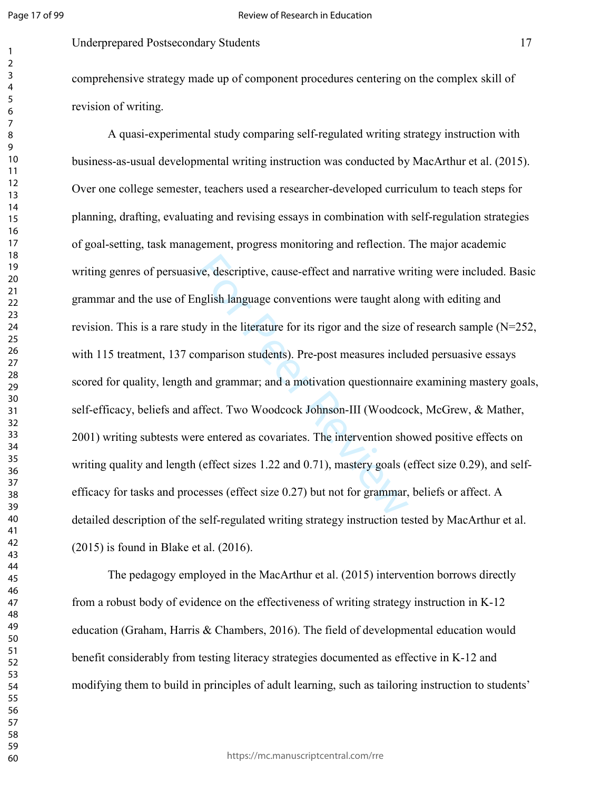Underprepared Postsecondary Students 17

comprehensive strategy made up of component procedures centering on the complex skill of revision of writing.

ve, descriptive, cause-effect and narrative wr<br>nglish language conventions were taught alor<br>dy in the literature for its rigor and the size o<br>omparison students). Pre-post measures inclu<br>and grammar; and a motivation quest A quasi-experimental study comparing self-regulated writing strategy instruction with business-as-usual developmental writing instruction was conducted by MacArthur et al. (2015). Over one college semester, teachers used a researcher-developed curriculum to teach steps for planning, drafting, evaluating and revising essays in combination with self-regulation strategies of goal-setting, task management, progress monitoring and reflection. The major academic writing genres of persuasive, descriptive, cause-effect and narrative writing were included. Basic grammar and the use of English language conventions were taught along with editing and revision. This is a rare study in the literature for its rigor and the size of research sample (N=252, with 115 treatment, 137 comparison students). Pre-post measures included persuasive essays scored for quality, length and grammar; and a motivation questionnaire examining mastery goals, self-efficacy, beliefs and affect. Two Woodcock Johnson-III (Woodcock, McGrew, & Mather, 2001) writing subtests were entered as covariates. The intervention showed positive effects on writing quality and length (effect sizes 1.22 and 0.71), mastery goals (effect size 0.29), and selfefficacy for tasks and processes (effect size 0.27) but not for grammar, beliefs or affect. A detailed description of the self-regulated writing strategy instruction tested by MacArthur et al. (2015) is found in Blake et al. (2016).

The pedagogy employed in the MacArthur et al. (2015) intervention borrows directly from a robust body of evidence on the effectiveness of writing strategy instruction in K-12 education (Graham, Harris & Chambers, 2016). The field of developmental education would benefit considerably from testing literacy strategies documented as effective in K-12 and modifying them to build in principles of adult learning, such as tailoring instruction to students'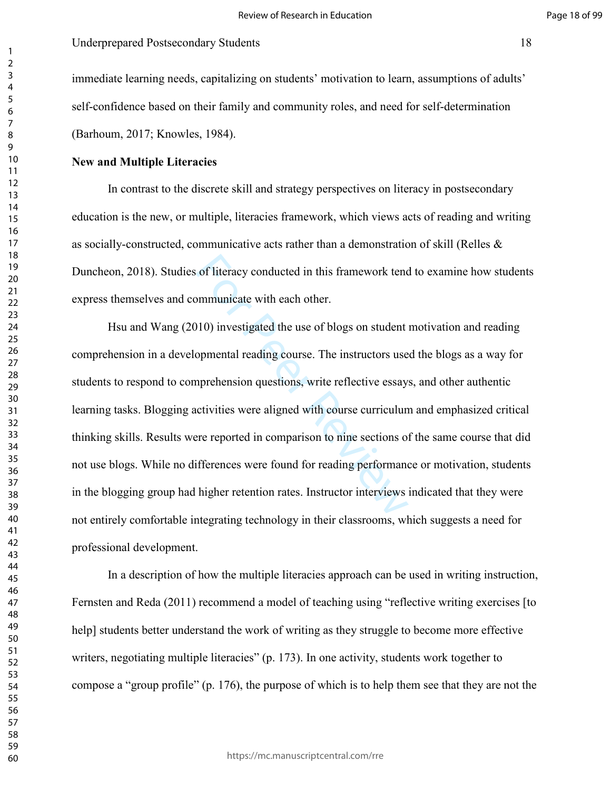immediate learning needs, capitalizing on students' motivation to learn, assumptions of adults' self-confidence based on their family and community roles, and need for self-determination (Barhoum, 2017; Knowles, 1984).

## **New and Multiple Literacies**

In contrast to the discrete skill and strategy perspectives on literacy in postsecondary education is the new, or multiple, literacies framework, which views acts of reading and writing as socially-constructed, communicative acts rather than a demonstration of skill (Relles & Duncheon, 2018). Studies of literacy conducted in this framework tend to examine how students express themselves and communicate with each other.

of literacy conducted in this framework tend<br>nommunicate with each other.<br>10) investigated the use of blogs on student<br>nopmental reading course. The instructors use<br>nonprehension questions, write reflective essay.<br>crivitie Hsu and Wang (2010) investigated the use of blogs on student motivation and reading comprehension in a developmental reading course. The instructors used the blogs as a way for students to respond to comprehension questions, write reflective essays, and other authentic learning tasks. Blogging activities were aligned with course curriculum and emphasized critical thinking skills. Results were reported in comparison to nine sections of the same course that did not use blogs. While no differences were found for reading performance or motivation, students in the blogging group had higher retention rates. Instructor interviews indicated that they were not entirely comfortable integrating technology in their classrooms, which suggests a need for professional development.

In a description of how the multiple literacies approach can be used in writing instruction, Fernsten and Reda (2011) recommend a model of teaching using "reflective writing exercises [to help] students better understand the work of writing as they struggle to become more effective writers, negotiating multiple literacies" (p. 173). In one activity, students work together to compose a "group profile" (p. 176), the purpose of which is to help them see that they are not the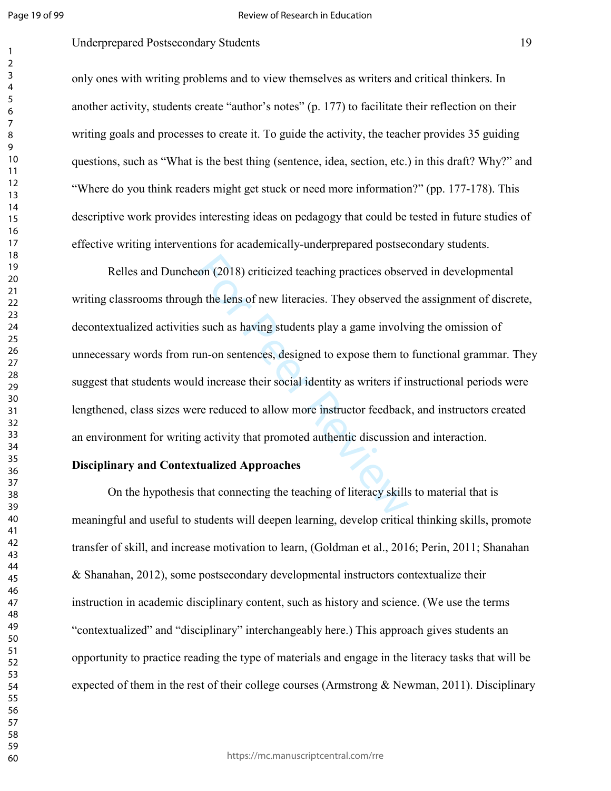#### Review of Research in Education

## Underprepared Postsecondary Students 19

only ones with writing problems and to view themselves as writers and critical thinkers. In another activity, students create "author's notes" (p. 177) to facilitate their reflection on their writing goals and processes to create it. To guide the activity, the teacher provides 35 guiding questions, such as "What is the best thing (sentence, idea, section, etc.) in this draft? Why?" and "Where do you think readers might get stuck or need more information?" (pp. 177-178). This descriptive work provides interesting ideas on pedagogy that could be tested in future studies of effective writing interventions for academically-underprepared postsecondary students.

con (2018) criticized teaching practices obser<br>th the lens of new literacies. They observed the such as having students play a game involv<br>un-on sentences, designed to expose them to<br>ld increase their social identity as wr Relles and Duncheon (2018) criticized teaching practices observed in developmental writing classrooms through the lens of new literacies. They observed the assignment of discrete, decontextualized activities such as having students play a game involving the omission of unnecessary words from run-on sentences, designed to expose them to functional grammar. They suggest that students would increase their social identity as writers if instructional periods were lengthened, class sizes were reduced to allow more instructor feedback, and instructors created an environment for writing activity that promoted authentic discussion and interaction.

#### **Disciplinary and Contextualized Approaches**

 On the hypothesis that connecting the teaching of literacy skills to material that is meaningful and useful to students will deepen learning, develop critical thinking skills, promote transfer of skill, and increase motivation to learn, (Goldman et al., 2016; Perin, 2011; Shanahan & Shanahan, 2012), some postsecondary developmental instructors contextualize their instruction in academic disciplinary content, such as history and science. (We use the terms "contextualized" and "disciplinary" interchangeably here.) This approach gives students an opportunity to practice reading the type of materials and engage in the literacy tasks that will be expected of them in the rest of their college courses (Armstrong  $\&$  Newman, 2011). Disciplinary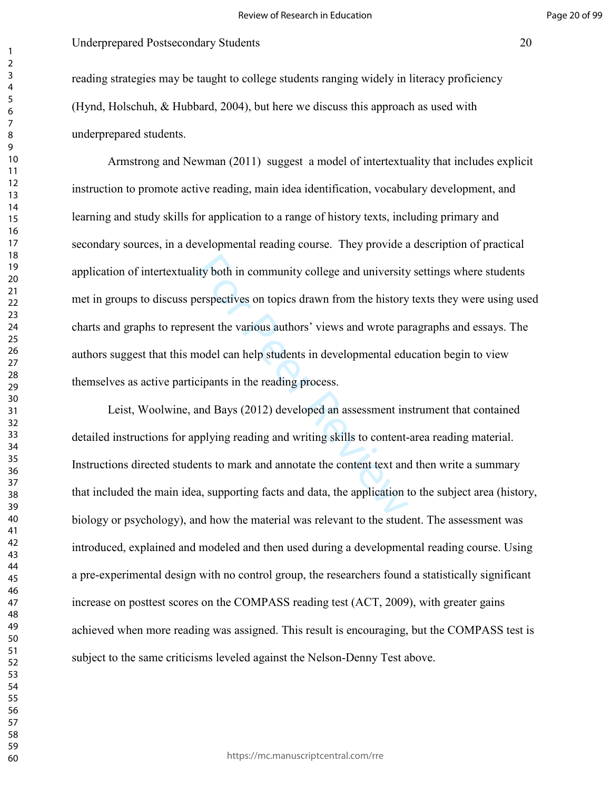reading strategies may be taught to college students ranging widely in literacy proficiency (Hynd, Holschuh, & Hubbard, 2004), but here we discuss this approach as used with underprepared students.

ity both in community college and university<br>erspectives on topics drawn from the history<br>sent the various authors' views and wrote pa<br>nodel can help students in developmental edu<br>cipants in the reading process.<br>and Bays ( Armstrong and Newman (2011) suggest a model of intertextuality that includes explicit instruction to promote active reading, main idea identification, vocabulary development, and learning and study skills for application to a range of history texts, including primary and secondary sources, in a developmental reading course. They provide a description of practical application of intertextuality both in community college and university settings where students met in groups to discuss perspectives on topics drawn from the history texts they were using used charts and graphs to represent the various authors' views and wrote paragraphs and essays. The authors suggest that this model can help students in developmental education begin to view themselves as active participants in the reading process.

Leist, Woolwine, and Bays (2012) developed an assessment instrument that contained detailed instructions for applying reading and writing skills to content-area reading material. Instructions directed students to mark and annotate the content text and then write a summary that included the main idea, supporting facts and data, the application to the subject area (history, biology or psychology), and how the material was relevant to the student. The assessment was introduced, explained and modeled and then used during a developmental reading course. Using a pre-experimental design with no control group, the researchers found a statistically significant increase on posttest scores on the COMPASS reading test (ACT, 2009), with greater gains achieved when more reading was assigned. This result is encouraging, but the COMPASS test is subject to the same criticisms leveled against the Nelson-Denny Test above.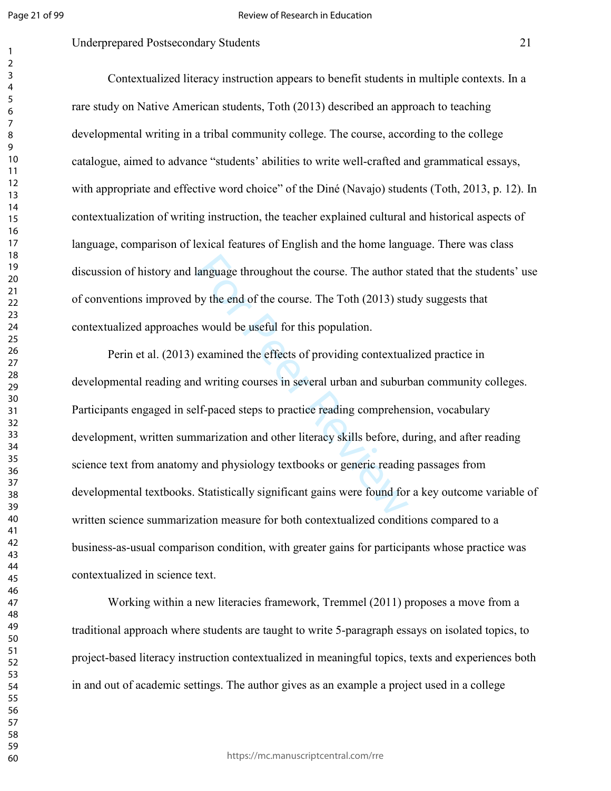#### Underprepared Postsecondary Students 21

Contextualized literacy instruction appears to benefit students in multiple contexts. In a rare study on Native American students, Toth (2013) described an approach to teaching developmental writing in a tribal community college. The course, according to the college catalogue, aimed to advance "students' abilities to write well-crafted and grammatical essays, with appropriate and effective word choice" of the Diné (Navajo) students (Toth, 2013, p. 12). In contextualization of writing instruction, the teacher explained cultural and historical aspects of language, comparison of lexical features of English and the home language. There was class discussion of history and language throughout the course. The author stated that the students' use of conventions improved by the end of the course. The Toth (2013) study suggests that contextualized approaches would be useful for this population.

language throughout the course. The author s<br>by the end of the course. The Toth (2013) stu<br>s would be useful for this population.<br>examined the effects of providing contextual<br>d writing courses in several urban and suburl<br>l Perin et al. (2013) examined the effects of providing contextualized practice in developmental reading and writing courses in several urban and suburban community colleges. Participants engaged in self-paced steps to practice reading comprehension, vocabulary development, written summarization and other literacy skills before, during, and after reading science text from anatomy and physiology textbooks or generic reading passages from developmental textbooks. Statistically significant gains were found for a key outcome variable of written science summarization measure for both contextualized conditions compared to a business-as-usual comparison condition, with greater gains for participants whose practice was contextualized in science text.

Working within a new literacies framework, Tremmel (2011) proposes a move from a traditional approach where students are taught to write 5-paragraph essays on isolated topics, to project-based literacy instruction contextualized in meaningful topics, texts and experiences both in and out of academic settings. The author gives as an example a project used in a college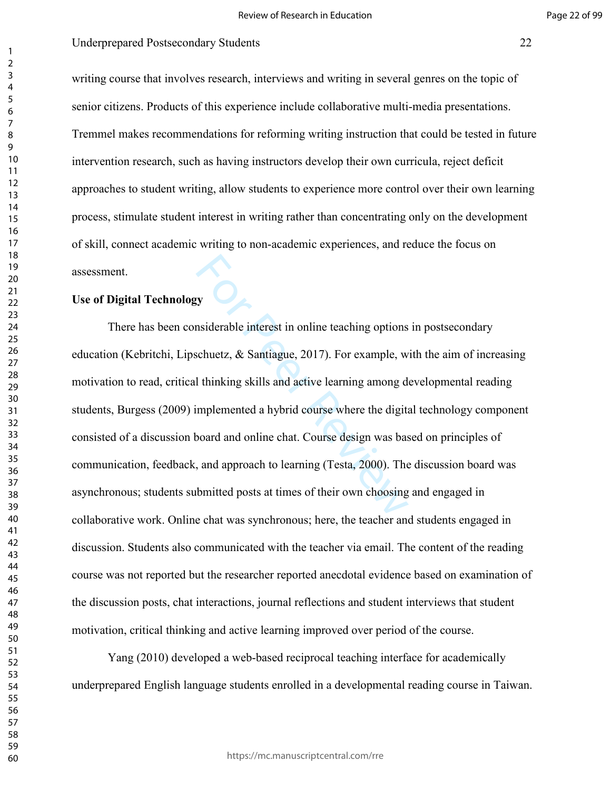writing course that involves research, interviews and writing in several genres on the topic of senior citizens. Products of this experience include collaborative multi-media presentations. Tremmel makes recommendations for reforming writing instruction that could be tested in future intervention research, such as having instructors develop their own curricula, reject deficit approaches to student writing, allow students to experience more control over their own learning process, stimulate student interest in writing rather than concentrating only on the development of skill, connect academic writing to non-academic experiences, and reduce the focus on assessment.

# **Use of Digital Technology**

**Solution**<br>Superior System Siderable interest in online teaching options<br>Schuetz, & Santiague, 2017). For example, we<br>inhibition Sideral and active learning among demplemented a hybrid course where the digitation<br>over the There has been considerable interest in online teaching options in postsecondary education (Kebritchi, Lipschuetz, & Santiague, 2017). For example, with the aim of increasing motivation to read, critical thinking skills and active learning among developmental reading students, Burgess (2009) implemented a hybrid course where the digital technology component consisted of a discussion board and online chat. Course design was based on principles of communication, feedback, and approach to learning (Testa, 2000). The discussion board was asynchronous; students submitted posts at times of their own choosing and engaged in collaborative work. Online chat was synchronous; here, the teacher and students engaged in discussion. Students also communicated with the teacher via email. The content of the reading course was not reported but the researcher reported anecdotal evidence based on examination of the discussion posts, chat interactions, journal reflections and student interviews that student motivation, critical thinking and active learning improved over period of the course.

Yang (2010) developed a web-based reciprocal teaching interface for academically underprepared English language students enrolled in a developmental reading course in Taiwan.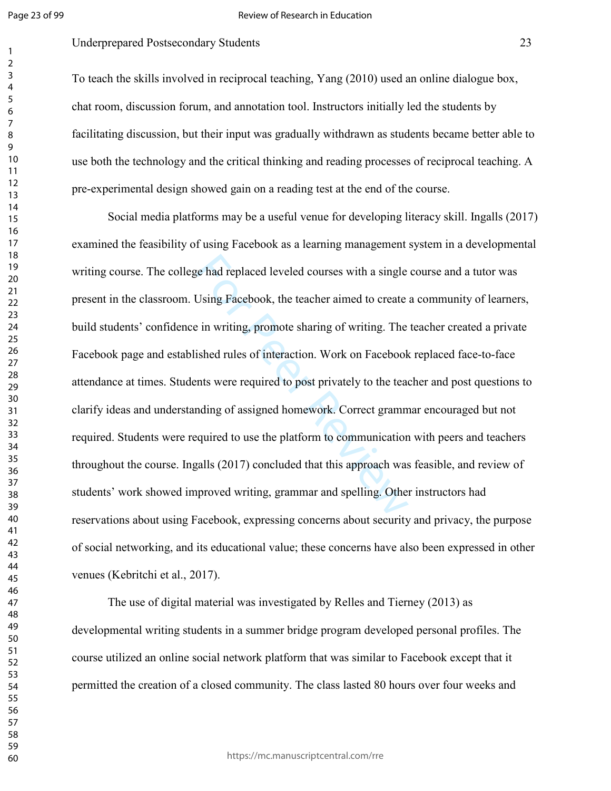#### Review of Research in Education

# Underprepared Postsecondary Students 23

To teach the skills involved in reciprocal teaching, Yang (2010) used an online dialogue box, chat room, discussion forum, and annotation tool. Instructors initially led the students by facilitating discussion, but their input was gradually withdrawn as students became better able to use both the technology and the critical thinking and reading processes of reciprocal teaching. A pre-experimental design showed gain on a reading test at the end of the course.

ge had replaced leveled courses with a single<br>Using Facebook, the teacher aimed to create<br>
in writing, promote sharing of writing. The<br>
ished rules of interaction. Work on Facebook<br>
eshod rules of interaction. Work on Face Social media platforms may be a useful venue for developing literacy skill. Ingalls (2017) examined the feasibility of using Facebook as a learning management system in a developmental writing course. The college had replaced leveled courses with a single course and a tutor was present in the classroom. Using Facebook, the teacher aimed to create a community of learners, build students' confidence in writing, promote sharing of writing. The teacher created a private Facebook page and established rules of interaction. Work on Facebook replaced face-to-face attendance at times. Students were required to post privately to the teacher and post questions to clarify ideas and understanding of assigned homework. Correct grammar encouraged but not required. Students were required to use the platform to communication with peers and teachers throughout the course. Ingalls (2017) concluded that this approach was feasible, and review of students' work showed improved writing, grammar and spelling. Other instructors had reservations about using Facebook, expressing concerns about security and privacy, the purpose of social networking, and its educational value; these concerns have also been expressed in other venues (Kebritchi et al., 2017).

The use of digital material was investigated by Relles and Tierney (2013) as developmental writing students in a summer bridge program developed personal profiles. The course utilized an online social network platform that was similar to Facebook except that it permitted the creation of a closed community. The class lasted 80 hours over four weeks and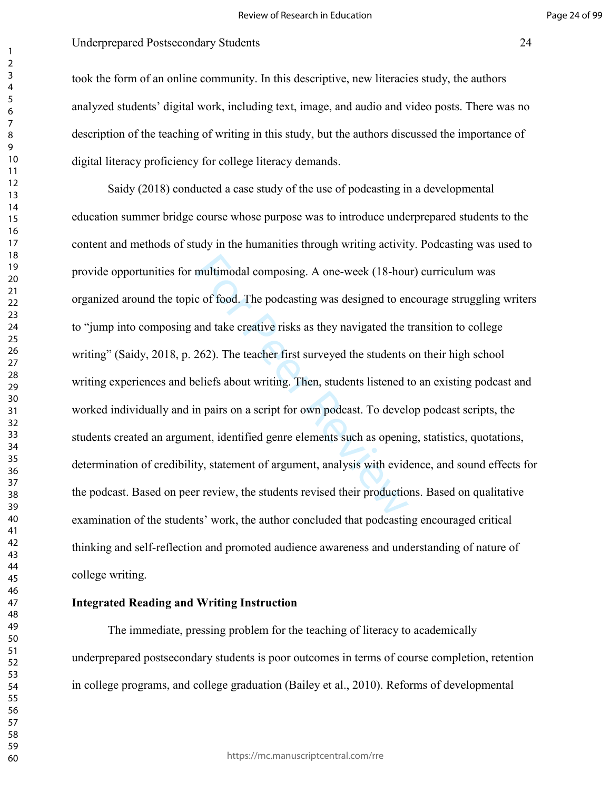took the form of an online community. In this descriptive, new literacies study, the authors analyzed students' digital work, including text, image, and audio and video posts. There was no description of the teaching of writing in this study, but the authors discussed the importance of digital literacy proficiency for college literacy demands.

multimodal composing. A one-week (18-hourd composing and take creative risks as they navigated to en and take creative risks as they navigated the 1<br>262). The teacher first surveyed the students eliefs about writing. Then, Saidy (2018) conducted a case study of the use of podcasting in a developmental education summer bridge course whose purpose was to introduce underprepared students to the content and methods of study in the humanities through writing activity. Podcasting was used to provide opportunities for multimodal composing. A one-week (18-hour) curriculum was organized around the topic of food. The podcasting was designed to encourage struggling writers to "jump into composing and take creative risks as they navigated the transition to college writing" (Saidy, 2018, p. 262). The teacher first surveyed the students on their high school writing experiences and beliefs about writing. Then, students listened to an existing podcast and worked individually and in pairs on a script for own podcast. To develop podcast scripts, the students created an argument, identified genre elements such as opening, statistics, quotations, determination of credibility, statement of argument, analysis with evidence, and sound effects for the podcast. Based on peer review, the students revised their productions. Based on qualitative examination of the students' work, the author concluded that podcasting encouraged critical thinking and self-reflection and promoted audience awareness and understanding of nature of college writing.

# **Integrated Reading and Writing Instruction**

The immediate, pressing problem for the teaching of literacy to academically underprepared postsecondary students is poor outcomes in terms of course completion, retention in college programs, and college graduation (Bailey et al., 2010). Reforms of developmental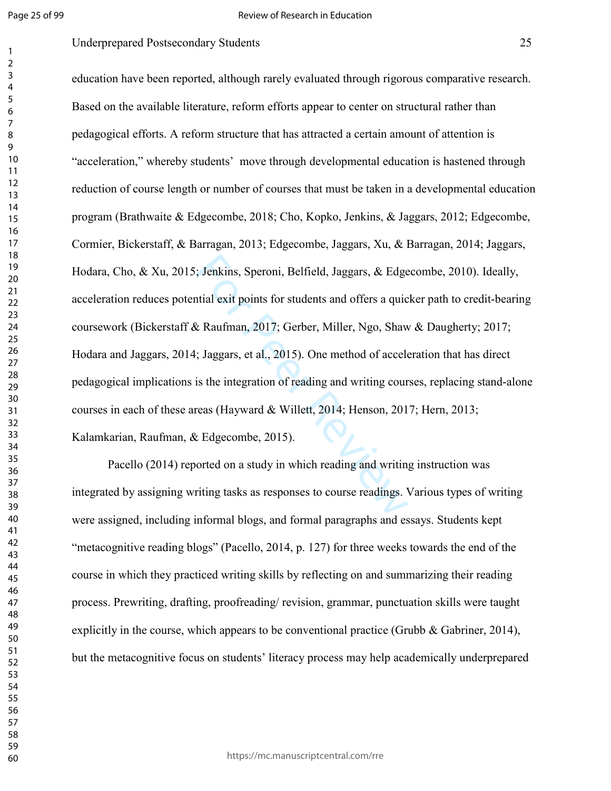## Underprepared Postsecondary Students 25

The Units Speroni, Belfield, Jaggars, & Edge<br>tial exit points for students and offers a quic<br>
& Raufman, 2017; Gerber, Miller, Ngo, Shaw<br>
The Paer Review Miller, Ngo, Shaw<br>
The Units Sperior of reading and writing cour<br>
r education have been reported, although rarely evaluated through rigorous comparative research. Based on the available literature, reform efforts appear to center on structural rather than pedagogical efforts. A reform structure that has attracted a certain amount of attention is "acceleration," whereby students' move through developmental education is hastened through reduction of course length or number of courses that must be taken in a developmental education program (Brathwaite & Edgecombe, 2018; Cho, Kopko, Jenkins, & Jaggars, 2012; Edgecombe, Cormier, Bickerstaff, & Barragan, 2013; Edgecombe, Jaggars, Xu, & Barragan, 2014; Jaggars, Hodara, Cho, & Xu, 2015; Jenkins, Speroni, Belfield, Jaggars, & Edgecombe, 2010). Ideally, acceleration reduces potential exit points for students and offers a quicker path to credit-bearing coursework (Bickerstaff & Raufman, 2017; Gerber, Miller, Ngo, Shaw & Daugherty; 2017; Hodara and Jaggars, 2014; Jaggars, et al., 2015). One method of acceleration that has direct pedagogical implications is the integration of reading and writing courses, replacing stand-alone courses in each of these areas (Hayward & Willett, 2014; Henson, 2017; Hern, 2013; Kalamkarian, Raufman, & Edgecombe, 2015).

Pacello (2014) reported on a study in which reading and writing instruction was integrated by assigning writing tasks as responses to course readings. Various types of writing were assigned, including informal blogs, and formal paragraphs and essays. Students kept "metacognitive reading blogs" (Pacello, 2014, p. 127) for three weeks towards the end of the course in which they practiced writing skills by reflecting on and summarizing their reading process. Prewriting, drafting, proofreading/ revision, grammar, punctuation skills were taught explicitly in the course, which appears to be conventional practice (Grubb  $\&$  Gabriner, 2014), but the metacognitive focus on students' literacy process may help academically underprepared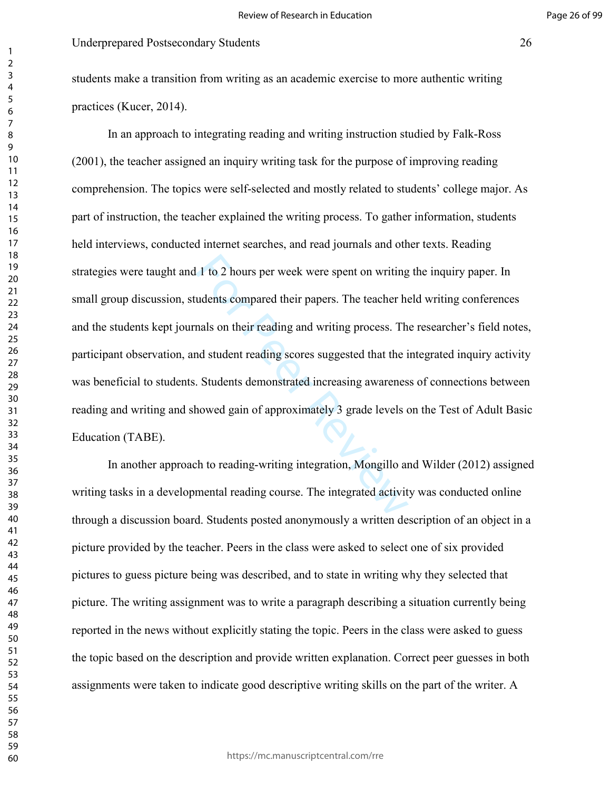students make a transition from writing as an academic exercise to more authentic writing practices (Kucer, 2014).

1 to 2 hours per week were spent on writing<br>udents compared their papers. The teacher he<br>nals on their reading and writing process. Th<br>nd student reading scores suggested that the i<br>. Students demonstrated increasing aware In an approach to integrating reading and writing instruction studied by Falk-Ross (2001), the teacher assigned an inquiry writing task for the purpose of improving reading comprehension. The topics were self-selected and mostly related to students' college major. As part of instruction, the teacher explained the writing process. To gather information, students held interviews, conducted internet searches, and read journals and other texts. Reading strategies were taught and 1 to 2 hours per week were spent on writing the inquiry paper. In small group discussion, students compared their papers. The teacher held writing conferences and the students kept journals on their reading and writing process. The researcher's field notes, participant observation, and student reading scores suggested that the integrated inquiry activity was beneficial to students. Students demonstrated increasing awareness of connections between reading and writing and showed gain of approximately 3 grade levels on the Test of Adult Basic Education (TABE).

In another approach to reading-writing integration, Mongillo and Wilder (2012) assigned writing tasks in a developmental reading course. The integrated activity was conducted online through a discussion board. Students posted anonymously a written description of an object in a picture provided by the teacher. Peers in the class were asked to select one of six provided pictures to guess picture being was described, and to state in writing why they selected that picture. The writing assignment was to write a paragraph describing a situation currently being reported in the news without explicitly stating the topic. Peers in the class were asked to guess the topic based on the description and provide written explanation. Correct peer guesses in both assignments were taken to indicate good descriptive writing skills on the part of the writer. A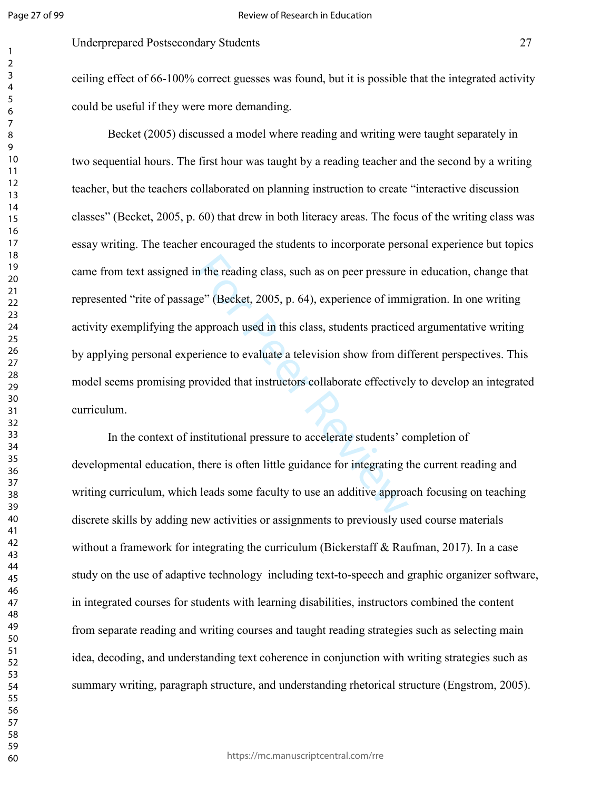Underprepared Postsecondary Students 27

ceiling effect of 66-100% correct guesses was found, but it is possible that the integrated activity could be useful if they were more demanding.

In the reading class, such as on peer pressure<br>ge" (Becket, 2005, p. 64), experience of imm<br>approach used in this class, students practice<br>rience to evaluate a television show from dif-<br>rovided that instructors collaborate Becket (2005) discussed a model where reading and writing were taught separately in two sequential hours. The first hour was taught by a reading teacher and the second by a writing teacher, but the teachers collaborated on planning instruction to create "interactive discussion classes" (Becket, 2005, p. 60) that drew in both literacy areas. The focus of the writing class was essay writing. The teacher encouraged the students to incorporate personal experience but topics came from text assigned in the reading class, such as on peer pressure in education, change that represented "rite of passage" (Becket, 2005, p. 64), experience of immigration. In one writing activity exemplifying the approach used in this class, students practiced argumentative writing by applying personal experience to evaluate a television show from different perspectives. This model seems promising provided that instructors collaborate effectively to develop an integrated curriculum.

In the context of institutional pressure to accelerate students' completion of developmental education, there is often little guidance for integrating the current reading and writing curriculum, which leads some faculty to use an additive approach focusing on teaching discrete skills by adding new activities or assignments to previously used course materials without a framework for integrating the curriculum (Bickerstaff & Raufman, 2017). In a case study on the use of adaptive technology including text-to-speech and graphic organizer software, in integrated courses for students with learning disabilities, instructors combined the content from separate reading and writing courses and taught reading strategies such as selecting main idea, decoding, and understanding text coherence in conjunction with writing strategies such as summary writing, paragraph structure, and understanding rhetorical structure (Engstrom, 2005).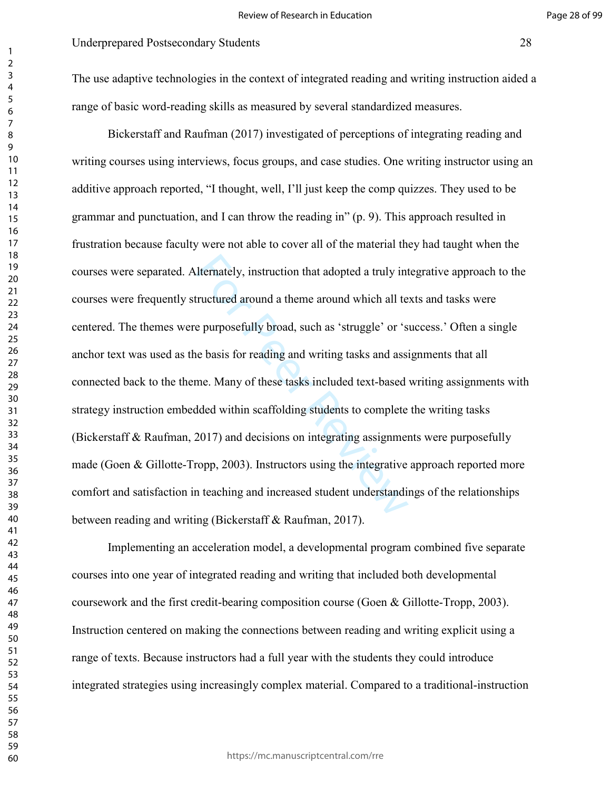#### Page 28 of 99

The use adaptive technologies in the context of integrated reading and writing instruction aided a range of basic word-reading skills as measured by several standardized measures.

Iternately, instruction that adopted a truly in<br>tructured around a theme around which all te<br>e purposefully broad, such as 'struggle' or 's<br>re basis for reading and writing tasks and assi<br>me. Many of these tasks included t Bickerstaff and Raufman (2017) investigated of perceptions of integrating reading and writing courses using interviews, focus groups, and case studies. One writing instructor using an additive approach reported, "I thought, well, I'll just keep the comp quizzes. They used to be grammar and punctuation, and I can throw the reading in" (p. 9). This approach resulted in frustration because faculty were not able to cover all of the material they had taught when the courses were separated. Alternately, instruction that adopted a truly integrative approach to the courses were frequently structured around a theme around which all texts and tasks were centered. The themes were purposefully broad, such as 'struggle' or 'success.' Often a single anchor text was used as the basis for reading and writing tasks and assignments that all connected back to the theme. Many of these tasks included text-based writing assignments with strategy instruction embedded within scaffolding students to complete the writing tasks (Bickerstaff & Raufman, 2017) and decisions on integrating assignments were purposefully made (Goen & Gillotte-Tropp, 2003). Instructors using the integrative approach reported more comfort and satisfaction in teaching and increased student understandings of the relationships between reading and writing (Bickerstaff & Raufman, 2017).

Implementing an acceleration model, a developmental program combined five separate courses into one year of integrated reading and writing that included both developmental coursework and the first credit-bearing composition course (Goen & Gillotte-Tropp, 2003). Instruction centered on making the connections between reading and writing explicit using a range of texts. Because instructors had a full year with the students they could introduce integrated strategies using increasingly complex material. Compared to a traditional-instruction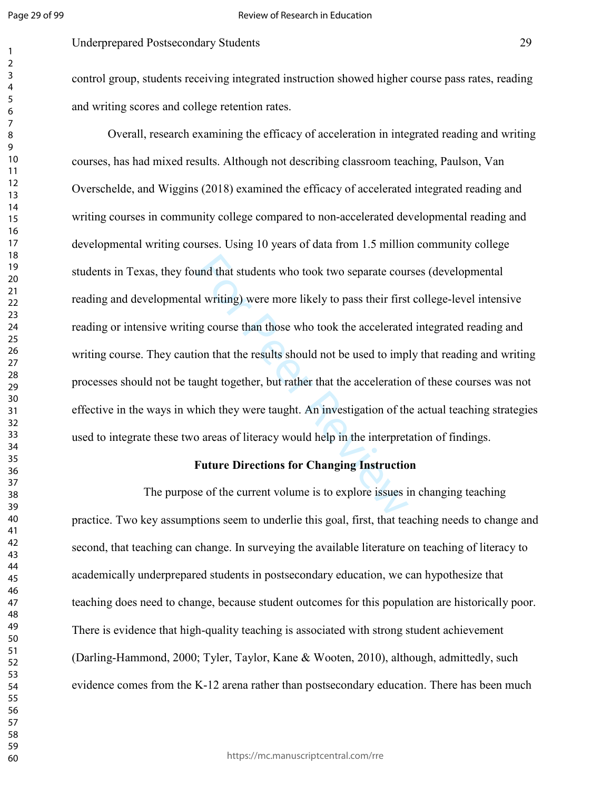# Underprepared Postsecondary Students 29

control group, students receiving integrated instruction showed higher course pass rates, reading and writing scores and college retention rates.

und that students who took two separate courd und that students who took two separate courd unit writing) were more likely to pass their first ag course than those who took the accelerated ion that the results should not b Overall, research examining the efficacy of acceleration in integrated reading and writing courses, has had mixed results. Although not describing classroom teaching, Paulson, Van Overschelde, and Wiggins (2018) examined the efficacy of accelerated integrated reading and writing courses in community college compared to non-accelerated developmental reading and developmental writing courses. Using 10 years of data from 1.5 million community college students in Texas, they found that students who took two separate courses (developmental reading and developmental writing) were more likely to pass their first college-level intensive reading or intensive writing course than those who took the accelerated integrated reading and writing course. They caution that the results should not be used to imply that reading and writing processes should not be taught together, but rather that the acceleration of these courses was not effective in the ways in which they were taught. An investigation of the actual teaching strategies used to integrate these two areas of literacy would help in the interpretation of findings.

#### **Future Directions for Changing Instruction**

The purpose of the current volume is to explore issues in changing teaching practice. Two key assumptions seem to underlie this goal, first, that teaching needs to change and second, that teaching can change. In surveying the available literature on teaching of literacy to academically underprepared students in postsecondary education, we can hypothesize that teaching does need to change, because student outcomes for this population are historically poor. There is evidence that high-quality teaching is associated with strong student achievement (Darling-Hammond, 2000; Tyler, Taylor, Kane & Wooten, 2010), although, admittedly, such evidence comes from the K-12 arena rather than postsecondary education. There has been much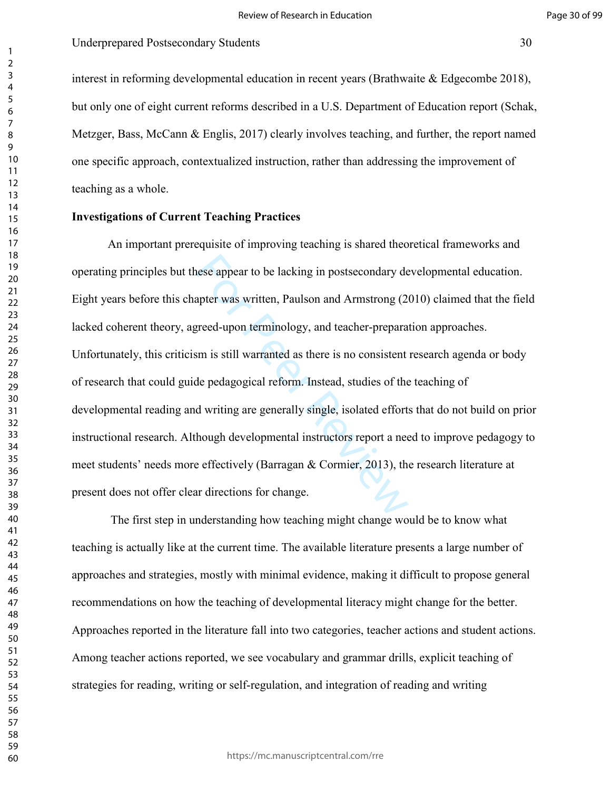interest in reforming developmental education in recent years (Brathwaite  $\&$  Edgecombe 2018), but only one of eight current reforms described in a U.S. Department of Education report (Schak, Metzger, Bass, McCann & Englis, 2017) clearly involves teaching, and further, the report named one specific approach, contextualized instruction, rather than addressing the improvement of teaching as a whole.

#### **Investigations of Current Teaching Practices**

nese appear to be lacking in postsecondary desprete was written, Paulson and Armstrong (2)<br>greed-upon terminology, and teacher-prepara<br>sm is still warranted as there is no consistent<br>de pedagogical reform. Instead, studies An important prerequisite of improving teaching is shared theoretical frameworks and operating principles but these appear to be lacking in postsecondary developmental education. Eight years before this chapter was written, Paulson and Armstrong (2010) claimed that the field lacked coherent theory, agreed-upon terminology, and teacher-preparation approaches. Unfortunately, this criticism is still warranted as there is no consistent research agenda or body of research that could guide pedagogical reform. Instead, studies of the teaching of developmental reading and writing are generally single, isolated efforts that do not build on prior instructional research. Although developmental instructors report a need to improve pedagogy to meet students' needs more effectively (Barragan & Cormier, 2013), the research literature at present does not offer clear directions for change.

 The first step in understanding how teaching might change would be to know what teaching is actually like at the current time. The available literature presents a large number of approaches and strategies, mostly with minimal evidence, making it difficult to propose general recommendations on how the teaching of developmental literacy might change for the better. Approaches reported in the literature fall into two categories, teacher actions and student actions. Among teacher actions reported, we see vocabulary and grammar drills, explicit teaching of strategies for reading, writing or self-regulation, and integration of reading and writing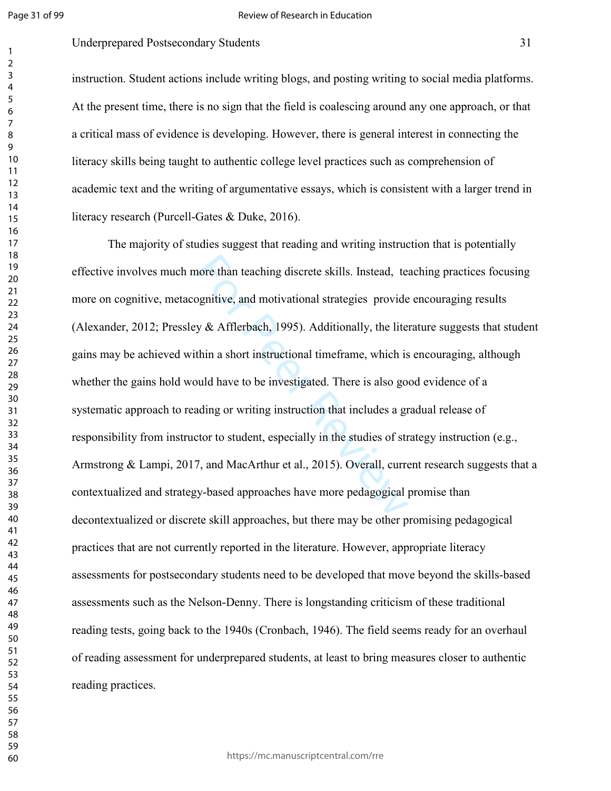#### Review of Research in Education

# Underprepared Postsecondary Students 31

instruction. Student actions include writing blogs, and posting writing to social media platforms. At the present time, there is no sign that the field is coalescing around any one approach, or that a critical mass of evidence is developing. However, there is general interest in connecting the literacy skills being taught to authentic college level practices such as comprehension of academic text and the writing of argumentative essays, which is consistent with a larger trend in literacy research (Purcell-Gates & Duke, 2016).

hore than teaching discrete skills. Instead, tends<br>positive, and motivational strategies provide<br>y & Afflerbach, 1995). Additionally, the lite<br>thin a short instructional time<br>frame, which is<br>puld have to be investigated. T The majority of studies suggest that reading and writing instruction that is potentially effective involves much more than teaching discrete skills. Instead, teaching practices focusing more on cognitive, metacognitive, and motivational strategies provide encouraging results (Alexander, 2012; Pressley & Afflerbach, 1995). Additionally, the literature suggests that student gains may be achieved within a short instructional timeframe, which is encouraging, although whether the gains hold would have to be investigated. There is also good evidence of a systematic approach to reading or writing instruction that includes a gradual release of responsibility from instructor to student, especially in the studies of strategy instruction (e.g., Armstrong & Lampi, 2017, and MacArthur et al., 2015). Overall, current research suggests that a contextualized and strategy-based approaches have more pedagogical promise than decontextualized or discrete skill approaches, but there may be other promising pedagogical practices that are not currently reported in the literature. However, appropriate literacy assessments for postsecondary students need to be developed that move beyond the skills-based assessments such as the Nelson-Denny. There is longstanding criticism of these traditional reading tests, going back to the 1940s (Cronbach, 1946). The field seems ready for an overhaul of reading assessment for underprepared students, at least to bring measures closer to authentic reading practices.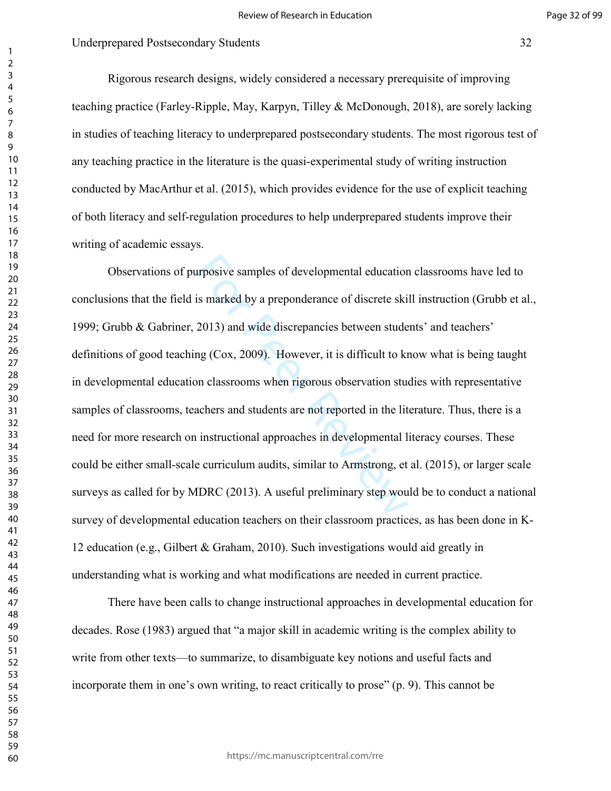Rigorous research designs, widely considered a necessary prerequisite of improving teaching practice (Farley-Ripple, May, Karpyn, Tilley & McDonough, 2018), are sorely lacking in studies of teaching literacy to underprepared postsecondary students. The most rigorous test of any teaching practice in the literature is the quasi-experimental study of writing instruction conducted by MacArthur et al. (2015), which provides evidence for the use of explicit teaching of both literacy and self-regulation procedures to help underprepared students improve their writing of academic essays.

alternal education<br>is marked by a preponderance of discrete ski<br>2013) and wide discrepancies between stude<br>ng (Cox, 2009). However, it is difficult to kn<br>no classrooms when rigorous observation stude<br>achers and students ar Observations of purposive samples of developmental education classrooms have led to conclusions that the field is marked by a preponderance of discrete skill instruction (Grubb et al., 1999; Grubb & Gabriner, 2013) and wide discrepancies between students' and teachers' definitions of good teaching (Cox, 2009). However, it is difficult to know what is being taught in developmental education classrooms when rigorous observation studies with representative samples of classrooms, teachers and students are not reported in the literature. Thus, there is a need for more research on instructional approaches in developmental literacy courses. These could be either small-scale curriculum audits, similar to Armstrong, et al. (2015), or larger scale surveys as called for by MDRC (2013). A useful preliminary step would be to conduct a national survey of developmental education teachers on their classroom practices, as has been done in K-12 education (e.g., Gilbert & Graham, 2010). Such investigations would aid greatly in understanding what is working and what modifications are needed in current practice.

There have been calls to change instructional approaches in developmental education for decades. Rose (1983) argued that "a major skill in academic writing is the complex ability to write from other texts—to summarize, to disambiguate key notions and useful facts and incorporate them in one's own writing, to react critically to prose" (p. 9). This cannot be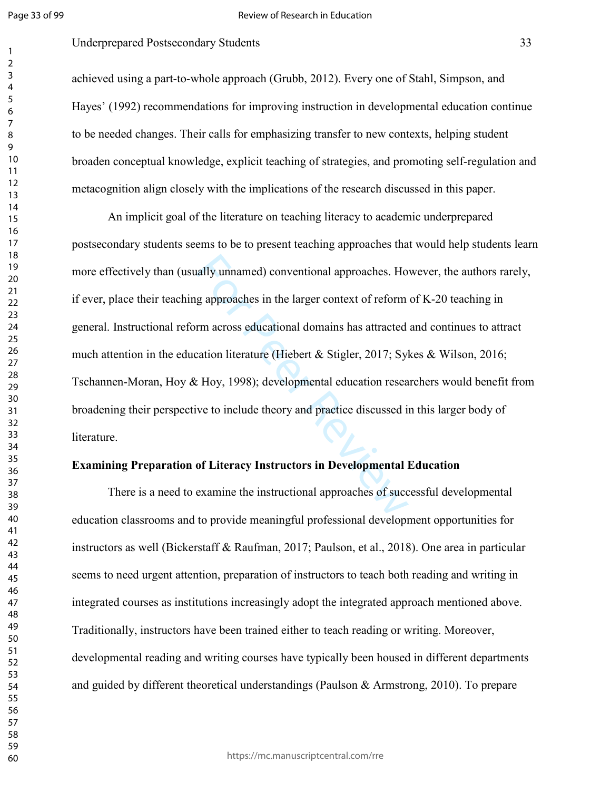#### Review of Research in Education

## Underprepared Postsecondary Students 33

achieved using a part-to-whole approach (Grubb, 2012). Every one of Stahl, Simpson, and Hayes' (1992) recommendations for improving instruction in developmental education continue to be needed changes. Their calls for emphasizing transfer to new contexts, helping student broaden conceptual knowledge, explicit teaching of strategies, and promoting self-regulation and metacognition align closely with the implications of the research discussed in this paper.

ally unnamed) conventional approaches. Ho<br>g approaches in the larger context of reform<br>rm across educational domains has attracted<br>cation literature (Hiebert & Stigler, 2017; Syl<br>t Hoy, 1998); developmental education resea An implicit goal of the literature on teaching literacy to academic underprepared postsecondary students seems to be to present teaching approaches that would help students learn more effectively than (usually unnamed) conventional approaches. However, the authors rarely, if ever, place their teaching approaches in the larger context of reform of K-20 teaching in general. Instructional reform across educational domains has attracted and continues to attract much attention in the education literature (Hiebert & Stigler, 2017; Sykes & Wilson, 2016; Tschannen-Moran, Hoy & Hoy, 1998); developmental education researchers would benefit from broadening their perspective to include theory and practice discussed in this larger body of literature.

#### **Examining Preparation of Literacy Instructors in Developmental Education**

There is a need to examine the instructional approaches of successful developmental education classrooms and to provide meaningful professional development opportunities for instructors as well (Bickerstaff & Raufman, 2017; Paulson, et al., 2018). One area in particular seems to need urgent attention, preparation of instructors to teach both reading and writing in integrated courses as institutions increasingly adopt the integrated approach mentioned above. Traditionally, instructors have been trained either to teach reading or writing. Moreover, developmental reading and writing courses have typically been housed in different departments and guided by different theoretical understandings (Paulson & Armstrong, 2010). To prepare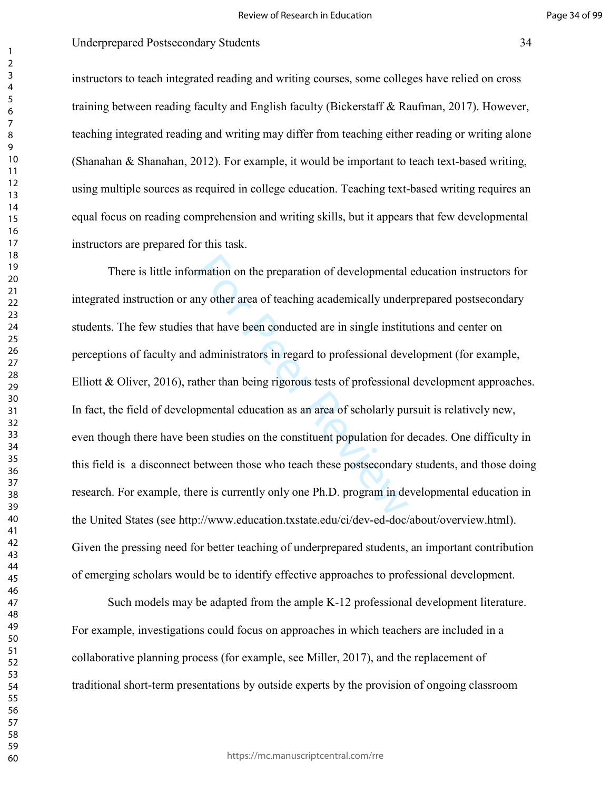instructors to teach integrated reading and writing courses, some colleges have relied on cross training between reading faculty and English faculty (Bickerstaff & Raufman, 2017). However, teaching integrated reading and writing may differ from teaching either reading or writing alone (Shanahan & Shanahan, 2012). For example, it would be important to teach text-based writing, using multiple sources as required in college education. Teaching text-based writing requires an equal focus on reading comprehension and writing skills, but it appears that few developmental instructors are prepared for this task.

mation on the preparation of developmental<br>ny other area of teaching academically under<br>that have been conducted are in single institu<br>administrators in regard to professional deve<br>ther than being rigorous tests of profess There is little information on the preparation of developmental education instructors for integrated instruction or any other area of teaching academically underprepared postsecondary students. The few studies that have been conducted are in single institutions and center on perceptions of faculty and administrators in regard to professional development (for example, Elliott & Oliver, 2016), rather than being rigorous tests of professional development approaches. In fact, the field of developmental education as an area of scholarly pursuit is relatively new, even though there have been studies on the constituent population for decades. One difficulty in this field is a disconnect between those who teach these postsecondary students, and those doing research. For example, there is currently only one Ph.D. program in developmental education in the United States (see http://www.education.txstate.edu/ci/dev-ed-doc/about/overview.html). Given the pressing need for better teaching of underprepared students, an important contribution of emerging scholars would be to identify effective approaches to professional development.

Such models may be adapted from the ample K-12 professional development literature. For example, investigations could focus on approaches in which teachers are included in a collaborative planning process (for example, see Miller, 2017), and the replacement of traditional short-term presentations by outside experts by the provision of ongoing classroom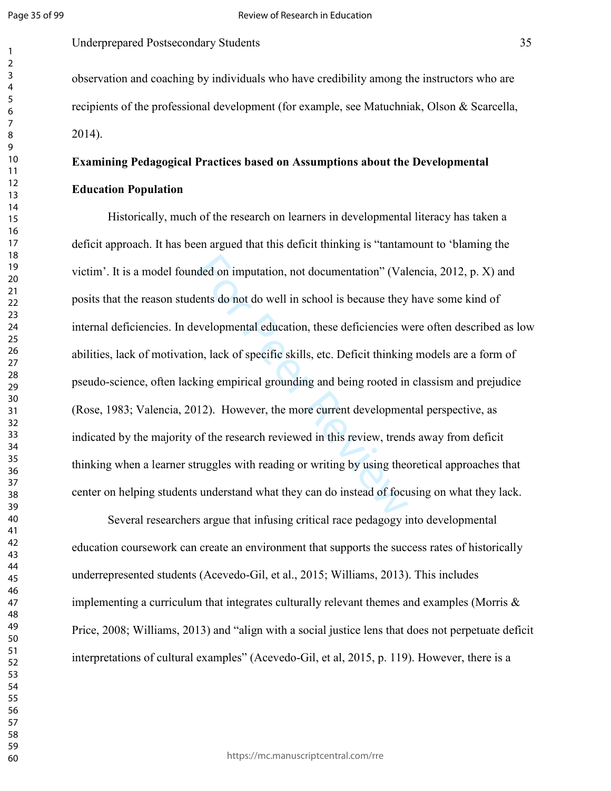Underprepared Postsecondary Students 35

observation and coaching by individuals who have credibility among the instructors who are recipients of the professional development (for example, see Matuchniak, Olson & Scarcella, 2014).

# **Examining Pedagogical Practices based on Assumptions about the Developmental Education Population**

ded on imputation, not documentation" (Valents do not do well in school is because they<br>evelopmental education, these deficiencies w<br>on, lack of specific skills, etc. Deficit thinking<br>sing empirical grounding and being roo Historically, much of the research on learners in developmental literacy has taken a deficit approach. It has been argued that this deficit thinking is "tantamount to 'blaming the victim'. It is a model founded on imputation, not documentation" (Valencia, 2012, p. X) and posits that the reason students do not do well in school is because they have some kind of internal deficiencies. In developmental education, these deficiencies were often described as low abilities, lack of motivation, lack of specific skills, etc. Deficit thinking models are a form of pseudo-science, often lacking empirical grounding and being rooted in classism and prejudice (Rose, 1983; Valencia, 2012). However, the more current developmental perspective, as indicated by the majority of the research reviewed in this review, trends away from deficit thinking when a learner struggles with reading or writing by using theoretical approaches that center on helping students understand what they can do instead of focusing on what they lack.

Several researchers argue that infusing critical race pedagogy into developmental education coursework can create an environment that supports the success rates of historically underrepresented students (Acevedo-Gil, et al., 2015; Williams, 2013). This includes implementing a curriculum that integrates culturally relevant themes and examples (Morris & Price, 2008; Williams, 2013) and "align with a social justice lens that does not perpetuate deficit interpretations of cultural examples" (Acevedo-Gil, et al, 2015, p. 119). However, there is a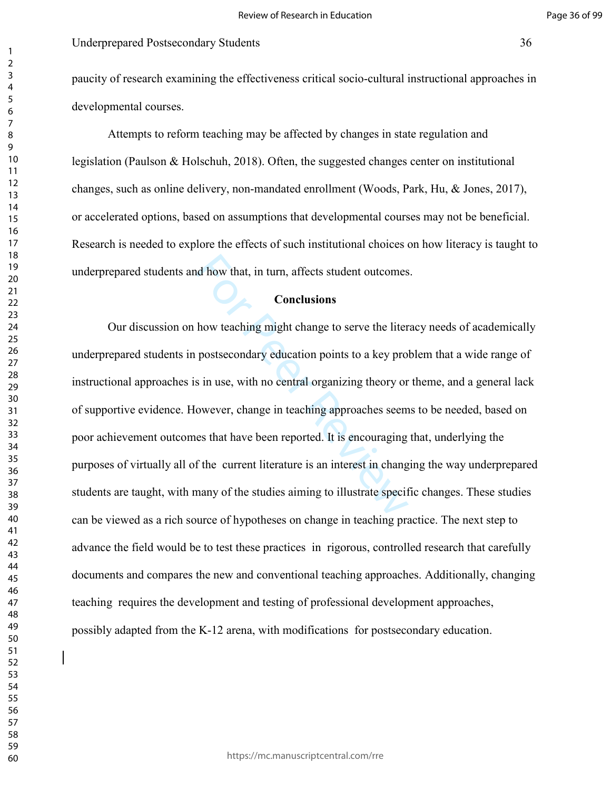# Underprepared Postsecondary Students 36

paucity of research examining the effectiveness critical socio-cultural instructional approaches in developmental courses.

Attempts to reform teaching may be affected by changes in state regulation and legislation (Paulson & Holschuh, 2018). Often, the suggested changes center on institutional changes, such as online delivery, non-mandated enrollment (Woods, Park, Hu, & Jones, 2017), or accelerated options, based on assumptions that developmental courses may not be beneficial. Research is needed to explore the effects of such institutional choices on how literacy is taught to underprepared students and how that, in turn, affects student outcomes.

# **Conclusions**

d how that, in turn, affects student outcomes<br> **Conclusions**<br>
how teaching might change to serve the liter<br>
postsecondary education points to a key pro<br>
is in use, with no central organizing theory or<br>
owever, change in te Our discussion on how teaching might change to serve the literacy needs of academically underprepared students in postsecondary education points to a key problem that a wide range of instructional approaches is in use, with no central organizing theory or theme, and a general lack of supportive evidence. However, change in teaching approaches seems to be needed, based on poor achievement outcomes that have been reported. It is encouraging that, underlying the purposes of virtually all of the current literature is an interest in changing the way underprepared students are taught, with many of the studies aiming to illustrate specific changes. These studies can be viewed as a rich source of hypotheses on change in teaching practice. The next step to advance the field would be to test these practices in rigorous, controlled research that carefully documents and compares the new and conventional teaching approaches. Additionally, changing teaching requires the development and testing of professional development approaches, possibly adapted from the K-12 arena, with modifications for postsecondary education.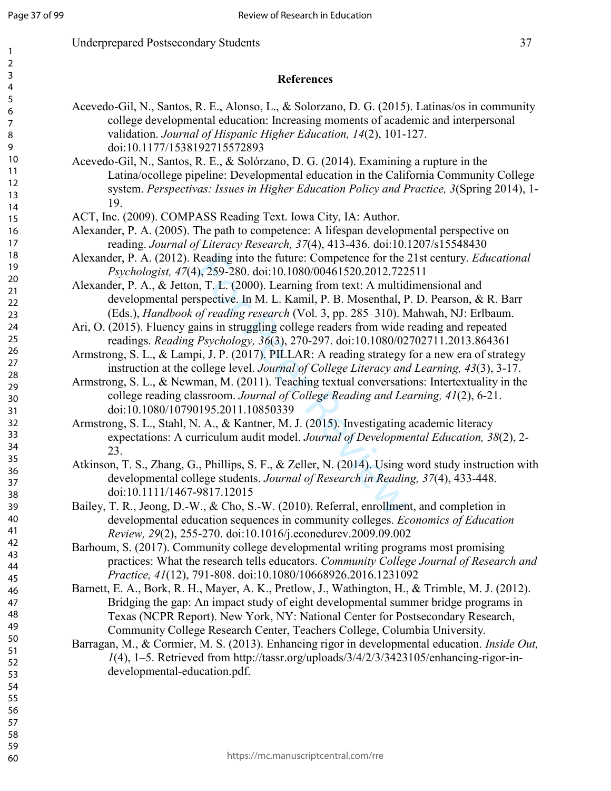# **References**

- Acevedo-Gil, N., Santos, R. E., Alonso, L., & Solorzano, D. G. (2015). Latinas/os in community college developmental education: Increasing moments of academic and interpersonal validation. *Journal of Hispanic Higher Education, 14*(2), 101-127. doi:10.1177/1538192715572893
- Acevedo-Gil, N., Santos, R. E., & Solórzano, D. G. (2014). Examining a rupture in the Latina/ocollege pipeline: Developmental education in the California Community College system. *Perspectivas: Issues in Higher Education Policy and Practice, 3*(Spring 2014), 1- 19.
- ACT, Inc. (2009). COMPASS Reading Text. Iowa City, IA: Author.
- Alexander, P. A. (2005). The path to competence: A lifespan developmental perspective on reading. *Journal of Literacy Research, 37*(4), 413-436. doi:10.1207/s15548430
- Alexander, P. A. (2012). Reading into the future: Competence for the 21st century. *Educational Psychologist, 47*(4), 259-280. doi:10.1080/00461520.2012.722511
- Alexander, P. A., & Jetton, T. L. (2000). Learning from text: A multidimensional and developmental perspective. In M. L. Kamil, P. B. Mosenthal, P. D. Pearson, & R. Barr (Eds.), *Handbook of reading research* (Vol. 3, pp. 285–310). Mahwah, NJ: Erlbaum.
- Ari, O. (2015). Fluency gains in struggling college readers from wide reading and repeated readings. *Reading Psychology, 36*(3), 270-297. doi:10.1080/02702711.2013.864361
- Armstrong, S. L., & Lampi, J. P. (2017). PILLAR: A reading strategy for a new era of strategy instruction at the college level. *Journal of College Literacy and Learning, 43*(3), 3-17.
- Armstrong, S. L., & Newman, M. (2011). Teaching textual conversations: Intertextuality in the college reading classroom. *Journal of College Reading and Learning, 41*(2), 6-21. doi:10.1080/10790195.2011.10850339
- Reading into the future: Competence for the 2, 0, 259-280. doi:10.1080/00461520.2012.722<br>
1, T. L. (2000). Learning from text: A multid<br>
spective. In M. L. Kamil, P. B. Mosenthal, P<br>
of reading research (Vol. 3, pp. 285–31 Armstrong, S. L., Stahl, N. A., & Kantner, M. J. (2015). Investigating academic literacy expectations: A curriculum audit model. *Journal of Developmental Education, 38*(2), 2- 23.
- Atkinson, T. S., Zhang, G., Phillips, S. F., & Zeller, N. (2014). Using word study instruction with developmental college students. *Journal of Research in Reading, 37*(4), 433-448. doi:10.1111/1467-9817.12015
- Bailey, T. R., Jeong, D.-W., & Cho, S.-W. (2010). Referral, enrollment, and completion in developmental education sequences in community colleges. *Economics of Education Review, 29*(2), 255-270. doi:10.1016/j.econedurev.2009.09.002
- Barhoum, S. (2017). Community college developmental writing programs most promising practices: What the research tells educators. *Community College Journal of Research and Practice, 41*(12), 791-808. doi:10.1080/10668926.2016.1231092
- Barnett, E. A., Bork, R. H., Mayer, A. K., Pretlow, J., Wathington, H., & Trimble, M. J. (2012). Bridging the gap: An impact study of eight developmental summer bridge programs in Texas (NCPR Report). New York, NY: National Center for Postsecondary Research, Community College Research Center, Teachers College, Columbia University.
- Barragan, M., & Cormier, M. S. (2013). Enhancing rigor in developmental education. *Inside Out, 1*(4), 1–5. Retrieved from http://tassr.org/uploads/3/4/2/3/3423105/enhancing-rigor-indevelopmental-education.pdf.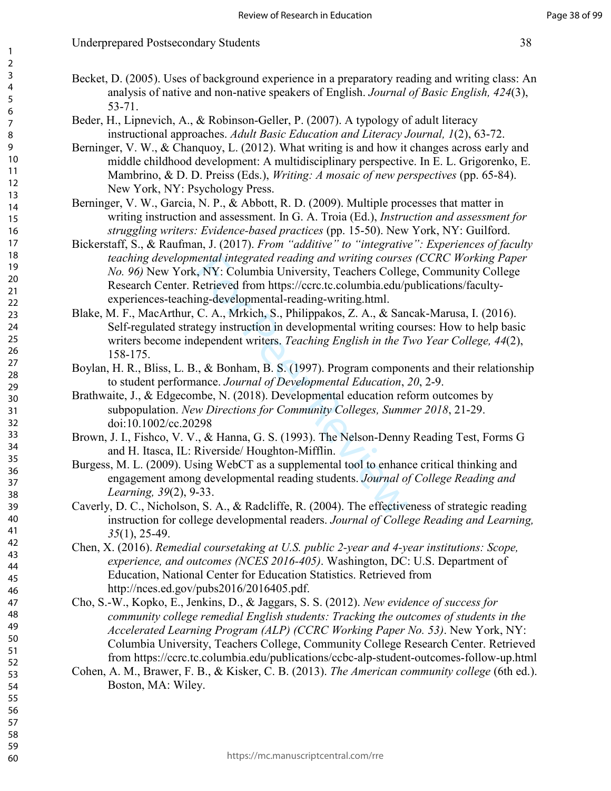# Underprepared Postsecondary Students 38

- Becket, D. (2005). Uses of background experience in a preparatory reading and writing class: An analysis of native and non-native speakers of English. *Journal of Basic English, 424*(3), 53-71.
- Beder, H., Lipnevich, A., & Robinson-Geller, P. (2007). A typology of adult literacy instructional approaches. *Adult Basic Education and Literacy Journal, 1*(2), 63-72.
- Berninger, V. W., & Chanquoy, L. (2012). What writing is and how it changes across early and middle childhood development: A multidisciplinary perspective. In E. L. Grigorenko, E. Mambrino, & D. D. Preiss (Eds.), *Writing: A mosaic of new perspectives* (pp. 65-84). New York, NY: Psychology Press.
- Berninger, V. W., Garcia, N. P., & Abbott, R. D. (2009). Multiple processes that matter in writing instruction and assessment. In G. A. Troia (Ed.), *Instruction and assessment for struggling writers: Evidence-based practices* (pp. 15-50). New York, NY: Guilford.
- Bickerstaff, S., & Raufman, J. (2017). *From "additive" to "integrative": Experiences of faculty teaching developmental integrated reading and writing courses (CCRC Working Paper No. 96)* New York, NY: Columbia University, Teachers College, Community College Research Center. Retrieved from https://ccrc.tc.columbia.edu/publications/facultyexperiences-teaching-developmental-reading-writing.html.
- interior and writing courses.<br>
S. NY: Columbia University, Teachers Collegental entires (NY: Columbia University, Teachers Collegent<br>
Retrieved from https://ccrc.tc.columbia.edu/p<br>
ng-developmental-reading-writing.html.<br>
C Blake, M. F., MacArthur, C. A., Mrkich, S., Philippakos, Z. A., & Sancak-Marusa, I. (2016). Self-regulated strategy instruction in developmental writing courses: How to help basic writers become independent writers. *Teaching English in the Two Year College, 44*(2), 158-175.
- Boylan, H. R., Bliss, L. B., & Bonham, B. S. (1997). Program components and their relationship to student performance. *Journal of Developmental Education*, *20*, 2-9.
- Brathwaite, J., & Edgecombe, N. (2018). Developmental education reform outcomes by subpopulation. *New Directions for Community Colleges, Summer 2018*, 21-29. doi:10.1002/cc.20298
- Brown, J. I., Fishco, V. V., & Hanna, G. S. (1993). The Nelson-Denny Reading Test, Forms G and H. Itasca, IL: Riverside/ Houghton-Mifflin.
- Burgess, M. L. (2009). Using WebCT as a supplemental tool to enhance critical thinking and engagement among developmental reading students. *Journal of College Reading and Learning, 39*(2), 9-33.
- Caverly, D. C., Nicholson, S. A., & Radcliffe, R. (2004). The effectiveness of strategic reading instruction for college developmental readers. *Journal of College Reading and Learning, 35*(1), 25-49.
- Chen, X. (2016). *Remedial coursetaking at U.S. public 2-year and 4-year institutions: Scope, experience, and outcomes (NCES 2016-405)*. Washington, DC: U.S. Department of Education, National Center for Education Statistics. Retrieved from http://nces.ed.gov/pubs2016/2016405.pdf.
- Cho, S.-W., Kopko, E., Jenkins, D., & Jaggars, S. S. (2012). *New evidence of success for community college remedial English students: Tracking the outcomes of students in the Accelerated Learning Program (ALP) (CCRC Working Paper No. 53)*. New York, NY: Columbia University, Teachers College, Community College Research Center. Retrieved from https://ccrc.tc.columbia.edu/publications/ccbc-alp-student-outcomes-follow-up.html
- Cohen, A. M., Brawer, F. B., & Kisker, C. B. (2013). *The American community college* (6th ed.). Boston, MA: Wiley.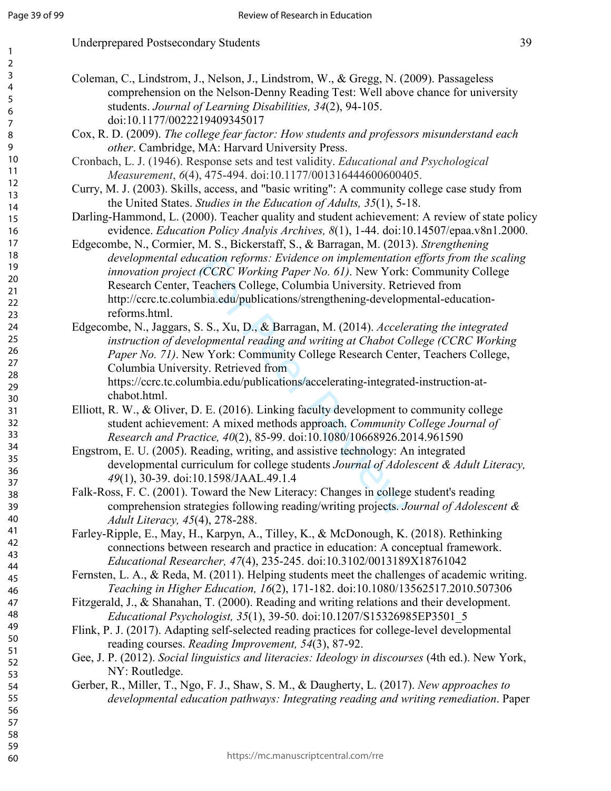| Coleman, C., Lindstrom, J., Nelson, J., Lindstrom, W., & Gregg, N. (2009). Passageless                                                                                 |  |
|------------------------------------------------------------------------------------------------------------------------------------------------------------------------|--|
| comprehension on the Nelson-Denny Reading Test: Well above chance for university                                                                                       |  |
| students. Journal of Learning Disabilities, 34(2), 94-105.                                                                                                             |  |
| doi:10.1177/0022219409345017                                                                                                                                           |  |
| Cox, R. D. (2009). The college fear factor: How students and professors misunderstand each                                                                             |  |
| other. Cambridge, MA: Harvard University Press.                                                                                                                        |  |
| Cronbach, L. J. (1946). Response sets and test validity. Educational and Psychological                                                                                 |  |
| Measurement, 6(4), 475-494. doi:10.1177/001316444600600405.                                                                                                            |  |
| Curry, M. J. (2003). Skills, access, and "basic writing": A community college case study from                                                                          |  |
| the United States. Studies in the Education of Adults, 35(1), 5-18.                                                                                                    |  |
| Darling-Hammond, L. (2000). Teacher quality and student achievement: A review of state policy                                                                          |  |
| evidence. Education Policy Analyis Archives, 8(1), 1-44. doi:10.14507/epaa.v8n1.2000.                                                                                  |  |
| Edgecombe, N., Cormier, M. S., Bickerstaff, S., & Barragan, M. (2013). Strengthening                                                                                   |  |
| developmental education reforms: Evidence on implementation efforts from the scaling                                                                                   |  |
| innovation project (CCRC Working Paper No. 61). New York: Community College                                                                                            |  |
| Research Center, Teachers College, Columbia University. Retrieved from                                                                                                 |  |
| http://ccrc.tc.columbia.edu/publications/strengthening-developmental-education-                                                                                        |  |
| reforms.html.                                                                                                                                                          |  |
| Edgecombe, N., Jaggars, S. S., Xu, D., & Barragan, M. (2014). Accelerating the integrated                                                                              |  |
| instruction of developmental reading and writing at Chabot College (CCRC Working                                                                                       |  |
| Paper No. 71). New York: Community College Research Center, Teachers College,                                                                                          |  |
| Columbia University. Retrieved from                                                                                                                                    |  |
| https://ccrc.tc.columbia.edu/publications/accelerating-integrated-instruction-at-                                                                                      |  |
| chabot.html.                                                                                                                                                           |  |
| Elliott, R. W., & Oliver, D. E. (2016). Linking faculty development to community college                                                                               |  |
| student achievement: A mixed methods approach. Community College Journal of                                                                                            |  |
| Research and Practice, 40(2), 85-99. doi:10.1080/10668926.2014.961590                                                                                                  |  |
| Engstrom, E. U. (2005). Reading, writing, and assistive technology: An integrated                                                                                      |  |
| developmental curriculum for college students Journal of Adolescent & Adult Literacy,                                                                                  |  |
| 49(1), 30-39. doi:10.1598/JAAL.49.1.4                                                                                                                                  |  |
| Falk-Ross, F. C. (2001). Toward the New Literacy: Changes in college student's reading                                                                                 |  |
| comprehension strategies following reading/writing projects. Journal of Adolescent &                                                                                   |  |
| Adult Literacy, 45(4), 278-288.                                                                                                                                        |  |
| Farley-Ripple, E., May, H., Karpyn, A., Tilley, K., & McDonough, K. (2018). Rethinking                                                                                 |  |
| connections between research and practice in education: A conceptual framework.                                                                                        |  |
| Educational Researcher, 47(4), 235-245. doi:10.3102/0013189X18761042                                                                                                   |  |
| Fernsten, L. A., & Reda, M. (2011). Helping students meet the challenges of academic writing.                                                                          |  |
| Teaching in Higher Education, 16(2), 171-182. doi:10.1080/13562517.2010.507306                                                                                         |  |
| Fitzgerald, J., & Shanahan, T. (2000). Reading and writing relations and their development.                                                                            |  |
| Educational Psychologist, 35(1), 39-50. doi:10.1207/S15326985EP3501_5<br>Flink, P. J. (2017). Adapting self-selected reading practices for college-level developmental |  |
| reading courses. Reading Improvement, 54(3), 87-92.                                                                                                                    |  |
| Gee, J. P. (2012). Social linguistics and literacies: Ideology in discourses (4th ed.). New York,                                                                      |  |
| NY: Routledge.                                                                                                                                                         |  |
| Gerber, R., Miller, T., Ngo, F. J., Shaw, S. M., & Daugherty, L. (2017). New approaches to                                                                             |  |
| developmental education pathways: Integrating reading and writing remediation. Paper                                                                                   |  |
|                                                                                                                                                                        |  |
|                                                                                                                                                                        |  |
|                                                                                                                                                                        |  |
|                                                                                                                                                                        |  |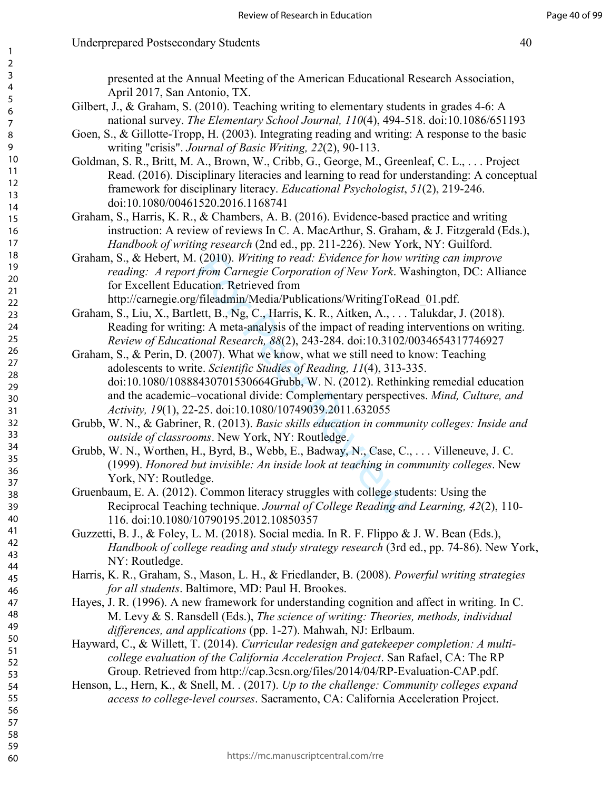presented at the Annual Meeting of the American Educational Research Association, April 2017, San Antonio, TX.

- Gilbert, J., & Graham, S. (2010). Teaching writing to elementary students in grades 4-6: A national survey. *The Elementary School Journal, 110*(4), 494-518. doi:10.1086/651193
- Goen, S., & Gillotte-Tropp, H. (2003). Integrating reading and writing: A response to the basic writing "crisis". *Journal of Basic Writing, 22*(2), 90-113.
- Goldman, S. R., Britt, M. A., Brown, W., Cribb, G., George, M., Greenleaf, C. L., . . . Project Read. (2016). Disciplinary literacies and learning to read for understanding: A conceptual framework for disciplinary literacy. *Educational Psychologist*, *51*(2), 219-246. doi:10.1080/00461520.2016.1168741

Graham, S., Harris, K. R., & Chambers, A. B. (2016). Evidence-based practice and writing instruction: A review of reviews In C. A. MacArthur, S. Graham, & J. Fitzgerald (Eds.), *Handbook of writing research* (2nd ed., pp. 211-226). New York, NY: Guilford.

- Graham, S., & Hebert, M. (2010). *Writing to read: Evidence for how writing can improve reading: A report from Carnegie Corporation of New York*. Washington, DC: Alliance for Excellent Education. Retrieved from http://carnegie.org/fileadmin/Media/Publications/WritingToRead\_01.pdf.
- Graham, S., Liu, X., Bartlett, B., Ng, C., Harris, K. R., Aitken, A., . . . Talukdar, J. (2018). Reading for writing: A meta-analysis of the impact of reading interventions on writing. *Review of Educational Research, 88*(2), 243-284. doi:10.3102/0034654317746927
- (2010). Writing to read: Evidence for how v<br>from Carnegie Corporation of New York. W<br>attion. Retrieved from<br>/fileadmin/Media/Publications/WritingToRe<br>ett, B., Ng, C., Harris, K. R., Aitken, A., . . .<br>g: A meta-analysis of Graham, S., & Perin, D. (2007). What we know, what we still need to know: Teaching adolescents to write. *Scientific Studies of Reading, 11*(4), 313-335. doi:10.1080/10888430701530664Grubb, W. N. (2012). Rethinking remedial education and the academic–vocational divide: Complementary perspectives. *Mind, Culture, and Activity, 19*(1), 22-25. doi:10.1080/10749039.2011.632055
- Grubb, W. N., & Gabriner, R. (2013). *Basic skills education in community colleges: Inside and outside of classrooms*. New York, NY: Routledge.
- Grubb, W. N., Worthen, H., Byrd, B., Webb, E., Badway, N., Case, C., . . . Villeneuve, J. C. (1999). *Honored but invisible: An inside look at teaching in community colleges*. New York, NY: Routledge.
- Gruenbaum, E. A. (2012). Common literacy struggles with college students: Using the Reciprocal Teaching technique. *Journal of College Reading and Learning, 42*(2), 110- 116. doi:10.1080/10790195.2012.10850357
- Guzzetti, B. J., & Foley, L. M. (2018). Social media. In R. F. Flippo & J. W. Bean (Eds.), *Handbook of college reading and study strategy research* (3rd ed., pp. 74-86). New York, NY: Routledge.
- Harris, K. R., Graham, S., Mason, L. H., & Friedlander, B. (2008). *Powerful writing strategies for all students*. Baltimore, MD: Paul H. Brookes.
- Hayes, J. R. (1996). A new framework for understanding cognition and affect in writing. In C. M. Levy & S. Ransdell (Eds.), *The science of writing: Theories, methods, individual differences, and applications* (pp. 1-27). Mahwah, NJ: Erlbaum.
- Hayward, C., & Willett, T. (2014). *Curricular redesign and gatekeeper completion: A multicollege evaluation of the California Acceleration Project*. San Rafael, CA: The RP Group. Retrieved from http://cap.3csn.org/files/2014/04/RP-Evaluation-CAP.pdf.
- Henson, L., Hern, K., & Snell, M. . (2017). *Up to the challenge: Community colleges expand access to college-level courses*. Sacramento, CA: California Acceleration Project.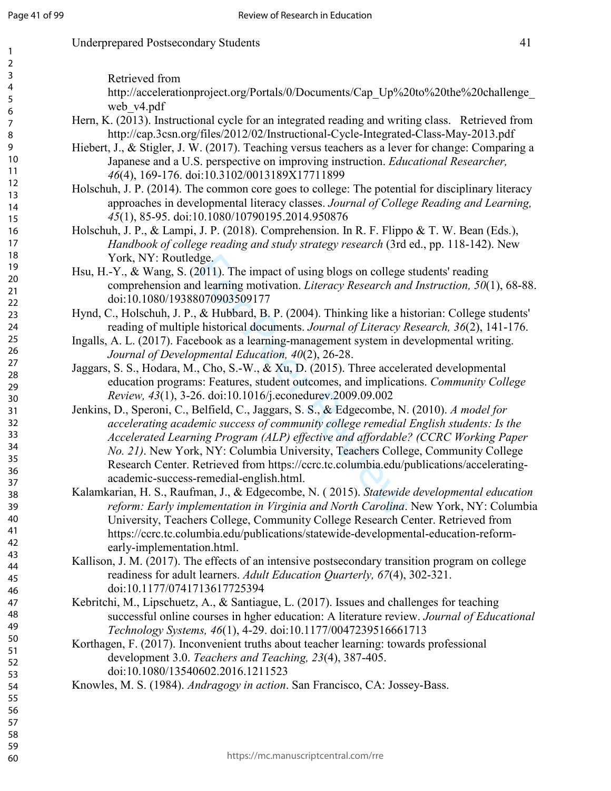http://accelerationproject.org/Portals/0/Documents/Cap\_Up%20to%20the%20challenge\_

Retrieved from

| web v4.pdf                                                                                                                                                                                                                                                                                                                                                                                                                                                                                       |
|--------------------------------------------------------------------------------------------------------------------------------------------------------------------------------------------------------------------------------------------------------------------------------------------------------------------------------------------------------------------------------------------------------------------------------------------------------------------------------------------------|
| Hern, K. (2013). Instructional cycle for an integrated reading and writing class. Retrieved from<br>http://cap.3csn.org/files/2012/02/Instructional-Cycle-Integrated-Class-May-2013.pdf<br>Hiebert, J., & Stigler, J. W. (2017). Teaching versus teachers as a lever for change: Comparing a                                                                                                                                                                                                     |
| Japanese and a U.S. perspective on improving instruction. Educational Researcher,<br>46(4), 169-176. doi:10.3102/0013189X17711899                                                                                                                                                                                                                                                                                                                                                                |
| Holschuh, J. P. (2014). The common core goes to college: The potential for disciplinary literacy<br>approaches in developmental literacy classes. Journal of College Reading and Learning,<br>45(1), 85-95. doi:10.1080/10790195.2014.950876                                                                                                                                                                                                                                                     |
| Holschuh, J. P., & Lampi, J. P. (2018). Comprehension. In R. F. Flippo & T. W. Bean (Eds.),<br>Handbook of college reading and study strategy research (3rd ed., pp. 118-142). New<br>York, NY: Routledge.                                                                                                                                                                                                                                                                                       |
| Hsu, H.-Y., & Wang, S. (2011). The impact of using blogs on college students' reading<br>comprehension and learning motivation. Literacy Research and Instruction, 50(1), 68-88.<br>doi:10.1080/19388070903509177                                                                                                                                                                                                                                                                                |
| Hynd, C., Holschuh, J. P., & Hubbard, B. P. (2004). Thinking like a historian: College students'<br>reading of multiple historical documents. Journal of Literacy Research, 36(2), 141-176.                                                                                                                                                                                                                                                                                                      |
| Ingalls, A. L. (2017). Facebook as a learning-management system in developmental writing.<br>Journal of Developmental Education, 40(2), 26-28.                                                                                                                                                                                                                                                                                                                                                   |
| Jaggars, S. S., Hodara, M., Cho, S.-W., & Xu, D. (2015). Three accelerated developmental<br>education programs: Features, student outcomes, and implications. Community College<br>Review, 43(1), 3-26. doi:10.1016/j.econedurev.2009.09.002                                                                                                                                                                                                                                                     |
| Jenkins, D., Speroni, C., Belfield, C., Jaggars, S. S., & Edgecombe, N. (2010). A model for<br>accelerating academic success of community college remedial English students: Is the<br>Accelerated Learning Program (ALP) effective and affordable? (CCRC Working Paper<br>No. 21). New York, NY: Columbia University, Teachers College, Community College<br>Research Center. Retrieved from https://ccrc.tc.columbia.edu/publications/accelerating-<br>academic-success-remedial-english.html. |
| Kalamkarian, H. S., Raufman, J., & Edgecombe, N. (2015). Statewide developmental education<br>reform: Early implementation in Virginia and North Carolina. New York, NY: Columbia<br>University, Teachers College, Community College Research Center. Retrieved from<br>https://ccrc.tc.columbia.edu/publications/statewide-developmental-education-reform-<br>early-implementation.html                                                                                                         |
| Kallison, J. M. (2017). The effects of an intensive postsecondary transition program on college<br>readiness for adult learners. Adult Education Quarterly, 67(4), 302-321.<br>doi:10.1177/0741713617725394                                                                                                                                                                                                                                                                                      |
| Kebritchi, M., Lipschuetz, A., & Santiague, L. (2017). Issues and challenges for teaching<br>successful online courses in hgher education: A literature review. Journal of Educational<br>Technology Systems, 46(1), 4-29. doi:10.1177/0047239516661713                                                                                                                                                                                                                                          |
| Korthagen, F. (2017). Inconvenient truths about teacher learning: towards professional<br>development 3.0. Teachers and Teaching, 23(4), 387-405.<br>doi:10.1080/13540602.2016.1211523                                                                                                                                                                                                                                                                                                           |
| Knowles, M. S. (1984). Andragogy in action. San Francisco, CA: Jossey-Bass.                                                                                                                                                                                                                                                                                                                                                                                                                      |
| https://mc.manuscriptcentral.com/rre                                                                                                                                                                                                                                                                                                                                                                                                                                                             |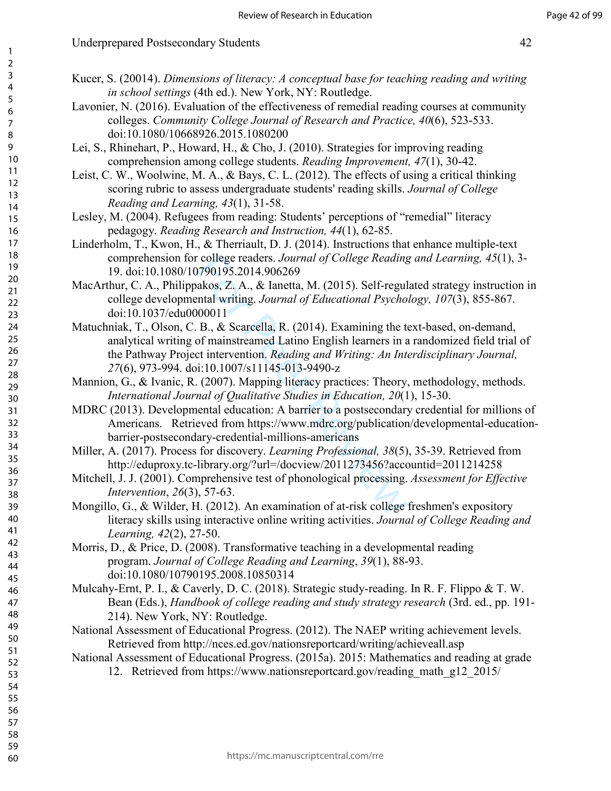# Underprepared Postsecondary Students 42

- Kucer, S. (20014). *Dimensions of literacy: A conceptual base for teaching reading and writing in school settings* (4th ed.). New York, NY: Routledge.
- Lavonier, N. (2016). Evaluation of the effectiveness of remedial reading courses at community colleges. *Community College Journal of Research and Practice, 40*(6), 523-533. doi:10.1080/10668926.2015.1080200
- Lei, S., Rhinehart, P., Howard, H., & Cho, J. (2010). Strategies for improving reading comprehension among college students. *Reading Improvement, 47*(1), 30-42.
- Leist, C. W., Woolwine, M. A., & Bays, C. L. (2012). The effects of using a critical thinking scoring rubric to assess undergraduate students' reading skills. *Journal of College Reading and Learning, 43*(1), 31-58.
- Lesley, M. (2004). Refugees from reading: Students' perceptions of "remedial" literacy pedagogy. *Reading Research and Instruction, 44*(1), 62-85.
- Linderholm, T., Kwon, H., & Therriault, D. J. (2014). Instructions that enhance multiple-text comprehension for college readers. *Journal of College Reading and Learning, 45*(1), 3- 19. doi:10.1080/10790195.2014.906269
- MacArthur, C. A., Philippakos, Z. A., & Ianetta, M. (2015). Self-regulated strategy instruction in college developmental writing. *Journal of Educational Psychology, 107*(3), 855-867. doi:10.1037/edu0000011
- r college readers. *Journal of College Reading*<br>
7790195.2014.906269<br>
akos, Z. A., & Ianetta, M. (2015). Self-regul<br>
ential writing. *Journal of Educational Psychol*<br>
79000011<br>
B., & Scarcella, R. (2014). Examining the to Matuchniak, T., Olson, C. B., & Scarcella, R. (2014). Examining the text-based, on-demand, analytical writing of mainstreamed Latino English learners in a randomized field trial of the Pathway Project intervention. *Reading and Writing: An Interdisciplinary Journal, 27*(6), 973-994. doi:10.1007/s11145-013-9490-z
- Mannion, G., & Ivanic, R. (2007). Mapping literacy practices: Theory, methodology, methods. *International Journal of Qualitative Studies in Education, 20*(1), 15-30.
- MDRC (2013). Developmental education: A barrier to a postsecondary credential for millions of Americans. Retrieved from https://www.mdrc.org/publication/developmental-educationbarrier-postsecondary-credential-millions-americans
- Miller, A. (2017). Process for discovery. *Learning Professional, 38*(5), 35-39. Retrieved from http://eduproxy.tc-library.org/?url=/docview/2011273456?accountid=2011214258
- Mitchell, J. J. (2001). Comprehensive test of phonological processing. *Assessment for Effective Intervention*, *26*(3), 57-63.
- Mongillo, G., & Wilder, H. (2012). An examination of at-risk college freshmen's expository literacy skills using interactive online writing activities. *Journal of College Reading and Learning, 42*(2), 27-50.
- Morris, D., & Price, D. (2008). Transformative teaching in a developmental reading program. *Journal of College Reading and Learning*, *39*(1), 88-93. doi:10.1080/10790195.2008.10850314
- Mulcahy-Ernt, P. I., & Caverly, D. C. (2018). Strategic study-reading. In R. F. Flippo & T. W. Bean (Eds.), *Handbook of college reading and study strategy research* (3rd. ed., pp. 191- 214). New York, NY: Routledge.
- National Assessment of Educational Progress. (2012). The NAEP writing achievement levels. Retrieved from http://nces.ed.gov/nationsreportcard/writing/achieveall.asp
- National Assessment of Educational Progress. (2015a). 2015: Mathematics and reading at grade 12. Retrieved from https://www.nationsreportcard.gov/reading\_math\_g12\_2015/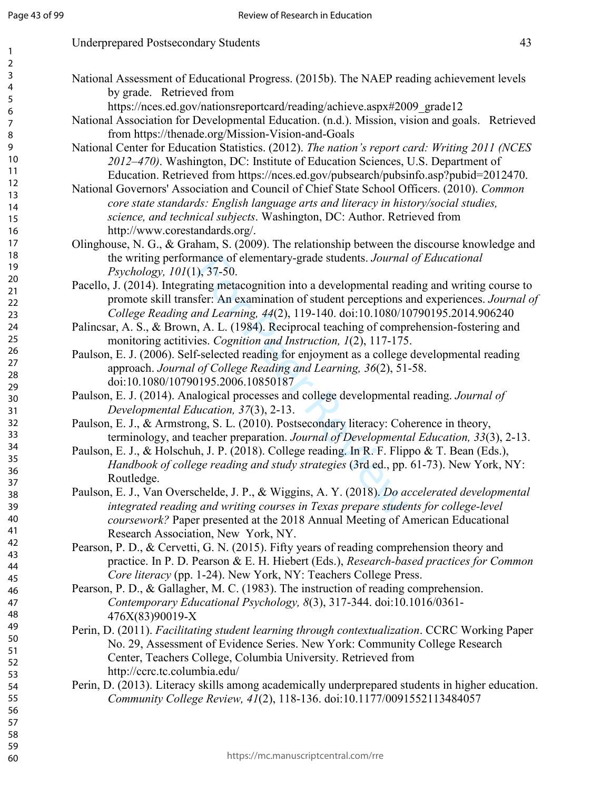| <b>Underprepared Postsecondary Students</b> |  |
|---------------------------------------------|--|
|---------------------------------------------|--|

- National Assessment of Educational Progress. (2015b). The NAEP reading achievement levels by grade. Retrieved from https://nces.ed.gov/nationsreportcard/reading/achieve.aspx#2009\_grade12 National Association for Developmental Education. (n.d.). Mission, vision and goals. Retrieved from https://thenade.org/Mission-Vision-and-Goals
	- National Center for Education Statistics. (2012). *The nation's report card: Writing 2011 (NCES 2012–470)*. Washington, DC: Institute of Education Sciences, U.S. Department of Education. Retrieved from https://nces.ed.gov/pubsearch/pubsinfo.asp?pubid=2012470.
	- National Governors' Association and Council of Chief State School Officers. (2010). *Common core state standards: English language arts and literacy in history/social studies, science, and technical subjects*. Washington, DC: Author. Retrieved from http://www.corestandards.org/.
	- Olinghouse, N. G., & Graham, S. (2009). The relationship between the discourse knowledge and the writing performance of elementary-grade students. *Journal of Educational Psychology, 101*(1), 37-50.
	- Pacello, J. (2014). Integrating metacognition into a developmental reading and writing course to promote skill transfer: An examination of student perceptions and experiences. *Journal of College Reading and Learning, 44*(2), 119-140. doi:10.1080/10790195.2014.906240
	- Palincsar, A. S., & Brown, A. L. (1984). Reciprocal teaching of comprehension-fostering and monitoring actitivies. *Cognition and Instruction, 1*(2), 117-175.
	- Paulson, E. J. (2006). Self-selected reading for enjoyment as a college developmental reading approach. *Journal of College Reading and Learning, 36*(2), 51-58. doi:10.1080/10790195.2006.10850187
	- Paulson, E. J. (2014). Analogical processes and college developmental reading. *Journal of Developmental Education, 37*(3), 2-13.
	- Paulson, E. J., & Armstrong, S. L. (2010). Postsecondary literacy: Coherence in theory, terminology, and teacher preparation. *Journal of Developmental Education, 33*(3), 2-13.
	- mance of elementary-grade students. Journal<br>
	), 37-50.<br>
	ting metacognition into a developmental reaction<br>
	feer: An examination of student perceptions and Learning, 44(2), 119-140. doi:10.1080/1<br>
	(, A. L. (1984). Reciproca Paulson, E. J., & Holschuh, J. P. (2018). College reading. In R. F. Flippo & T. Bean (Eds.), *Handbook of college reading and study strategies* (3rd ed., pp. 61-73). New York, NY: Routledge.
	- Paulson, E. J., Van Overschelde, J. P., & Wiggins, A. Y. (2018). *Do accelerated developmental integrated reading and writing courses in Texas prepare students for college-level coursework?* Paper presented at the 2018 Annual Meeting of American Educational Research Association, New York, NY.
	- Pearson, P. D., & Cervetti, G. N. (2015). Fifty years of reading comprehension theory and practice. In P. D. Pearson & E. H. Hiebert (Eds.), *Research-based practices for Common Core literacy* (pp. 1-24). New York, NY: Teachers College Press.
	- Pearson, P. D., & Gallagher, M. C. (1983). The instruction of reading comprehension. *Contemporary Educational Psychology, 8*(3), 317-344. doi:10.1016/0361- 476X(83)90019-X
	- Perin, D. (2011). *Facilitating student learning through contextualization*. CCRC Working Paper No. 29, Assessment of Evidence Series. New York: Community College Research Center, Teachers College, Columbia University. Retrieved from http://ccrc.tc.columbia.edu/
	- Perin, D. (2013). Literacy skills among academically underprepared students in higher education. *Community College Review, 41*(2), 118-136. doi:10.1177/0091552113484057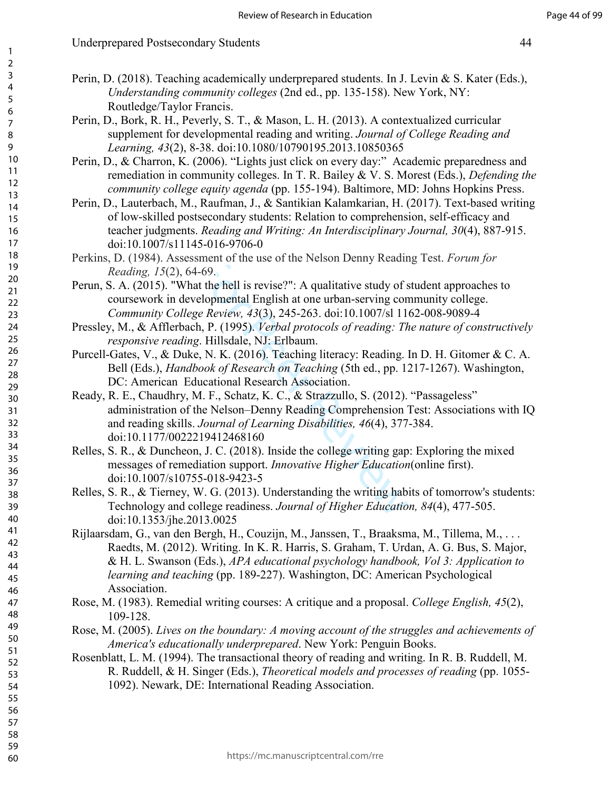# Underprepared Postsecondary Students 44

- Perin, D. (2018). Teaching academically underprepared students. In J. Levin & S. Kater (Eds.), *Understanding community colleges* (2nd ed., pp. 135-158). New York, NY: Routledge/Taylor Francis.
	- Perin, D., Bork, R. H., Peverly, S. T., & Mason, L. H. (2013). A contextualized curricular supplement for developmental reading and writing. *Journal of College Reading and Learning, 43*(2), 8-38. doi:10.1080/10790195.2013.10850365
	- Perin, D., & Charron, K. (2006). "Lights just click on every day:" Academic preparedness and remediation in community colleges. In T. R. Bailey & V. S. Morest (Eds.), *Defending the community college equity agenda* (pp. 155-194). Baltimore, MD: Johns Hopkins Press.
	- Perin, D., Lauterbach, M., Raufman, J., & Santikian Kalamkarian, H. (2017). Text-based writing of low-skilled postsecondary students: Relation to comprehension, self-efficacy and teacher judgments. *Reading and Writing: An Interdisciplinary Journal, 30*(4), 887-915. doi:10.1007/s11145-016-9706-0
	- Perkins, D. (1984). Assessment of the use of the Nelson Denny Reading Test. *Forum for Reading, 15*(2), 64-69.
	- Perun, S. A. (2015). "What the hell is revise?": A qualitative study of student approaches to coursework in developmental English at one urban-serving community college. *Community College Review, 43*(3), 245-263. doi:10.1007/sl 1162-008-9089-4
	- Pressley, M., & Afflerbach, P. (1995). *Verbal protocols of reading: The nature of constructively responsive reading*. Hillsdale, NJ: Erlbaum.
	- Purcell-Gates, V., & Duke, N. K. (2016). Teaching literacy: Reading. In D. H. Gitomer & C. A. Bell (Eds.), *Handbook of Research on Teaching* (5th ed., pp. 1217-1267). Washington, DC: American Educational Research Association.
	- sment of the use of the Nelson Denny Readir-69.<br>
	1-69.<br>
	at the hell is revise?": A qualitative study of s<br>
	elopmental English at one urban-serving con<br> *ge Review, 43*(3), 245-263. doi:10.1007/sl 11<br>
	h, P. (1995). *Verbal* Ready, R. E., Chaudhry, M. F., Schatz, K. C., & Strazzullo, S. (2012). "Passageless" administration of the Nelson–Denny Reading Comprehension Test: Associations with IQ and reading skills. *Journal of Learning Disabilities, 46*(4), 377-384. doi:10.1177/0022219412468160
	- Relles, S. R., & Duncheon, J. C. (2018). Inside the college writing gap: Exploring the mixed messages of remediation support. *Innovative Higher Education*(online first). doi:10.1007/s10755-018-9423-5
- Relles, S. R., & Tierney, W. G. (2013). Understanding the writing habits of tomorrow's students: Technology and college readiness. *Journal of Higher Education, 84*(4), 477-505. doi:10.1353/jhe.2013.0025
- Rijlaarsdam, G., van den Bergh, H., Couzijn, M., Janssen, T., Braaksma, M., Tillema, M., . . . Raedts, M. (2012). Writing. In K. R. Harris, S. Graham, T. Urdan, A. G. Bus, S. Major, & H. L. Swanson (Eds.), *APA educational psychology handbook, Vol 3: Application to learning and teaching* (pp. 189-227). Washington, DC: American Psychological Association.
- Rose, M. (1983). Remedial writing courses: A critique and a proposal. *College English, 45*(2), 109-128.
- Rose, M. (2005). *Lives on the boundary: A moving account of the struggles and achievements of America's educationally underprepared*. New York: Penguin Books.
- Rosenblatt, L. M. (1994). The transactional theory of reading and writing. In R. B. Ruddell, M. R. Ruddell, & H. Singer (Eds.), *Theoretical models and processes of reading* (pp. 1055- 1092). Newark, DE: International Reading Association.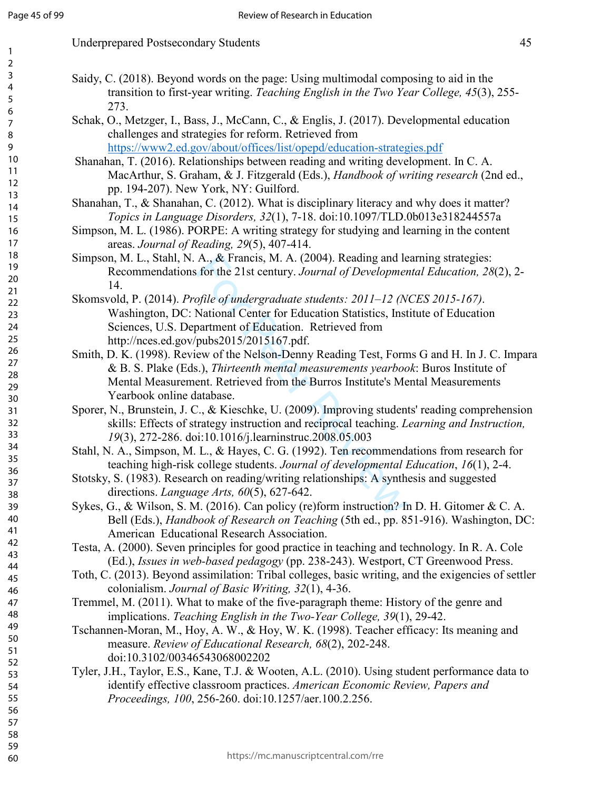| transition to first-year writing. Teaching English in the Two Year College, 45(3), 255-<br>273.                                                                                         |
|-----------------------------------------------------------------------------------------------------------------------------------------------------------------------------------------|
| Schak, O., Metzger, I., Bass, J., McCann, C., & Englis, J. (2017). Developmental education                                                                                              |
| challenges and strategies for reform. Retrieved from                                                                                                                                    |
| https://www2.ed.gov/about/offices/list/opepd/education-strategies.pdf                                                                                                                   |
| Shanahan, T. (2016). Relationships between reading and writing development. In C. A.                                                                                                    |
| MacArthur, S. Graham, & J. Fitzgerald (Eds.), Handbook of writing research (2nd ed.,<br>pp. 194-207). New York, NY: Guilford.                                                           |
| Shanahan, T., & Shanahan, C. (2012). What is disciplinary literacy and why does it matter?                                                                                              |
| Topics in Language Disorders, 32(1), 7-18. doi:10.1097/TLD.0b013e318244557a                                                                                                             |
| Simpson, M. L. (1986). PORPE: A writing strategy for studying and learning in the content                                                                                               |
| areas. Journal of Reading, 29(5), 407-414.                                                                                                                                              |
| Simpson, M. L., Stahl, N. A., & Francis, M. A. (2004). Reading and learning strategies:                                                                                                 |
| Recommendations for the 21st century. Journal of Developmental Education, 28(2), 2-                                                                                                     |
| 14.                                                                                                                                                                                     |
| Skomsvold, P. (2014). Profile of undergraduate students: 2011-12 (NCES 2015-167).                                                                                                       |
| Washington, DC: National Center for Education Statistics, Institute of Education                                                                                                        |
| Sciences, U.S. Department of Education. Retrieved from                                                                                                                                  |
| http://nces.ed.gov/pubs2015/2015167.pdf.                                                                                                                                                |
| Smith, D. K. (1998). Review of the Nelson-Denny Reading Test, Forms G and H. In J. C. Impara                                                                                            |
| & B. S. Plake (Eds.), Thirteenth mental measurements yearbook: Buros Institute of                                                                                                       |
| Mental Measurement. Retrieved from the Burros Institute's Mental Measurements                                                                                                           |
| Yearbook online database.                                                                                                                                                               |
| Sporer, N., Brunstein, J. C., & Kieschke, U. (2009). Improving students' reading comprehension                                                                                          |
| skills: Effects of strategy instruction and reciprocal teaching. Learning and Instruction,                                                                                              |
| 19(3), 272-286. doi:10.1016/j.learninstruc.2008.05.003                                                                                                                                  |
| Stahl, N. A., Simpson, M. L., & Hayes, C. G. (1992). Ten recommendations from research for                                                                                              |
| teaching high-risk college students. Journal of developmental Education, 16(1), 2-4.                                                                                                    |
| Stotsky, S. (1983). Research on reading/writing relationships: A synthesis and suggested                                                                                                |
| directions. Language Arts, 60(5), 627-642.                                                                                                                                              |
| Sykes, G., & Wilson, S. M. (2016). Can policy (re)form instruction? In D. H. Gitomer & C. A.                                                                                            |
| Bell (Eds.), <i>Handbook of Research on Teaching</i> (5th ed., pp. 851-916). Washington, DC:<br>American Educational Research Association.                                              |
|                                                                                                                                                                                         |
| Testa, A. (2000). Seven principles for good practice in teaching and technology. In R. A. Cole                                                                                          |
| (Ed.), Issues in web-based pedagogy (pp. 238-243). Westport, CT Greenwood Press.<br>Toth, C. (2013). Beyond assimilation: Tribal colleges, basic writing, and the exigencies of settler |
| colonialism. Journal of Basic Writing, 32(1), 4-36.                                                                                                                                     |
| Tremmel, M. (2011). What to make of the five-paragraph theme: History of the genre and                                                                                                  |
| implications. Teaching English in the Two-Year College, 39(1), 29-42.                                                                                                                   |
| Tschannen-Moran, M., Hoy, A. W., & Hoy, W. K. (1998). Teacher efficacy: Its meaning and                                                                                                 |
| measure. Review of Educational Research, 68(2), 202-248.                                                                                                                                |
| doi:10.3102/00346543068002202                                                                                                                                                           |
| Tyler, J.H., Taylor, E.S., Kane, T.J. & Wooten, A.L. (2010). Using student performance data to                                                                                          |
| identify effective classroom practices. American Economic Review, Papers and                                                                                                            |
| Proceedings, 100, 256-260. doi:10.1257/aer.100.2.256.                                                                                                                                   |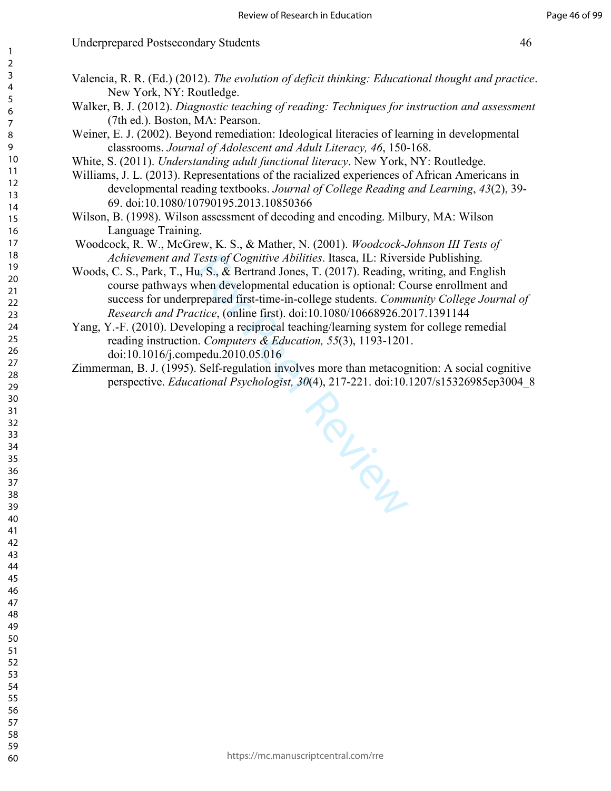- Valencia, R. R. (Ed.) (2012). *The evolution of deficit thinking: Educational thought and practice*. New York, NY: Routledge.
- Walker, B. J. (2012). *Diagnostic teaching of reading: Techniques for instruction and assessment* (7th ed.). Boston, MA: Pearson.
- Weiner, E. J. (2002). Beyond remediation: Ideological literacies of learning in developmental classrooms. *Journal of Adolescent and Adult Literacy, 46*, 150-168.
- White, S. (2011). *Understanding adult functional literacy*. New York, NY: Routledge.
- Williams, J. L. (2013). Representations of the racialized experiences of African Americans in developmental reading textbooks. *Journal of College Reading and Learning*, *43*(2), 39- 69. doi:10.1080/10790195.2013.10850366
- Wilson, B. (1998). Wilson assessment of decoding and encoding. Milbury, MA: Wilson Language Training.
- Woodcock, R. W., McGrew, K. S., & Mather, N. (2001). *Woodcock-Johnson III Tests of Achievement and Tests of Cognitive Abilities*. Itasca, IL: Riverside Publishing.
- Woods, C. S., Park, T., Hu, S., & Bertrand Jones, T. (2017). Reading, writing, and English course pathways when developmental education is optional: Course enrollment and success for underprepared first-time-in-college students. *Community College Journal of Research and Practice*, (online first). doi:10.1080/10668926.2017.1391144
- Yang, Y.-F. (2010). Developing a reciprocal teaching/learning system for college remedial reading instruction. *Computers & Education, 55*(3), 1193-1201. doi:10.1016/j.compedu.2010.05.016
- Zimmerman, B. J. (1995). Self-regulation involves more than metacognition: A social cognitive perspective. *Educational Psychologist, 30*(4), 217-221. doi:10.1207/s15326985ep3004\_8

Rev. Review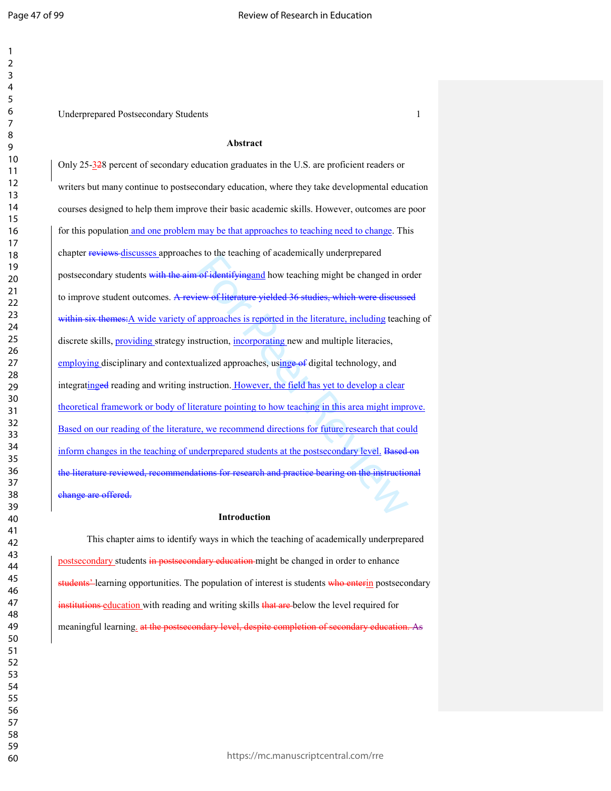Underprepared Postsecondary Students 1

#### **Abstract**

For identifying and how teaching might be changed in or<br>
iew of literature yielded 36 studies, which were discussed<br>
approaches is reported in the literature, including teachi<br>
struction, <u>incorporating</u> new and multiple l Only 25-328 percent of secondary education graduates in the U.S. are proficient readers or writers but many continue to postsecondary education, where they take developmental education courses designed to help them improve their basic academic skills. However, outcomes are poor for this population and one problem may be that approaches to teaching need to change. This chapter reviews discusses approaches to the teaching of academically underprepared postsecondary students with the aim of identifyingand how teaching might be changed in order to improve student outcomes. A review of literature yielded 36 studies, which were discussed within six themes: A wide variety of approaches is reported in the literature, including teaching of discrete skills, **providing** strategy instruction, **incorporating** new and multiple literacies, employing disciplinary and contextualized approaches, using e-of digital technology, and integratinged reading and writing instruction. However, the field has yet to develop a clear theoretical framework or body of literature pointing to how teaching in this area might improve. Based on our reading of the literature, we recommend directions for future research that could inform changes in the teaching of underprepared students at the postsecondary level. Based on the literature reviewed, recommendations for research and practice bearing on the instructional change are offered.

#### **Introduction**

This chapter aims to identify ways in which the teaching of academically underprepared postsecondary students in postsecondary education might be changed in order to enhance students<sup>2</sup>-learning opportunities. The population of interest is students who enterin postsecondary institutions education with reading and writing skills that are below the level required for meaningful learning, at the postsecondary level, despite completion of secondary education. As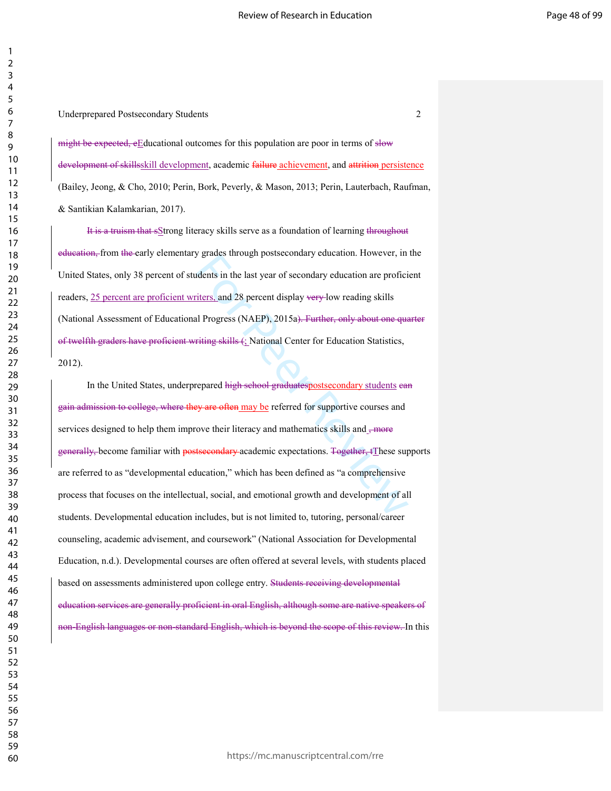might be expected, eEducational outcomes for this population are poor in terms of slow development of skillsskill development, academic failure achievement, and attrition persistence (Bailey, Jeong, & Cho, 2010; Perin, Bork, Peverly, & Mason, 2013; Perin, Lauterbach, Raufman, & Santikian Kalamkarian, 2017).

It is a truism that sStrong literacy skills serve as a foundation of learning throughout education, from the early elementary grades through postsecondary education. However, in the United States, only 38 percent of students in the last year of secondary education are proficient readers, 25 percent are proficient writers, and 28 percent display very low reading skills (National Assessment of Educational Progress (NAEP), 2015a). Further, only about one quarter of twelfth graders have proficient writing skills (: National Center for Education Statistics, 2012).

grades infough posisecondary education. However, in<br>idents in the last year of secondary education are profici<br>iters, and 28 percent display very-low reading skills<br>all Progress (NAEP), 2015a). Further, only about one que<br> In the United States, underprepared high school graduatespostsecondary students ean gain admission to college, where they are often may be referred for supportive courses and services designed to help them improve their literacy and mathematics skills and  $\frac{1}{2}$  more generally, become familiar with postsecondary academic expectations. Together, tThese supports are referred to as "developmental education," which has been defined as "a comprehensive process that focuses on the intellectual, social, and emotional growth and development of all students. Developmental education includes, but is not limited to, tutoring, personal/career counseling, academic advisement, and coursework" (National Association for Developmental Education, n.d.). Developmental courses are often offered at several levels, with students placed based on assessments administered upon college entry. Students receiving developmental education services are generally proficient in oral English, although some are native speakers of non-English languages or non-standard English, which is beyond the scope of this review. In this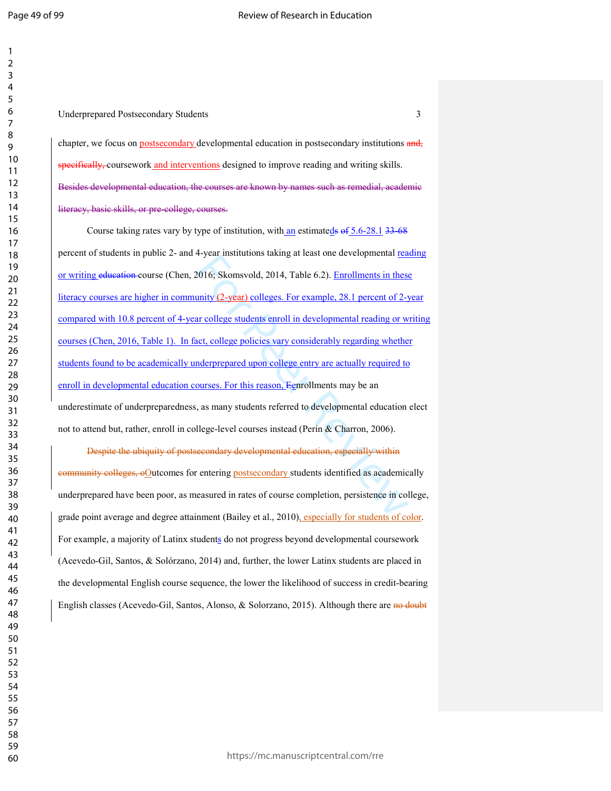Underprepared Postsecondary Students 3

chapter, we focus on postsecondary developmental education in postsecondary institutions and, specifically, coursework and interventions designed to improve reading and writing skills. Besides developmental education, the courses are known by names such as remedial, academic literacy, basic skills, or pre-college, courses.

4-year institutions taking at least offer developmental <u>rea</u><br>2016; Skomsvold, 2014, Table 6.2). <u>Enrollments in these</u><br>unity (2-year) colleges. For example, 28.1 percent of 2-y<br>ar college students enroll in developmental Course taking rates vary by type of institution, with an estimateds  $\theta$  5.6-28.1 33-68 percent of students in public 2- and 4-year institutions taking at least one developmental reading or writing education course (Chen, 2016; Skomsvold, 2014, Table 6.2). Enrollments in these literacy courses are higher in community (2-year) colleges. For example, 28.1 percent of 2-year compared with 10.8 percent of 4-year college students enroll in developmental reading or writing courses (Chen, 2016, Table 1). In fact, college policies vary considerably regarding whether students found to be academically underprepared upon college entry are actually required to enroll in developmental education courses. For this reason, Eenrollments may be an underestimate of underpreparedness, as many students referred to developmental education elect not to attend but, rather, enroll in college-level courses instead (Perin & Charron, 2006).

Despite the ubiquity of postsecondary developmental education, especially within community colleges, oOutcomes for entering postsecondary students identified as academically underprepared have been poor, as measured in rates of course completion, persistence in college, grade point average and degree attainment (Bailey et al., 2010), especially for students of color. For example, a majority of Latinx students do not progress beyond developmental coursework (Acevedo-Gil, Santos, & Solórzano, 2014) and, further, the lower Latinx students are placed in the developmental English course sequence, the lower the likelihood of success in credit-bearing English classes (Acevedo-Gil, Santos, Alonso, & Solorzano, 2015). Although there are no doubt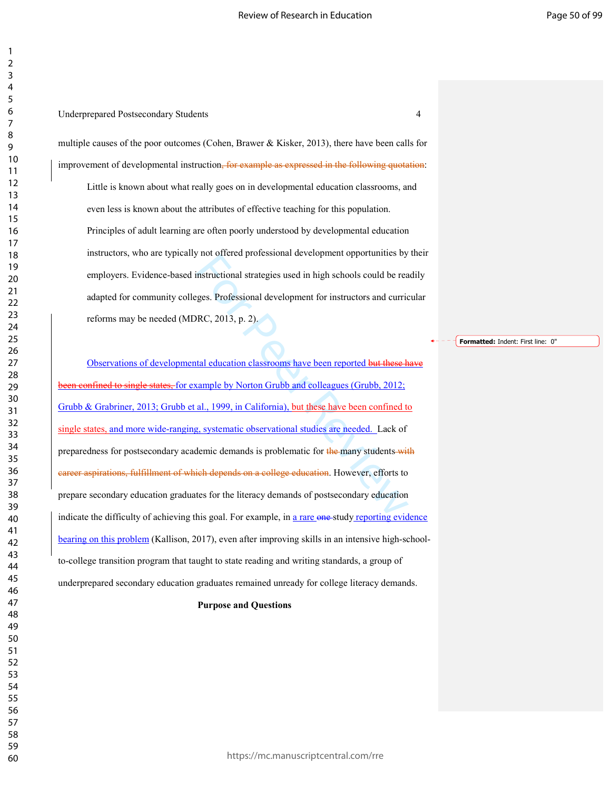### Underprepared Postsecondary Students 4

multiple causes of the poor outcomes (Cohen, Brawer & Kisker, 2013), there have been calls for improvement of developmental instruction, for example as expressed in the following quotation: Little is known about what really goes on in developmental education classrooms, and even less is known about the attributes of effective teaching for this population. Principles of adult learning are often poorly understood by developmental education instructors, who are typically not offered professional development opportunities by their employers. Evidence-based instructional strategies used in high schools could be readily adapted for community colleges. Professional development for instructors and curricular reforms may be needed (MDRC, 2013, p. 2).

**Formatted:** Indent: First line: 0"

instructional strategies used in high schools could be rea<br>finstructional strategies used in high schools could be rea<br>ges. Professional development for instructors and curric<br>NRC, 2013, p. 2).<br>al., 1999, in California), b Observations of developmental education classrooms have been reported but these have **hetalubeed to single states, for example by Norton Grubb and colleagues (Grubb, 2012;** Grubb & Grabriner, 2013; Grubb et al., 1999, in California), but these have been confined to single states, and more wide-ranging, systematic observational studies are needed. Lack of preparedness for postsecondary academic demands is problematic for the many students with career aspirations, fulfillment of which depends on a college education. However, efforts to prepare secondary education graduates for the literacy demands of postsecondary education indicate the difficulty of achieving this goal. For example, in a rare one-study reporting evidence bearing on this problem (Kallison, 2017), even after improving skills in an intensive high-schoolto-college transition program that taught to state reading and writing standards, a group of underprepared secondary education graduates remained unready for college literacy demands.

#### **Purpose and Questions**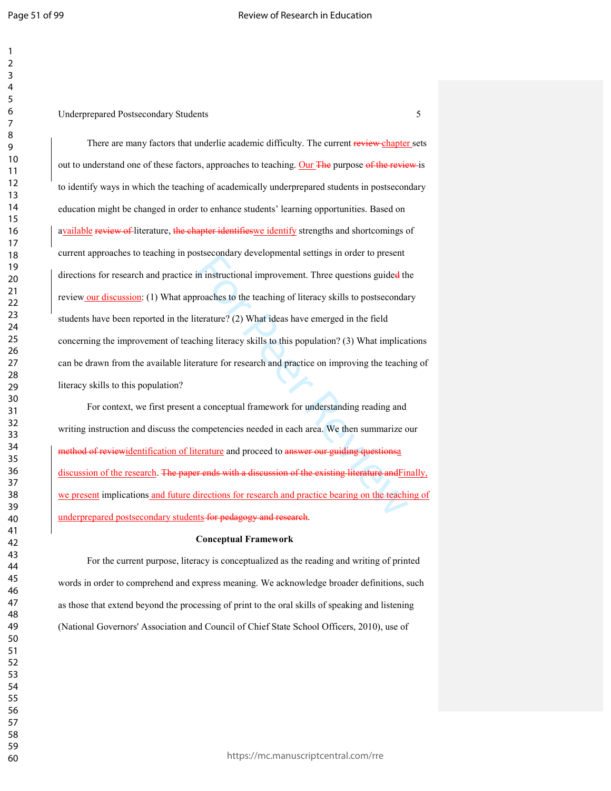in instructional improvement. Three questions guided th<br>roaches to the teaching of literacy skills to postsecondar<br>terature? (2) What ideas have emerged in the field<br>hing literacy skills to this population? (3) What implic There are many factors that underlie academic difficulty. The current review chapter sets out to understand one of these factors, approaches to teaching. Our The purpose of the review is to identify ways in which the teaching of academically underprepared students in postsecondary education might be changed in order to enhance students' learning opportunities. Based on available review of literature, the chapter identifies we identify strengths and shortcomings of current approaches to teaching in postsecondary developmental settings in order to present directions for research and practice in instructional improvement. Three questions guided the review our discussion: (1) What approaches to the teaching of literacy skills to postsecondary students have been reported in the literature? (2) What ideas have emerged in the field concerning the improvement of teaching literacy skills to this population? (3) What implications can be drawn from the available literature for research and practice on improving the teaching of literacy skills to this population?

For context, we first present a conceptual framework for understanding reading and writing instruction and discuss the competencies needed in each area. We then summarize our method of reviewidentification of literature and proceed to answer our guiding questionsa discussion of the research. The paper ends with a discussion of the existing literature and Finally, we present implications and future directions for research and practice bearing on the teaching of underprepared postsecondary students for pedagogy and research.

#### **Conceptual Framework**

 For the current purpose, literacy is conceptualized as the reading and writing of printed words in order to comprehend and express meaning. We acknowledge broader definitions, such as those that extend beyond the processing of print to the oral skills of speaking and listening (National Governors' Association and Council of Chief State School Officers, 2010), use of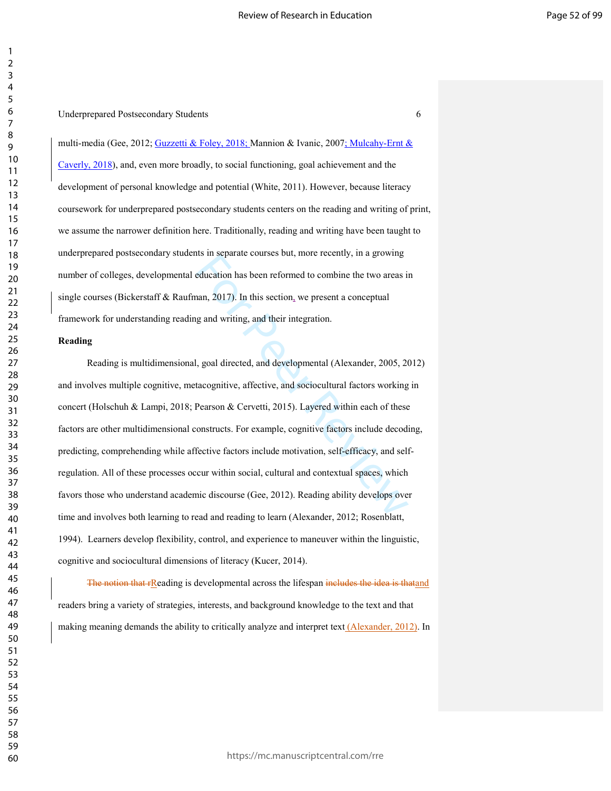multi-media (Gee, 2012; Guzzetti & Foley, 2018; Mannion & Ivanic, 2007; Mulcahy-Ernt & Caverly, 2018), and, even more broadly, to social functioning, goal achievement and the development of personal knowledge and potential (White, 2011). However, because literacy coursework for underprepared postsecondary students centers on the reading and writing of print, we assume the narrower definition here. Traditionally, reading and writing have been taught to underprepared postsecondary students in separate courses but, more recently, in a growing number of colleges, developmental education has been reformed to combine the two areas in single courses (Bickerstaff & Raufman, 2017). In this section, we present a conceptual framework for understanding reading and writing, and their integration.

#### **Reading**

its in separate courses out, more recently, in a growing<br>education has been reformed to combine the two areas is<br>ann, 2017). In this section, we present a conceptual<br>g and writing, and their integration.<br>J, goal directed, Reading is multidimensional, goal directed, and developmental (Alexander, 2005, 2012) and involves multiple cognitive, metacognitive, affective, and sociocultural factors working in concert (Holschuh & Lampi, 2018; Pearson & Cervetti, 2015). Layered within each of these factors are other multidimensional constructs. For example, cognitive factors include decoding, predicting, comprehending while affective factors include motivation, self-efficacy, and selfregulation. All of these processes occur within social, cultural and contextual spaces, which favors those who understand academic discourse (Gee, 2012). Reading ability develops over time and involves both learning to read and reading to learn (Alexander, 2012; Rosenblatt, 1994). Learners develop flexibility, control, and experience to maneuver within the linguistic, cognitive and sociocultural dimensions of literacy (Kucer, 2014).

The notion that rReading is developmental across the lifespan includes the idea is thatand readers bring a variety of strategies, interests, and background knowledge to the text and that making meaning demands the ability to critically analyze and interpret text (Alexander, 2012). In

https://mc.manuscriptcentral.com/rre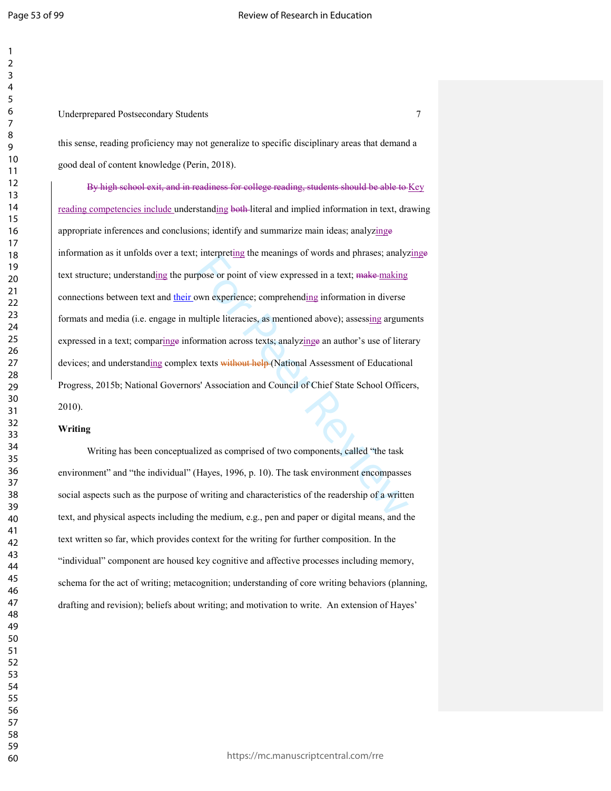Underprepared Postsecondary Students 7

this sense, reading proficiency may not generalize to specific disciplinary areas that demand a good deal of content knowledge (Perin, 2018).

The interpretating the meanings of words and phrases, analyz<br>pose or point of view expressed in a text; make-making<br>win experience; comprehending information in diverse<br>ultiple literacies, as mentioned above); assessing a By high school exit, and in readiness for college reading, students should be able to Key reading competencies include understanding both literal and implied information in text, drawing appropriate inferences and conclusions; identify and summarize main ideas; analyzinge information as it unfolds over a text; interpreting the meanings of words and phrases; analyzinge text structure; understanding the purpose or point of view expressed in a text; make making connections between text and their own experience; comprehending information in diverse formats and media (i.e. engage in multiple literacies, as mentioned above); assessing arguments expressed in a text; comparinge information across texts; analyzinge an author's use of literary devices; and understanding complex texts without help (National Assessment of Educational Progress, 2015b; National Governors' Association and Council of Chief State School Officers, 2010).

#### **Writing**

Writing has been conceptualized as comprised of two components, called "the task environment" and "the individual" (Hayes, 1996, p. 10). The task environment encompasses social aspects such as the purpose of writing and characteristics of the readership of a written text, and physical aspects including the medium, e.g., pen and paper or digital means, and the text written so far, which provides context for the writing for further composition. In the "individual" component are housed key cognitive and affective processes including memory, schema for the act of writing; metacognition; understanding of core writing behaviors (planning, drafting and revision); beliefs about writing; and motivation to write. An extension of Hayes'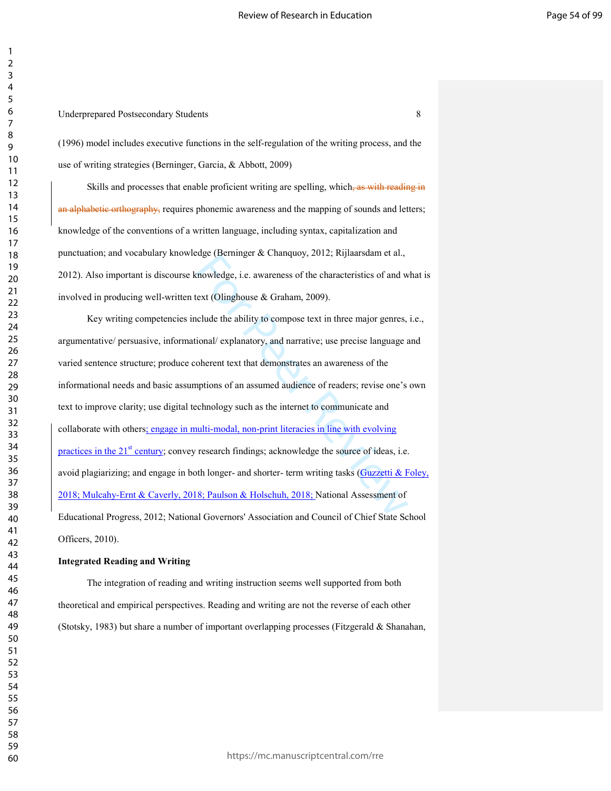#### Underprepared Postsecondary Students 8

(1996) model includes executive functions in the self-regulation of the writing process, and the use of writing strategies (Berninger, Garcia, & Abbott, 2009)

Skills and processes that enable proficient writing are spelling, which, as with reading in an alphabetic orthography, requires phonemic awareness and the mapping of sounds and letters; knowledge of the conventions of a written language, including syntax, capitalization and punctuation; and vocabulary knowledge (Berninger & Chanquoy, 2012; Rijlaarsdam et al., 2012). Also important is discourse knowledge, i.e. awareness of the characteristics of and what is involved in producing well-written text (Olinghouse & Graham, 2009).

the control of the characteristics of and weatt (Olinghouse & Graham, 2009).<br>
Incomedage, i.e. awareness of the characteristics of and weart (Olinghouse & Graham, 2009).<br>
Iclude the ability to compose text in three major Key writing competencies include the ability to compose text in three major genres, i.e., argumentative/ persuasive, informational/ explanatory, and narrative; use precise language and varied sentence structure; produce coherent text that demonstrates an awareness of the informational needs and basic assumptions of an assumed audience of readers; revise one's own text to improve clarity; use digital technology such as the internet to communicate and collaborate with others; engage in multi-modal, non-print literacies in line with evolving practices in the  $21<sup>st</sup>$  century; convey research findings; acknowledge the source of ideas, i.e. avoid plagiarizing; and engage in both longer- and shorter- term writing tasks (Guzzetti & Foley, 2018; Mulcahy-Ernt & Caverly, 2018; Paulson & Holschuh, 2018; National Assessment of Educational Progress, 2012; National Governors' Association and Council of Chief State School Officers, 2010).

#### **Integrated Reading and Writing**

 The integration of reading and writing instruction seems well supported from both theoretical and empirical perspectives. Reading and writing are not the reverse of each other (Stotsky, 1983) but share a number of important overlapping processes (Fitzgerald & Shanahan,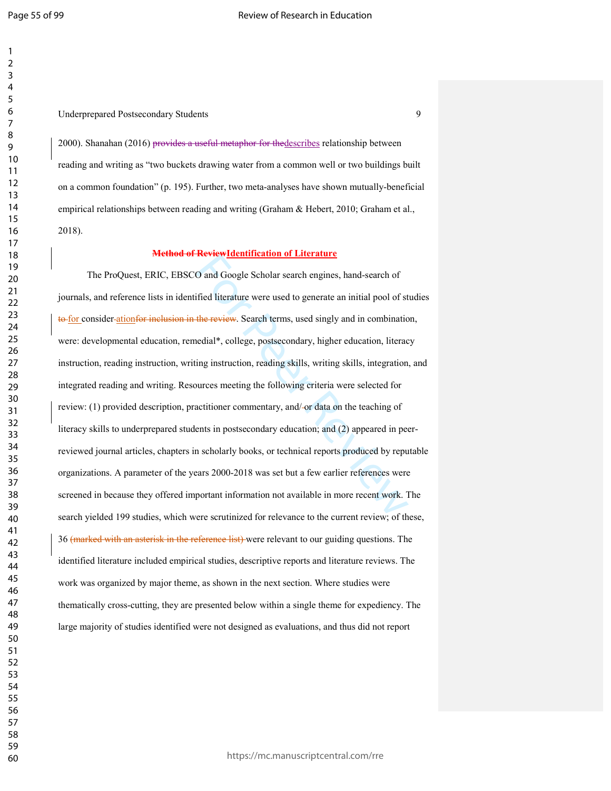#### Underprepared Postsecondary Students 9

2000). Shanahan (2016) provides a useful metaphor for thedescribes relationship between reading and writing as "two buckets drawing water from a common well or two buildings built on a common foundation" (p. 195). Further, two meta-analyses have shown mutually-beneficial empirical relationships between reading and writing (Graham & Hebert, 2010; Graham et al., 2018).

#### **Method of ReviewIdentification of Literature**

O and Google Scholar search engines, hand-search of<br>fied literature were used to generate an initial pool of st<br>the review. Search terms, used singly and in combinatio<br>edial\*, college, postsecondary, higher education, lite The ProQuest, ERIC, EBSCO and Google Scholar search engines, hand-search of journals, and reference lists in identified literature were used to generate an initial pool of studies to for consider ationfor inclusion in the review. Search terms, used singly and in combination, were: developmental education, remedial\*, college, postsecondary, higher education, literacy instruction, reading instruction, writing instruction, reading skills, writing skills, integration, and integrated reading and writing. Resources meeting the following criteria were selected for review: (1) provided description, practitioner commentary, and/ or data on the teaching of literacy skills to underprepared students in postsecondary education; and (2) appeared in peerreviewed journal articles, chapters in scholarly books, or technical reports produced by reputable organizations. A parameter of the years 2000-2018 was set but a few earlier references were screened in because they offered important information not available in more recent work. The search yielded 199 studies, which were scrutinized for relevance to the current review; of these, 36 (marked with an asterisk in the reference list) were relevant to our guiding questions. The identified literature included empirical studies, descriptive reports and literature reviews. The work was organized by major theme, as shown in the next section. Where studies were thematically cross-cutting, they are presented below within a single theme for expediency. The large majority of studies identified were not designed as evaluations, and thus did not report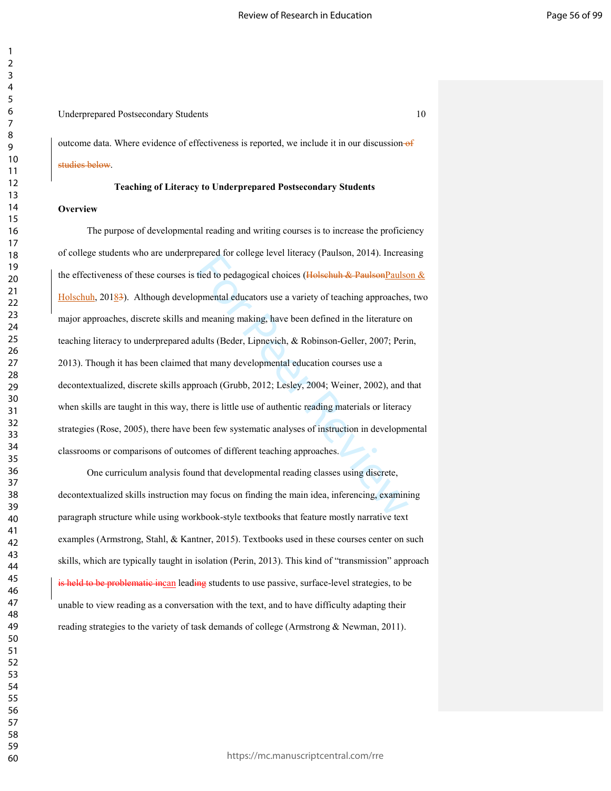#### Underprepared Postsecondary Students 10

outcome data. Where evidence of effectiveness is reported, we include it in our discussion- $\theta$ studies below.

#### **Teaching of Literacy to Underprepared Postsecondary Students**

#### **Overview**

tied to pedagogical choices (Holsehuh & Paulson<sub>2</sub> and tied to pedagogical choices (Holsehuh & Paulson<sub>2</sub> and the meaning making, have been defined in the literature of dults (Beder, Lipnevich, & Robinson-Geller, 2007; Per The purpose of developmental reading and writing courses is to increase the proficiency of college students who are underprepared for college level literacy (Paulson, 2014). Increasing the effectiveness of these courses is tied to pedagogical choices (Holschuh & PaulsonPaulson  $\&$ Holschuh, 20183). Although developmental educators use a variety of teaching approaches, two major approaches, discrete skills and meaning making, have been defined in the literature on teaching literacy to underprepared adults (Beder, Lipnevich, & Robinson-Geller, 2007; Perin, 2013). Though it has been claimed that many developmental education courses use a decontextualized, discrete skills approach (Grubb, 2012; Lesley, 2004; Weiner, 2002), and that when skills are taught in this way, there is little use of authentic reading materials or literacy strategies (Rose, 2005), there have been few systematic analyses of instruction in developmental classrooms or comparisons of outcomes of different teaching approaches.

One curriculum analysis found that developmental reading classes using discrete, decontextualized skills instruction may focus on finding the main idea, inferencing, examining paragraph structure while using workbook-style textbooks that feature mostly narrative text examples (Armstrong, Stahl, & Kantner, 2015). Textbooks used in these courses center on such skills, which are typically taught in isolation (Perin, 2013). This kind of "transmission" approach is held to be problematic incan leading students to use passive, surface-level strategies, to be unable to view reading as a conversation with the text, and to have difficulty adapting their reading strategies to the variety of task demands of college (Armstrong & Newman, 2011).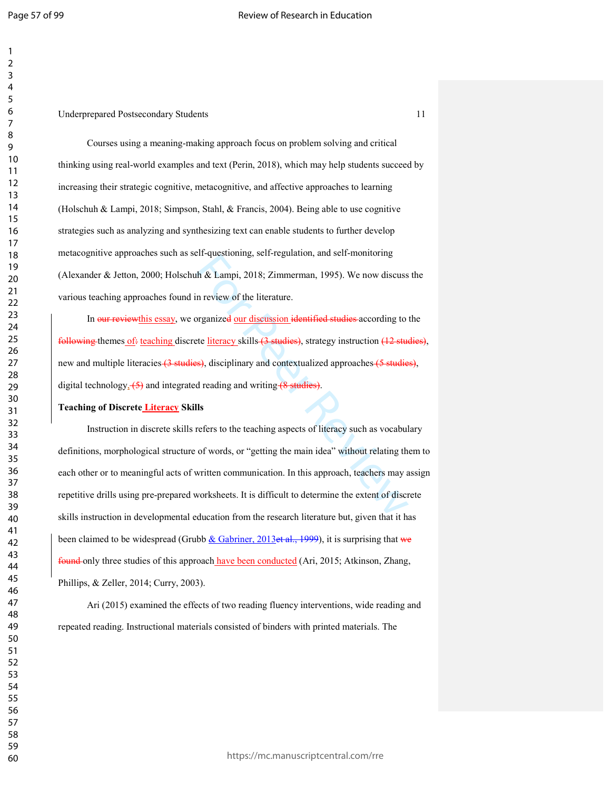#### Underprepared Postsecondary Students 11

Courses using a meaning-making approach focus on problem solving and critical thinking using real-world examples and text (Perin, 2018), which may help students succeed by increasing their strategic cognitive, metacognitive, and affective approaches to learning (Holschuh & Lampi, 2018; Simpson, Stahl, & Francis, 2004). Being able to use cognitive strategies such as analyzing and synthesizing text can enable students to further develop metacognitive approaches such as self-questioning, self-regulation, and self-monitoring (Alexander & Jetton, 2000; Holschuh & Lampi, 2018; Zimmerman, 1995). We now discuss the various teaching approaches found in review of the literature.

In <del>our review</del>this essay, we organize<del>d</del> our discussion identified studies according to the following themes of: teaching discrete literacy skills (3 studies), strategy instruction (12 studies), new and multiple literacies (3 studies), disciplinary and contextualized approaches (5 studies), digital technology<sub>2</sub> (5) and integrated reading and writing (8 studies).

#### **Teaching of Discrete Literacy Skills**

In-questioning, scri-regulation, and scri-inonfroming<br>th & Lampi, 2018; Zimmerman, 1995). We now discuss<br>n review of the literature.<br>For Peer Review of the literature.<br>For Peer Review States according to<br>the literature of Instruction in discrete skills refers to the teaching aspects of literacy such as vocabulary definitions, morphological structure of words, or "getting the main idea" without relating them to each other or to meaningful acts of written communication. In this approach, teachers may assign repetitive drills using pre-prepared worksheets. It is difficult to determine the extent of discrete skills instruction in developmental education from the research literature but, given that it has been claimed to be widespread (Grubb  $&$  Gabriner, 2013et al., 1999), it is surprising that we found only three studies of this approach have been conducted (Ari, 2015; Atkinson, Zhang, Phillips, & Zeller, 2014; Curry, 2003).

Ari (2015) examined the effects of two reading fluency interventions, wide reading and repeated reading. Instructional materials consisted of binders with printed materials. The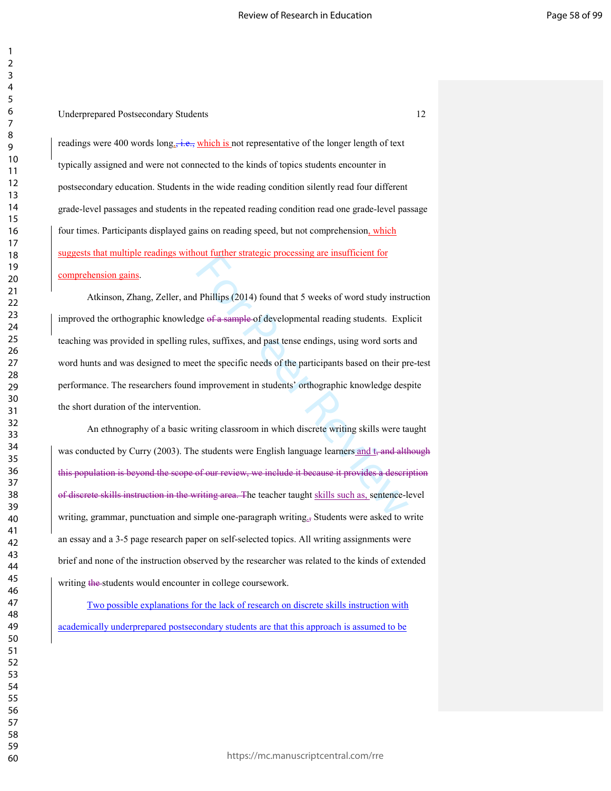readings were 400 words  $\log_{2}$ , i.e., which is not representative of the longer length of text typically assigned and were not connected to the kinds of topics students encounter in postsecondary education. Students in the wide reading condition silently read four different grade-level passages and students in the repeated reading condition read one grade-level passage four times. Participants displayed gains on reading speed, but not comprehension, which suggests that multiple readings without further strategic processing are insufficient for

# comprehension gains.

out further strategic processing are insufficient for<br>ge of a sample of developmental reading students. Expl<br>les, suffixes, and past tense endings, using word sorts and<br>et the specific needs of the participants based on th Atkinson, Zhang, Zeller, and Phillips (2014) found that 5 weeks of word study instruction improved the orthographic knowledge of a sample of developmental reading students. Explicit teaching was provided in spelling rules, suffixes, and past tense endings, using word sorts and word hunts and was designed to meet the specific needs of the participants based on their pre-test performance. The researchers found improvement in students' orthographic knowledge despite the short duration of the intervention.

An ethnography of a basic writing classroom in which discrete writing skills were taught was conducted by Curry (2003). The students were English language learners and  $t<sub>s</sub>$  and although this population is beyond the scope of our review, we include it because it provides a description of discrete skills instruction in the writing area. The teacher taught skills such as, sentence-level writing, grammar, punctuation and simple one-paragraph writing., Students were asked to write an essay and a 3-5 page research paper on self-selected topics. All writing assignments were brief and none of the instruction observed by the researcher was related to the kinds of extended writing the students would encounter in college coursework.

Two possible explanations for the lack of research on discrete skills instruction with academically underprepared postsecondary students are that this approach is assumed to be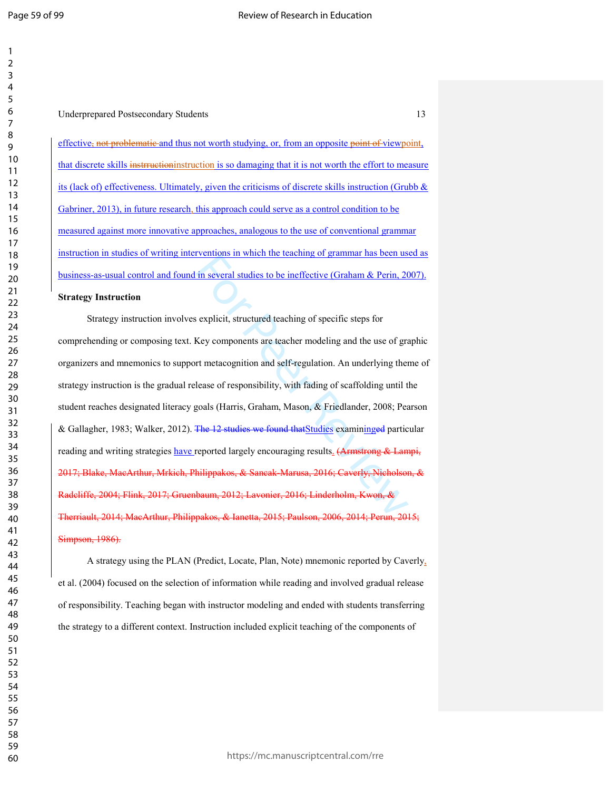#### Underprepared Postsecondary Students 13

effective, not problematic and thus not worth studying, or, from an opposite point of viewpoint, that discrete skills instrructioninstruction is so damaging that it is not worth the effort to measure its (lack of) effectiveness. Ultimately, given the criticisms of discrete skills instruction (Grubb & Gabriner, 2013), in future research, this approach could serve as a control condition to be measured against more innovative approaches, analogous to the use of conventional grammar instruction in studies of writing interventions in which the teaching of grammar has been used as business-as-usual control and found in several studies to be ineffective (Graham & Perin, 2007).

#### **Strategy Instruction**

in several studies to be ineffective (Graham & Perin, 20<br>in several studies to be ineffective (Graham & Perin, 20<br>iexplicit, structured teaching of specific steps for<br>Key components are teacher modeling and the use of gra<br> Strategy instruction involves explicit, structured teaching of specific steps for comprehending or composing text. Key components are teacher modeling and the use of graphic organizers and mnemonics to support metacognition and self-regulation. An underlying theme of strategy instruction is the gradual release of responsibility, with fading of scaffolding until the student reaches designated literacy goals (Harris, Graham, Mason, & Friedlander, 2008; Pearson & Gallagher, 1983; Walker, 2012). The 12 studies we found thatStudies examininged particular reading and writing strategies have reported largely encouraging results. (Armstrong & Lampi, 2017; Blake, MacArthur, Mrkich, Philippakos, & Sancak-Marusa, 2016; Caverly, Nicholson, & Radcliffe, 2004; Flink, 2017; Gruenbaum, 2012; Lavonier, 2016; Linderholm, Kwon, & Therriault, 2014; MacArthur, Philippakos, & Ianetta, 2015; Paulson, 2006, 2014; Perun, 2015; Simpson, 1986).

A strategy using the PLAN (Predict, Locate, Plan, Note) mnemonic reported by Caverly , et al. (2004) focused on the selection of information while reading and involved gradual release of responsibility. Teaching began with instructor modeling and ended with students transferring the strategy to a different context. Instruction included explicit teaching of the components of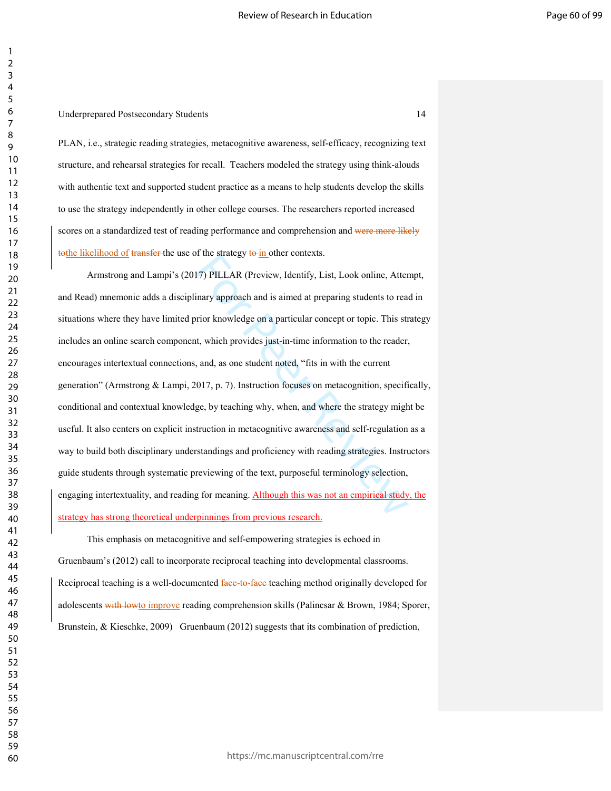PLAN, i.e., strategic reading strategies, metacognitive awareness, self-efficacy, recognizing text structure, and rehearsal strategies for recall. Teachers modeled the strategy using think-alouds with authentic text and supported student practice as a means to help students develop the skills to use the strategy independently in other college courses. The researchers reported increased scores on a standardized test of reading performance and comprehension and were more likely tothe likelihood of transfer-the use of the strategy to in other contexts.

17) PILLAR (Preview, Identify, List, Look online, Atter<br>inary approach and is aimed at preparing students to rea-<br>irior knowledge on a particular concept or topic. This str<br>t, which provides just-in-time information to the Armstrong and Lampi's (2017) PILLAR (Preview, Identify, List, Look online, Attempt, and Read) mnemonic adds a disciplinary approach and is aimed at preparing students to read in situations where they have limited prior knowledge on a particular concept or topic. This strategy includes an online search component, which provides just-in-time information to the reader, encourages intertextual connections, and, as one student noted, "fits in with the current generation" (Armstrong & Lampi, 2017, p. 7). Instruction focuses on metacognition, specifically, conditional and contextual knowledge, by teaching why, when, and where the strategy might be useful. It also centers on explicit instruction in metacognitive awareness and self-regulation as a way to build both disciplinary understandings and proficiency with reading strategies. Instructors guide students through systematic previewing of the text, purposeful terminology selection, engaging intertextuality, and reading for meaning. Although this was not an empirical study, the strategy has strong theoretical underpinnings from previous research.

This emphasis on metacognitive and self-empowering strategies is echoed in Gruenbaum's (2012) call to incorporate reciprocal teaching into developmental classrooms. Reciprocal teaching is a well-documented face-to-face-teaching method originally developed for adolescents with lowto improve reading comprehension skills (Palincsar & Brown, 1984; Sporer, Brunstein, & Kieschke, 2009) Gruenbaum (2012) suggests that its combination of prediction,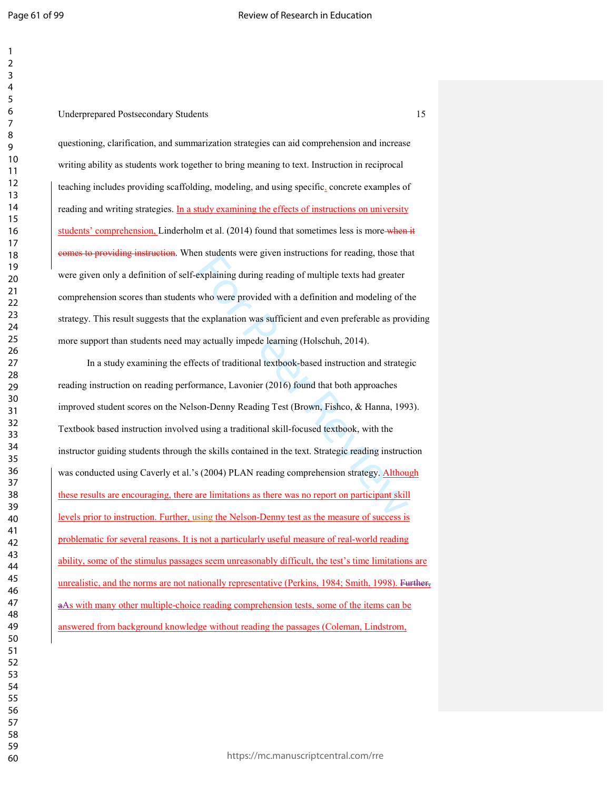#### Underprepared Postsecondary Students 15

questioning, clarification, and summarization strategies can aid comprehension and increase writing ability as students work together to bring meaning to text. Instruction in reciprocal teaching includes providing scaffolding, modeling, and using specific , concrete examples of reading and writing strategies. In a study examining the effects of instructions on university students' comprehension, Linderholm et al. (2014) found that sometimes less is more-when it comes to providing instruction. When students were given instructions for reading, those that were given only a definition of self-explaining during reading of multiple texts had greater comprehension scores than students who were provided with a definition and modeling of the strategy. This result suggests that the explanation was sufficient and even preferable as providing more support than students need may actually impede learning (Holschuh, 2014).

explaining during reading of multiple texts had greater<br>explaining during reading of multiple texts had greater<br>who were provided with a definition and modeling of the<br>explanation was sufficient and even preferable as prov In a study examining the effects of traditional textbook-based instruction and strategic reading instruction on reading performance, Lavonier (2016) found that both approaches improved student scores on the Nelson-Denny Reading Test (Brown, Fishco, & Hanna, 1993). Textbook based instruction involved using a traditional skill-focused textbook, with the instructor guiding students through the skills contained in the text. Strategic reading instruction was conducted using Caverly et al.'s (2004) PLAN reading comprehension strategy. Although these results are encouraging, there are limitations as there was no report on participant skill levels prior to instruction. Further, using the Nelson-Denny test as the measure of success is problematic for several reasons. It is not a particularly useful measure of real-world reading ability, some of the stimulus passages seem unreasonably difficult, the test's time limitations are unrealistic, and the norms are not nationally representative (Perkins, 1984; Smith, 1998). Further, aAs with many other multiple-choice reading comprehension tests, some of the items can be answered from background knowledge without reading the passages (Coleman, Lindstrom,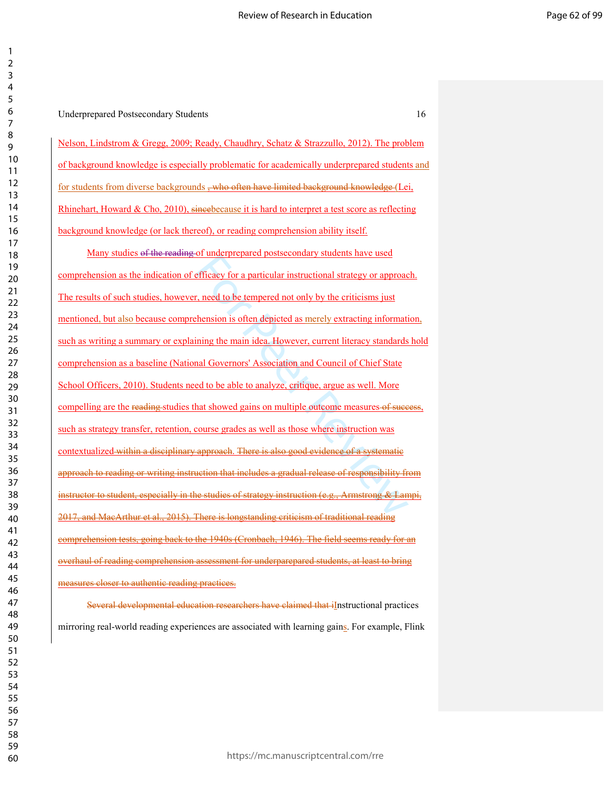| 3                          |  |
|----------------------------|--|
|                            |  |
|                            |  |
|                            |  |
| 4567                       |  |
|                            |  |
|                            |  |
|                            |  |
|                            |  |
|                            |  |
|                            |  |
|                            |  |
|                            |  |
|                            |  |
|                            |  |
|                            |  |
|                            |  |
|                            |  |
|                            |  |
|                            |  |
|                            |  |
|                            |  |
|                            |  |
|                            |  |
|                            |  |
|                            |  |
|                            |  |
|                            |  |
|                            |  |
|                            |  |
|                            |  |
|                            |  |
|                            |  |
| 33<br>33<br>35<br>36<br>37 |  |
|                            |  |
|                            |  |
|                            |  |
|                            |  |
| 38                         |  |
| 39                         |  |
| 40                         |  |
| 41                         |  |
| 42                         |  |
| 43                         |  |
| 44                         |  |
|                            |  |
| 45                         |  |
| 46                         |  |
| 47                         |  |
| 48                         |  |
| 49                         |  |
| 50                         |  |
| 51                         |  |
| 52                         |  |
| 53                         |  |
| 54                         |  |
| 55                         |  |
| 56                         |  |
|                            |  |
| 57                         |  |
| 58                         |  |
| 59                         |  |
| 60                         |  |

  $\mathfrak{p}$ 

Underprepared Postsecondary Students 16

Nelson, Lindstrom & Gregg, 2009; Ready, Chaudhry, Schatz & Strazzullo, 2012). The problem of background knowledge is especially problematic for academically underprepared students and for students from diverse backgrounds <del>, who often have limited background knowledge</del> (Lei, Rhinehart, Howard & Cho, 2010), sincebecause it is hard to interpret a test score as reflecting background knowledge (or lack thereof), or reading comprehension ability itself.

or anderprepared possecondary statelis have used<br>efficacy for a particular instructional strategy or approac<br>reviews, need to be tempered not only by the criticisms just<br>thension is often depicted as merely extracting info Many studies of the reading of underprepared postsecondary students have used comprehension as the indication of efficacy for a particular instructional strategy or approach. The results of such studies, however, need to be tempered not only by the criticisms just mentioned, but also because comprehension is often depicted as merely extracting information, such as writing a summary or explaining the main idea. However, current literacy standards hold comprehension as a baseline (National Governors' Association and Council of Chief State School Officers, 2010). Students need to be able to analyze, critique, argue as well. More compelling are the reading studies that showed gains on multiple outcome measures of success, such as strategy transfer, retention, course grades as well as those where instruction was contextualized within a disciplinary approach. There is also good evidence of a systematic to reading or writing instruction that includes a gradual release of responsibility from especially in the studies of strategy instruction (e.g., Armstrong & Lampi, and MacArthur et al., 2015). There is longstanding criticism of traditional reading comprehension tests, going back to the 1940s (Cronbach, 1946). The field seems ready for an overhaul of reading comprehension assessment for underparepared students, at least to bring measures closer to authentic reading practices.

Several developmental education researchers have claimed that iInstructional practices mirroring real-world reading experiences are associated with learning gains. For example, Flink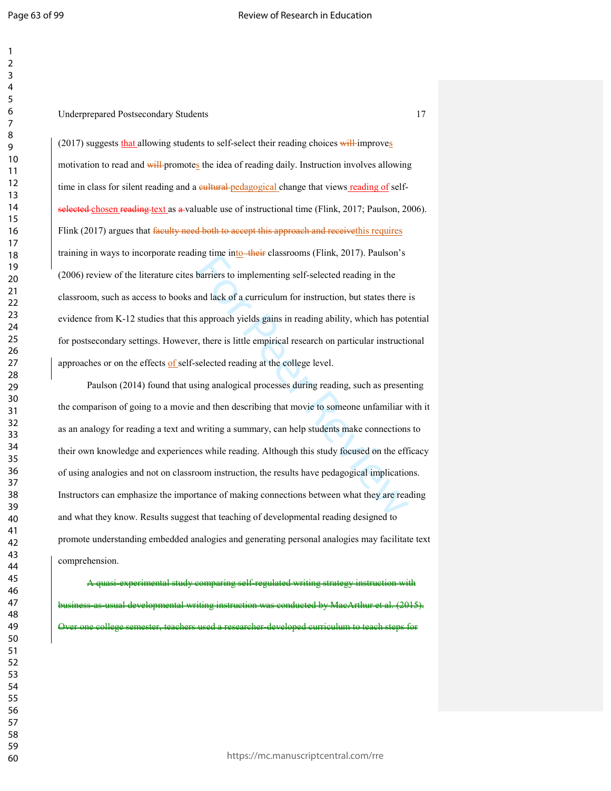Underprepared Postsecondary Students 17

(2017) suggests that allowing students to self-select their reading choices will improves motivation to read and will-promotes the idea of reading daily. Instruction involves allowing time in class for silent reading and a eultural pedagogical change that views reading of selfselected chosen reading text as a valuable use of instructional time (Flink, 2017; Paulson, 2006). Flink (2017) argues that faculty need both to accept this approach and receivethis requires training in ways to incorporate reading time into their classrooms (Flink, 2017). Paulson's (2006) review of the literature cites barriers to implementing self-selected reading in the classroom, such as access to books and lack of a curriculum for instruction, but states there is evidence from K-12 studies that this approach yields gains in reading ability, which has potential for postsecondary settings. However, there is little empirical research on particular instructional approaches or on the effects of self-selected reading at the college level.

barriers to implementing self-selected reading in the<br>barriers to implementing self-selected reading in the<br>and lack of a curriculum for instruction, but states there<br>is approach yields gains in reading ability, which has Paulson (2014) found that using analogical processes during reading, such as presenting the comparison of going to a movie and then describing that movie to someone unfamiliar with it as an analogy for reading a text and writing a summary, can help students make connections to their own knowledge and experiences while reading. Although this study focused on the efficacy of using analogies and not on classroom instruction, the results have pedagogical implications. Instructors can emphasize the importance of making connections between what they are reading and what they know. Results suggest that teaching of developmental reading designed to promote understanding embedded analogies and generating personal analogies may facilitate text comprehension.

A quasi-experimental study comparing self-regulated writing strategy instruction with iness-as-usual developmental writing instruction was conducted by MacArthur et al. (2015). Over one college semester, teachers used a researcher-developed curriculum to teach steps for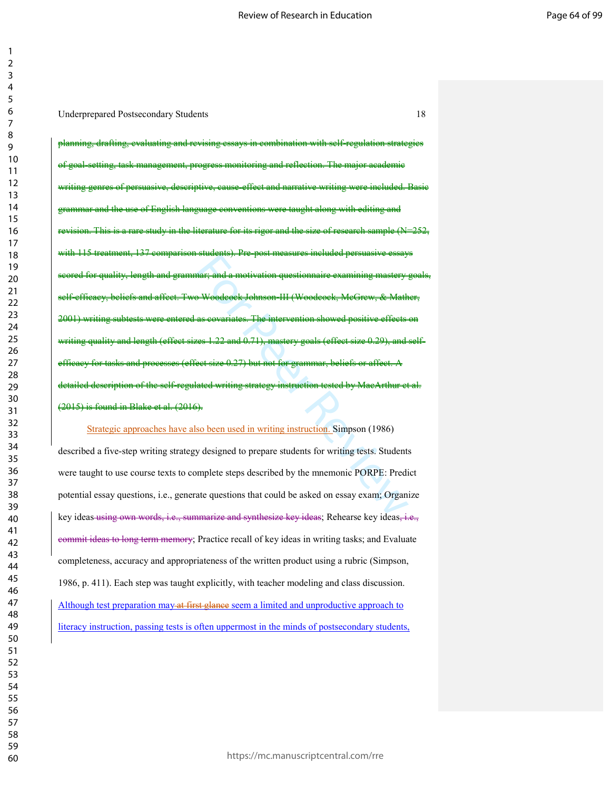Underprepared Postsecondary Students 18

stateme). The post measures mentated persuasive essay<br>
nar; and a motivation questionnaire examining mastery<br>
2 Woodcock Johnson III (Woodcock, McGrow, & Math<br>
as eovariates. The intervention showed positive effects<br>
tee 1 drafting, evaluating and revising essays in combination with self-regulation strategies of goal-setting, task management, progress monitoring and reflection. The major academic writing genres of persuasive, descriptive, cause-effect and narrative writing were included. Basic and the use of English language conventions were taught along with editing and revision. This is a rare study in the literature for its rigor and the size of research sample  $(N=252,$ 137 comparison students). Pre-post measures included persuasive length and grammar; and a motivation questionnaire examining self-efficacy, beliefs and affect. Two Woodcock Johnson-III (Woodcock, McGrew, & Mather, 2001) writing subtests were entered as covariates. The intervention showed positive effects on writing quality and length (effect sizes 1.22 and 0.71), mastery goals (effect size 0.29), and selffor tasks and processes (effect size 0.27) but not for grammar, beliefs detailed description of the self-regulated writing strategy instruction tested by MacArthur et al. (2015) is found in Blake et al. (2016).

Strategic approaches have also been used in writing instruction. Simpson (1986) described a five-step writing strategy designed to prepare students for writing tests. Students were taught to use course texts to complete steps described by the mnemonic PORPE: Predict potential essay questions, i.e., generate questions that could be asked on essay exam; Organize key ideas using own words, i.e., summarize and synthesize key ideas; Rehearse key ideas, i.e., commit ideas to long term memory; Practice recall of key ideas in writing tasks; and Evaluate completeness, accuracy and appropriateness of the written product using a rubric (Simpson, 1986, p. 411). Each step was taught explicitly, with teacher modeling and class discussion. Although test preparation may at first glance seem a limited and unproductive approach to literacy instruction, passing tests is often uppermost in the minds of postsecondary students,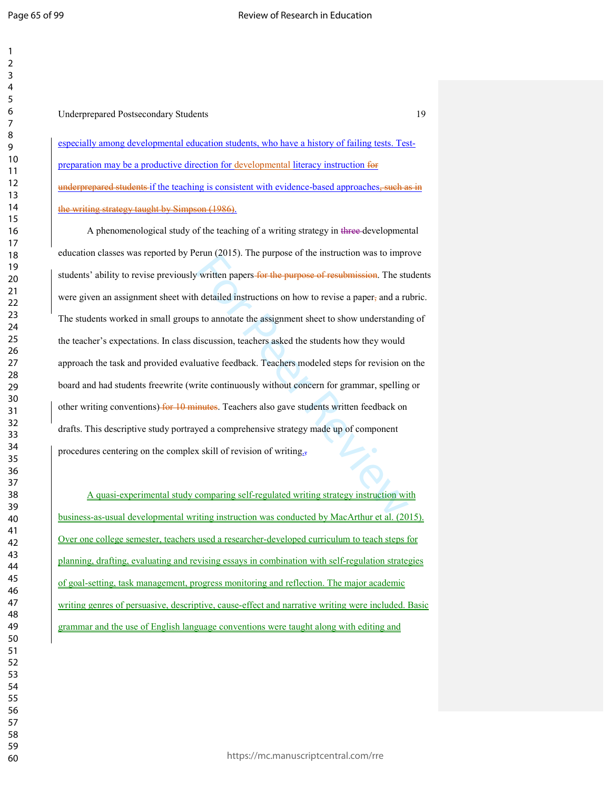## Underprepared Postsecondary Students 19

especially among developmental education students, who have a history of failing tests. Testpreparation may be a productive direction for developmental literacy instruction for underprepared students if the teaching is consistent with evidence-based approaches, such as in the writing strategy taught by Simpson (1986).

For the purpose of the instruction was to improvant<br>a detailed instructions on how to revise a paper, and a rule and a rules of the assignment sheet to show understandin<br>discussion, teachers asked the students how they wo A phenomenological study of the teaching of a writing strategy in three developmental education classes was reported by Perun (2015). The purpose of the instruction was to improve students' ability to revise previously written papers for the purpose of resubmission. The students were given an assignment sheet with detailed instructions on how to revise a paper, and a rubric. The students worked in small groups to annotate the assignment sheet to show understanding of the teacher's expectations. In class discussion, teachers asked the students how they would approach the task and provided evaluative feedback. Teachers modeled steps for revision on the board and had students freewrite (write continuously without concern for grammar, spelling or other writing conventions) for 10 minutes. Teachers also gave students written feedback on drafts. This descriptive study portrayed a comprehensive strategy made up of component procedures centering on the complex skill of revision of writing.,

A quasi-experimental study comparing self-regulated writing strategy instruction with business-as-usual developmental writing instruction was conducted by MacArthur et al. (2015). Over one college semester, teachers used a researcher-developed curriculum to teach steps for planning, drafting, evaluating and revising essays in combination with self-regulation strategies of goal-setting, task management, progress monitoring and reflection. The major academic writing genres of persuasive, descriptive, cause-effect and narrative writing were included. Basic grammar and the use of English language conventions were taught along with editing and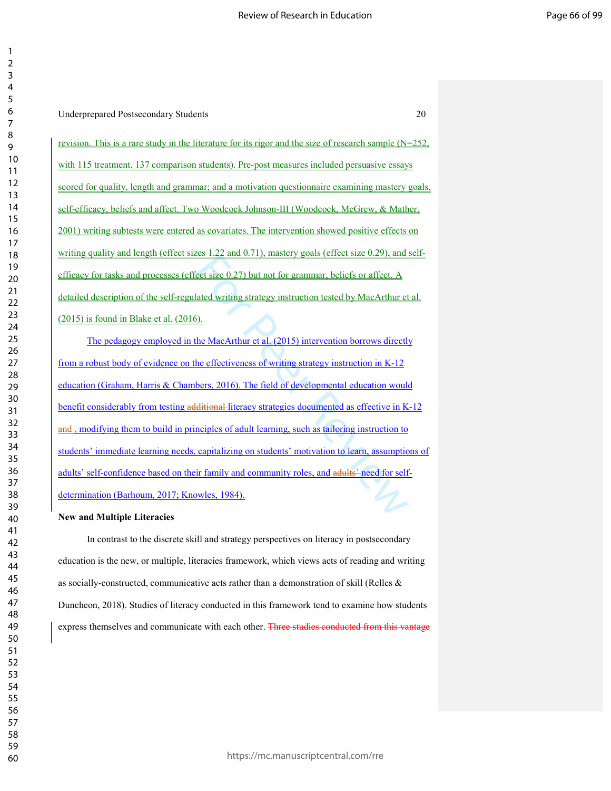| 2                                         |
|-------------------------------------------|
| ξ                                         |
|                                           |
| 4                                         |
| 5                                         |
| 6                                         |
|                                           |
|                                           |
| 8                                         |
| ¢<br>)                                    |
|                                           |
| 10                                        |
| 1<br>$\mathbf{1}$                         |
| $\mathbf{1}$<br>2                         |
| $\mathbf{1}$<br>3                         |
|                                           |
| 4<br>$\mathbf{1}$                         |
| 15                                        |
| 16                                        |
|                                           |
| 17                                        |
| 18                                        |
| 19                                        |
| 20                                        |
|                                           |
| $\overline{21}$                           |
| $\overline{2}$<br>,                       |
| $\overline{2}$<br>ξ                       |
|                                           |
| $\frac{24}{3}$                            |
| 25                                        |
| 26                                        |
|                                           |
| $\frac{27}{2}$                            |
| $^{28}$                                   |
| 29                                        |
|                                           |
| 30                                        |
| $\overline{\textbf{3}}$                   |
| $\overline{\mathbf{3}}$<br>2              |
| $\overline{\mathbf{3}}$<br>ξ              |
|                                           |
| 34                                        |
| 35                                        |
| 36                                        |
|                                           |
| 37                                        |
| 38                                        |
| $\frac{3}{2}$<br>冫                        |
|                                           |
| 40                                        |
| 41                                        |
| $\overline{4}$<br>$\overline{\mathbf{c}}$ |
| 43                                        |
|                                           |
| 44                                        |
| 45                                        |
| 46                                        |
|                                           |
| 47                                        |
| 48                                        |
| 49                                        |
|                                           |
| 50                                        |
| 51                                        |
| 5<br>$\overline{c}$                       |
| 53                                        |
|                                           |
| 54                                        |
| 55                                        |
| 56                                        |
|                                           |
| 57                                        |
| 58                                        |
| 59                                        |
|                                           |

Underprepared Postsecondary Students 20 revision. This is a rare study in the literature for its rigor and the size of research sample  $(N=252,$ with 115 treatment, 137 comparison students). Pre-post measures included persuasive essays scored for quality, length and grammar; and a motivation questionnaire examining mastery goals, self-efficacy, beliefs and affect. Two Woodcock Johnson-III (Woodcock, McGrew, & Mather, 2001) writing subtests were entered as covariates. The intervention showed positive effects on writing quality and length (effect sizes 1.22 and 0.71), mastery goals (effect size 0.29), and selfefficacy for tasks and processes (effect size 0.27) but not for grammar, beliefs or affect. A detailed description of the self-regulated writing strategy instruction tested by MacArthur et al. (2015) is found in Blake et al. (2016).

Example 2.22 and 0.71), mastely goals (encef size 0.22), and<br>ect size 0.27) but not for grammar, beliefs or affect. A<br>ated writing strategy instruction tested by MacArthur et<br>in the MacArthur et al. (2015) intervention bor The pedagogy employed in the MacArthur et al. (2015) intervention borrows directly from a robust body of evidence on the effectiveness of writing strategy instruction in K-12 education (Graham, Harris & Chambers, 2016). The field of developmental education would benefit considerably from testing additional literacy strategies documented as effective in K-12 and -modifying them to build in principles of adult learning, such as tailoring instruction to students' immediate learning needs, capitalizing on students' motivation to learn, assumptions of adults' self-confidence based on their family and community roles, and adults' need for selfdetermination (Barhoum, 2017; Knowles, 1984).

#### **New and Multiple Literacies**

In contrast to the discrete skill and strategy perspectives on literacy in postsecondary education is the new, or multiple, literacies framework, which views acts of reading and writing as socially-constructed, communicative acts rather than a demonstration of skill (Relles & Duncheon, 2018). Studies of literacy conducted in this framework tend to examine how students express themselves and communicate with each other. Three studies conducted from this vantage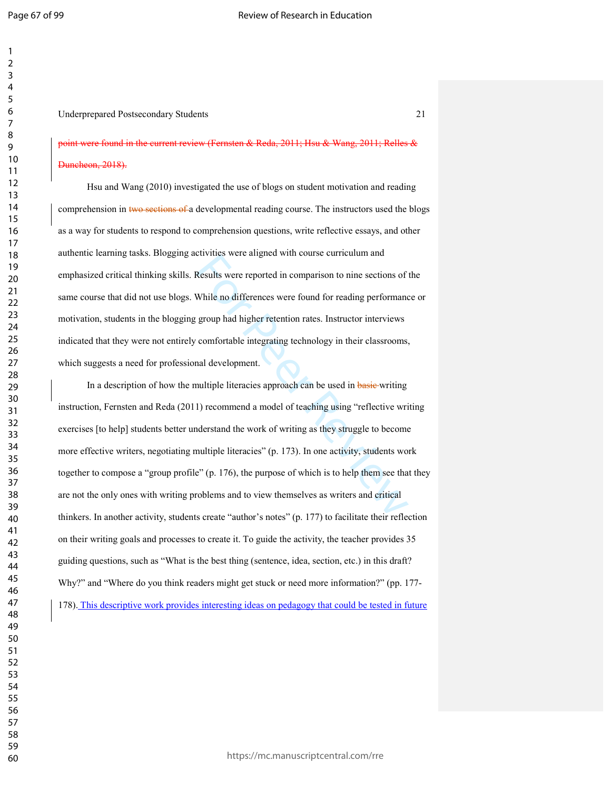## Underprepared Postsecondary Students 21

# point were found in the current review (Fernsten & Reda, 2011; Hsu & Wang, 2011; Relles & heon, 2018).

Hsu and Wang (2010) investigated the use of blogs on student motivation and reading comprehension in two sections of a developmental reading course. The instructors used the blogs as a way for students to respond to comprehension questions, write reflective essays, and other authentic learning tasks. Blogging activities were aligned with course curriculum and emphasized critical thinking skills. Results were reported in comparison to nine sections of the same course that did not use blogs. While no differences were found for reading performance or motivation, students in the blogging group had higher retention rates. Instructor interviews indicated that they were not entirely comfortable integrating technology in their classrooms, which suggests a need for professional development.

Results were angied whil could cantentum and<br>Results were reported in comparison to nine sections of<br>While no differences were found for reading performanc<br>group had higher retention rates. Instructor interviews<br>comfortabl In a description of how the multiple literacies approach can be used in basic writing instruction, Fernsten and Reda (2011) recommend a model of teaching using "reflective writing exercises [to help] students better understand the work of writing as they struggle to become more effective writers, negotiating multiple literacies" (p. 173). In one activity, students work together to compose a "group profile" (p. 176), the purpose of which is to help them see that they are not the only ones with writing problems and to view themselves as writers and critical thinkers. In another activity, students create "author's notes" (p. 177) to facilitate their reflection on their writing goals and processes to create it. To guide the activity, the teacher provides 35 guiding questions, such as "What is the best thing (sentence, idea, section, etc.) in this draft? Why?" and "Where do you think readers might get stuck or need more information?" (pp. 177-178). This descriptive work provides interesting ideas on pedagogy that could be tested in future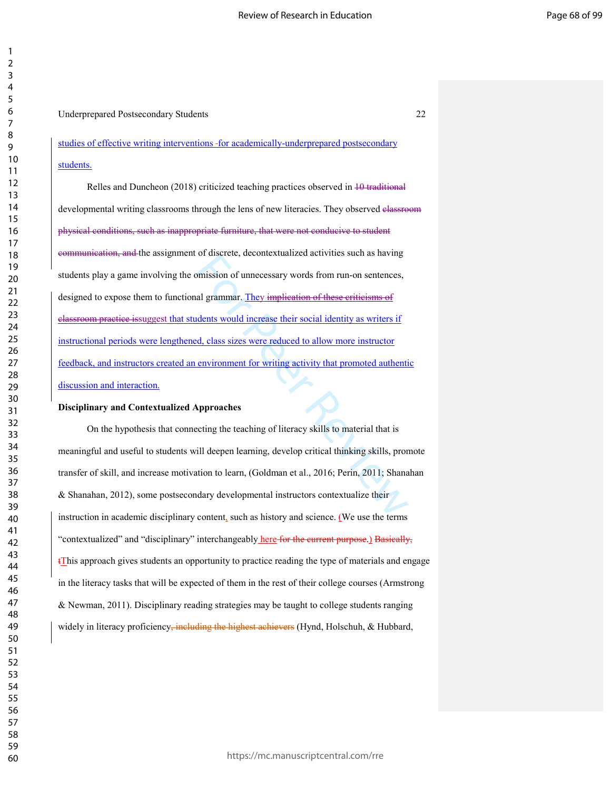Underprepared Postsecondary Students 22

studies of effective writing interventions -for academically-underprepared postsecondary students.

or urstrett, the understanded activities stern as having<br>simission of unnecessary words from run-on sentences,<br>al grammar. They implieation of these eritieisms of<br>idents would increase their social identity as writers if<br>d Relles and Duncheon (2018) criticized teaching practices observed in 10 traditional developmental writing classrooms through the lens of new literacies. They observed classroom physical conditions, such as inappropriate furniture, that were not conducive to student communication, and the assignment of discrete, decontextualized activities such as having students play a game involving the omission of unnecessary words from run-on sentences, designed to expose them to functional grammar. They implication of these criticisms of classroom practice issuggest that students would increase their social identity as writers if instructional periods were lengthened, class sizes were reduced to allow more instructor feedback, and instructors created an environment for writing activity that promoted authentic discussion and interaction.

#### **Disciplinary and Contextualized Approaches**

 On the hypothesis that connecting the teaching of literacy skills to material that is meaningful and useful to students will deepen learning, develop critical thinking skills, promote transfer of skill, and increase motivation to learn, (Goldman et al., 2016; Perin, 2011; Shanahan & Shanahan, 2012), some postsecondary developmental instructors contextualize their instruction in academic disciplinary content, such as history and science. (We use the terms "contextualized" and "disciplinary" interchangeably here for the current purpose.) Basically,  $t$ This approach gives students an opportunity to practice reading the type of materials and engage in the literacy tasks that will be expected of them in the rest of their college courses (Armstrong & Newman, 2011). Disciplinary reading strategies may be taught to college students ranging widely in literacy proficiency, including the highest achievers (Hynd, Holschuh, & Hubbard,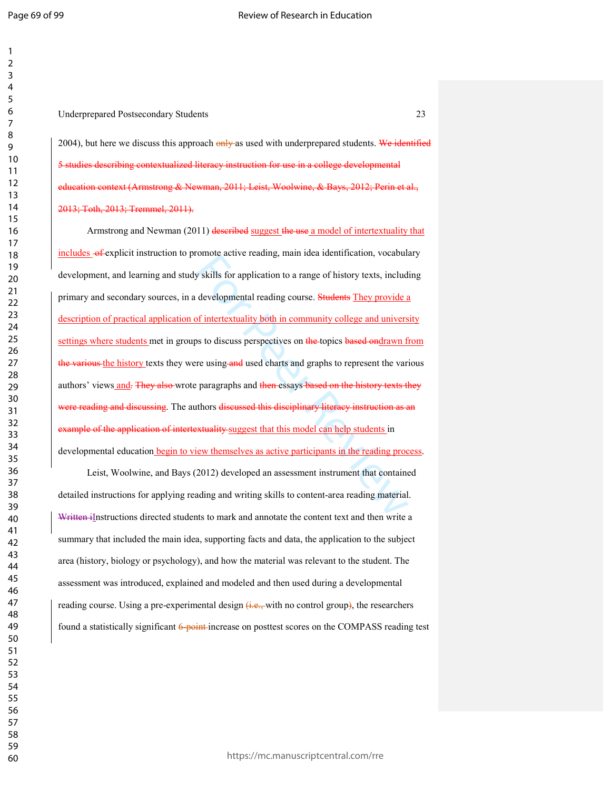Underprepared Postsecondary Students 23

2004), but here we discuss this approach only as used with underprepared students. We identified 5 studies describing contextualized literacy instruction for use in a college developmental education context (Armstrong & Newman, 2011; Leist, Woolwine, & Bays, 2012; Perin et al., 2013; Toth, 2013; Tremmel, 2011).

build solve trading, manticea dentification, vocables<br>y skills for application to a range of history texts, includ<br>developmental reading course. Students They provide a<br>of intertextuality both in community college and univ Armstrong and Newman (2011) described suggest the use a model of intertextuality that includes  $-6$  explicit instruction to promote active reading, main idea identification, vocabulary development, and learning and study skills for application to a range of history texts, including primary and secondary sources, in a developmental reading course. Students They provide a description of practical application of intertextuality both in community college and university settings where students met in groups to discuss perspectives on the topics based ondrawn from the various the history texts they were using and used charts and graphs to represent the various authors' views and. They also wrote paragraphs and then essays based on the history texts they were reading and discussing. The authors discussed this disciplinary literacy instruction as an example of the application of intertextuality suggest that this model can help students in developmental education begin to view themselves as active participants in the reading process.

Leist, Woolwine, and Bays (2012) developed an assessment instrument that contained detailed instructions for applying reading and writing skills to content-area reading material. Written iInstructions directed students to mark and annotate the content text and then write a summary that included the main idea, supporting facts and data, the application to the subject area (history, biology or psychology), and how the material was relevant to the student. The assessment was introduced, explained and modeled and then used during a developmental reading course. Using a pre-experimental design  $\left(\frac{1}{1}, \frac{1}{1}, \frac{1}{1}, \cdots\right)$  and  $\left(\frac{1}{1}, \frac{1}{1}, \cdots\right)$  and  $\left(\frac{1}{1}, \frac{1}{1}, \cdots\right)$  and  $\left(\frac{1}{1}, \frac{1}{1}, \cdots\right)$  and  $\left(\frac{1}{1}, \frac{1}{1}, \cdots\right)$  and  $\left(\frac{1}{1}, \frac{1}{1}, \cdots\$ found a statistically significant 6-point-increase on posttest scores on the COMPASS reading test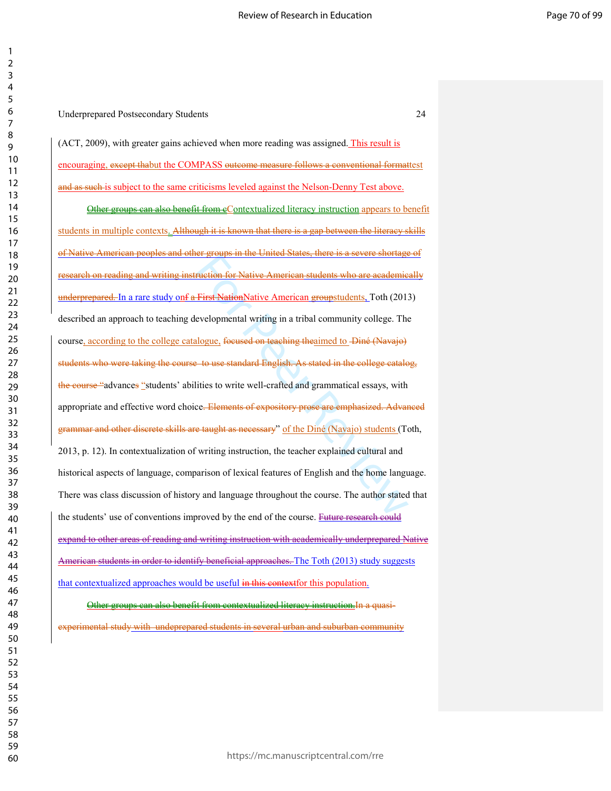(ACT, 2009), with greater gains achieved when more reading was assigned. This result is encouraging, except thabut the COMPASS outcome measure follows a conventional formattest and as such is subject to the same criticisms leveled against the Nelson-Denny Test above.

Etraction for Native American students who are academic<br>First NationNative American groupstudents. Toth (2013<br>evelopmental writing in a tribal community college. The<br>llogue, focused on teaching theaimed to Diné (Navajo)<br>+ Other groups can also benefit from eContextualized literacy instruction appears to benefit students in multiple contexts. Although it is known that there is a gap between the literacy skills American peoples and other groups in the United States, there is a severe shortage of research on reading and writing instruction for Native American students who are academically underprepared. In a rare study onf a First NationNative American groupstudents, Toth (2013) described an approach to teaching developmental writing in a tribal community college. The course, according to the college catalogue, focused on teaching theaimed to -Diné (Navajo) students who were taking the course to use standard English. As stated in the college catalog, the course "advances "students' abilities to write well-crafted and grammatical essays, with appropriate and effective word choice. Elements of expository prose are emphasized. Advanced grammar and other discrete skills are taught as necessary" of the Diné (Navajo) students (Toth, 2013, p. 12). In contextualization of writing instruction, the teacher explained cultural and historical aspects of language, comparison of lexical features of English and the home language. There was class discussion of history and language throughout the course. The author stated that the students' use of conventions improved by the end of the course. Future research could expand to other areas of reading and writing instruction with academically underprepared Native American students in order to identify beneficial approaches. The Toth (2013) study suggests that contextualized approaches would be useful in this contextfor this population.

# Other groups can also benefit from contextualized literacy instruction.In a quasiexperimental study with undeprepared students in several urban and suburban community

| 3                                         |
|-------------------------------------------|
| 4                                         |
| 5                                         |
| 6                                         |
|                                           |
|                                           |
| 8                                         |
| 9                                         |
| 10<br>ĺ                                   |
| 1<br>1                                    |
| 1<br>ì                                    |
|                                           |
| $\mathbf{1}$<br>3                         |
| 14                                        |
| 15                                        |
| 16                                        |
| 1                                         |
| 18                                        |
| 19                                        |
|                                           |
| 20                                        |
| $^{21}$                                   |
| $\overline{2}$<br>$\overline{ }$          |
| $\overline{2}$<br>$\overline{\mathbf{3}}$ |
| $\frac{2}{4}$                             |
| 25                                        |
|                                           |
| 26                                        |
| $\frac{1}{2}$                             |
| $\frac{28}{5}$                            |
| 29                                        |
| 30                                        |
| $\mathbf{S}$<br>1                         |
|                                           |
| 3<br>$\overline{ }$                       |
| 3                                         |
| 34                                        |
| 35                                        |
| 36                                        |
| $\overline{\mathbf{3}}$                   |
| 38                                        |
|                                           |
| 39                                        |
| l                                         |
| 41                                        |
| 4.                                        |
| 43                                        |
| 44                                        |
| 45                                        |
|                                           |
| 46                                        |
| 4                                         |
| 48                                        |
| 49<br>∢                                   |
| 50                                        |
| 51                                        |
| 5<br>)                                    |
|                                           |
| 5<br>3                                    |
| 54                                        |
| 55                                        |
| 56                                        |
| 5                                         |
| 58                                        |
|                                           |
| 59                                        |
| 60                                        |

  $\mathfrak{p}$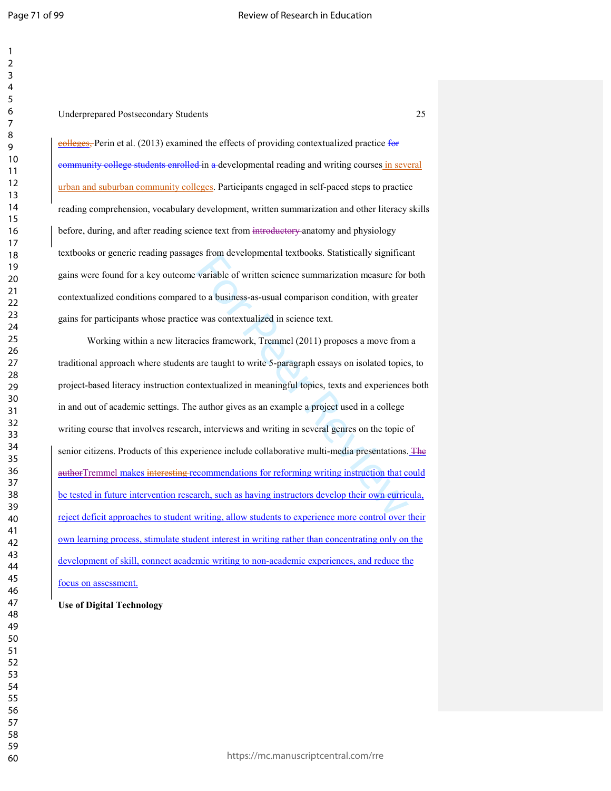#### Underprepared Postsecondary Students 25

colleges, Perin et al. (2013) examined the effects of providing contextualized practice for community college students enrolled in a developmental reading and writing courses in several urban and suburban community colleges. Participants engaged in self-paced steps to practice reading comprehension, vocabulary development, written summarization and other literacy skills before, during, and after reading science text from introductory anatomy and physiology textbooks or generic reading passages from developmental textbooks. Statistically significant gains were found for a key outcome variable of written science summarization measure for both contextualized conditions compared to a business-as-usual comparison condition, with greater gains for participants whose practice was contextualized in science text.

variable of written science summarization measure for<br>variable of written science summarization measure for<br>to a business-as-usual comparison condition, with great<br>e was contextualized in science text.<br>cies framework, Trem Working within a new literacies framework, Tremmel (2011) proposes a move from a traditional approach where students are taught to write 5-paragraph essays on isolated topics, to project-based literacy instruction contextualized in meaningful topics, texts and experiences both in and out of academic settings. The author gives as an example a project used in a college writing course that involves research, interviews and writing in several genres on the topic of senior citizens. Products of this experience include collaborative multi-media presentations. The authorTremmel makes interesting recommendations for reforming writing instruction that could be tested in future intervention research, such as having instructors develop their own curricula, reject deficit approaches to student writing, allow students to experience more control over their own learning process, stimulate student interest in writing rather than concentrating only on the development of skill, connect academic writing to non-academic experiences, and reduce the focus on assessment.

# **Use of Digital Technology**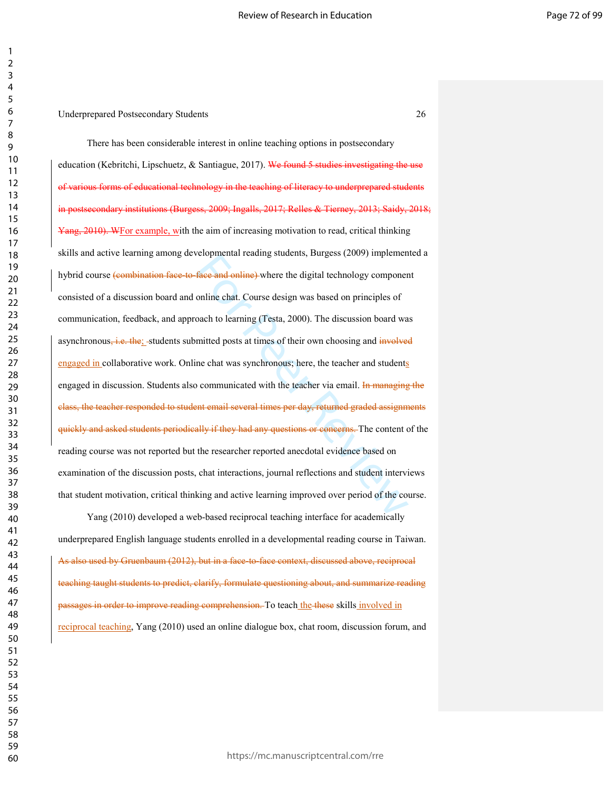reformation trading students, burgess (2009) implement<br> **face and online**) where the digital technology componer<br>
online chat. Course design was based on principles of<br>
oach to learning (Testa, 2000). The discussion board There has been considerable interest in online teaching options in postsecondary education (Kebritchi, Lipschuetz, & Santiague, 2017). We found 5 studies investigating the use of various forms of educational technology in the teaching of literacy to underprepared students in postsecondary institutions (Burgess, 2009; Ingalls, 2017; Relles & Tierney, 2013; Saidy, 2018; Yang, 2010). WFor example, with the aim of increasing motivation to read, critical thinking skills and active learning among developmental reading students, Burgess (2009) implemented a hybrid course (combination face to face and online) where the digital technology component consisted of a discussion board and online chat. Course design was based on principles of communication, feedback, and approach to learning (Testa, 2000). The discussion board was asynchronous, i.e. the; students submitted posts at times of their own choosing and involved engaged in collaborative work. Online chat was synchronous; here, the teacher and students engaged in discussion. Students also communicated with the teacher via email. In managing the class, the teacher responded to student email several times per day, returned graded assignments quickly and asked students periodically if they had any questions or concerns. The content of the reading course was not reported but the researcher reported anecdotal evidence based on examination of the discussion posts, chat interactions, journal reflections and student interviews that student motivation, critical thinking and active learning improved over period of the course.

Yang (2010) developed a web-based reciprocal teaching interface for academically underprepared English language students enrolled in a developmental reading course in Taiwan. As also used by Gruenbaum (2012), but in a face-to-face context, discussed above, reciprocal teaching taught students to predict, clarify, formulate questioning about, and summarize reading passages in order to improve reading comprehension. To teach the these skills involved in reciprocal teaching, Yang (2010) used an online dialogue box, chat room, discussion forum, and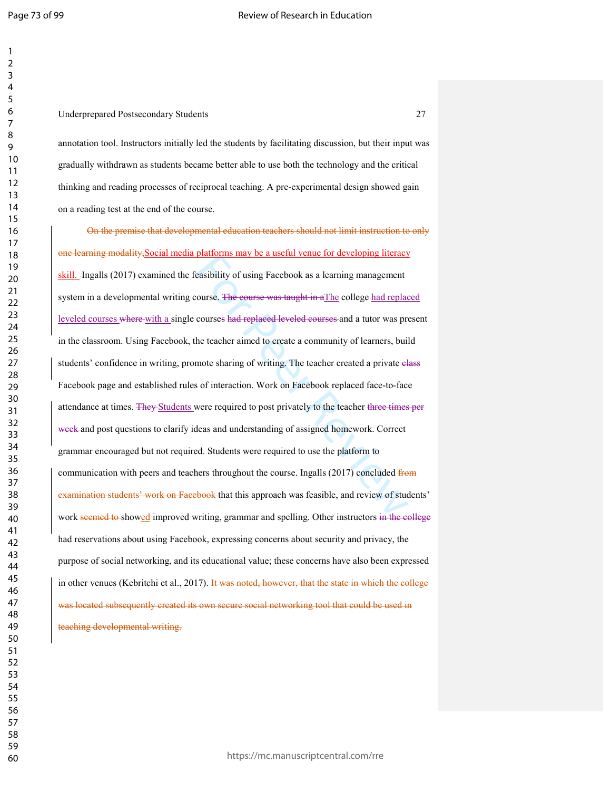# Underprepared Postsecondary Students 27

annotation tool. Instructors initially led the students by facilitating discussion, but their input was gradually withdrawn as students became better able to use both the technology and the critical thinking and reading processes of reciprocal teaching. A pre-experimental design showed gain on a reading test at the end of the course.

plationis may oc a useful vente for developing ineracy<br>easibility of using Facebook as a learning management<br>courses had replaced leveled courses and a tutor was pro<br>the teacher aimed to create a community of learners, bui On the premise that developmental education teachers should not limit instruction to only one learning modality,Social media platforms may be a useful venue for developing literacy skill. -Ingalls (2017) examined the feasibility of using Facebook as a learning management system in a developmental writing course. The course was taught in aThe college had replaced leveled courses where with a single courses had replaced leveled courses and a tutor was present in the classroom. Using Facebook, the teacher aimed to create a community of learners, build students' confidence in writing, promote sharing of writing. The teacher created a private elass Facebook page and established rules of interaction. Work on Facebook replaced face-to-face attendance at times. They Students were required to post privately to the teacher three times per week and post questions to clarify ideas and understanding of assigned homework. Correct grammar encouraged but not required. Students were required to use the platform to communication with peers and teachers throughout the course. Ingalls (2017) concluded from examination students' work on Facebook that this approach was feasible, and review of students' work seemed to showed improved writing, grammar and spelling. Other instructors in the college had reservations about using Facebook, expressing concerns about security and privacy, the purpose of social networking, and its educational value; these concerns have also been expressed in other venues (Kebritchi et al., 2017). It was noted, however, that the state in which the college was located subsequently created its own secure social networking tool that could be used in teaching developmental writing.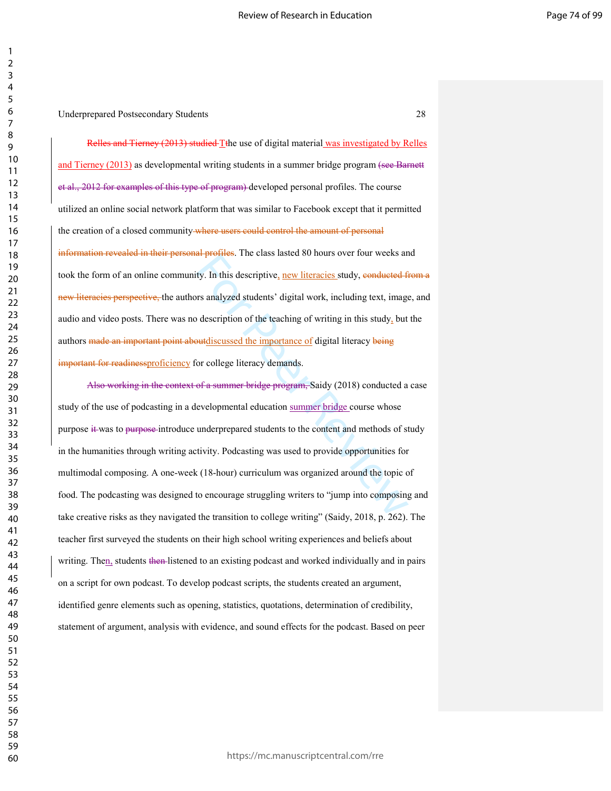Relles and Tierney (2013) studied Tthe use of digital material was investigated by Relles and Tierney (2013) as developmental writing students in a summer bridge program (see Barnett et al., 2012 for examples of this type of program) developed personal profiles. The course utilized an online social network platform that was similar to Facebook except that it permitted the creation of a closed community where users could control the amount of personal information revealed in their personal profiles. The class lasted 80 hours over four weeks and took the form of an online community. In this descriptive, new literacies study, conducted from a new literacies perspective, the authors analyzed students' digital work, including text, image, and audio and video posts. There was no description of the teaching of writing in this study, but the authors made an important point aboutdiscussed the importance of digital literacy being important for readinessproficiency for college literacy demands.

In promes. The class lasted of hours over four weeks and<br>ty. In this descriptive, new literacies study, eonducted fi<br>prs analyzed students' digital work, including text, image<br>of description of the teaching of writing in Also working in the context of a summer bridge program, Saidy (2018) conducted a case study of the use of podcasting in a developmental education summer bridge course whose purpose it was to purpose introduce underprepared students to the content and methods of study in the humanities through writing activity. Podcasting was used to provide opportunities for multimodal composing. A one-week (18-hour) curriculum was organized around the topic of food. The podcasting was designed to encourage struggling writers to "jump into composing and take creative risks as they navigated the transition to college writing" (Saidy, 2018, p. 262). The teacher first surveyed the students on their high school writing experiences and beliefs about writing. Then, students then listened to an existing podcast and worked individually and in pairs on a script for own podcast. To develop podcast scripts, the students created an argument, identified genre elements such as opening, statistics, quotations, determination of credibility, statement of argument, analysis with evidence, and sound effects for the podcast. Based on peer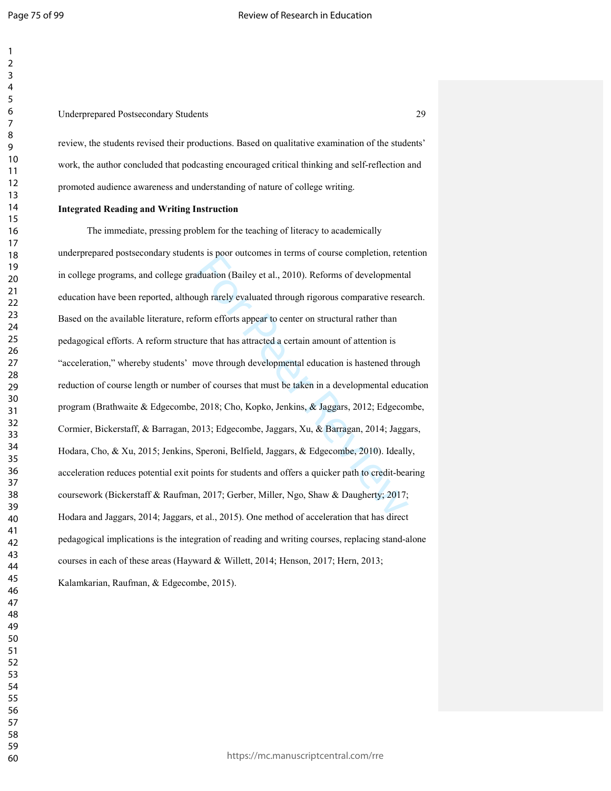# Underprepared Postsecondary Students 29

review, the students revised their productions. Based on qualitative examination of the students' work, the author concluded that podcasting encouraged critical thinking and self-reflection and promoted audience awareness and understanding of nature of college writing.

# **Integrated Reading and Writing Instruction**

Its is poor outcomes in terms of course completion, reternation (Bailey et al., 2010). Reforms of developmenta<br>ugh rarely evaluated through rigorous comparative resea<br>form efforts appear to center on structural rather than The immediate, pressing problem for the teaching of literacy to academically underprepared postsecondary students is poor outcomes in terms of course completion, retention in college programs, and college graduation (Bailey et al., 2010). Reforms of developmental education have been reported, although rarely evaluated through rigorous comparative research. Based on the available literature, reform efforts appear to center on structural rather than pedagogical efforts. A reform structure that has attracted a certain amount of attention is "acceleration," whereby students' move through developmental education is hastened through reduction of course length or number of courses that must be taken in a developmental education program (Brathwaite & Edgecombe, 2018; Cho, Kopko, Jenkins, & Jaggars, 2012; Edgecombe, Cormier, Bickerstaff, & Barragan, 2013; Edgecombe, Jaggars, Xu, & Barragan, 2014; Jaggars, Hodara, Cho, & Xu, 2015; Jenkins, Speroni, Belfield, Jaggars, & Edgecombe, 2010). Ideally, acceleration reduces potential exit points for students and offers a quicker path to credit-bearing coursework (Bickerstaff & Raufman, 2017; Gerber, Miller, Ngo, Shaw & Daugherty; 2017; Hodara and Jaggars, 2014; Jaggars, et al., 2015). One method of acceleration that has direct pedagogical implications is the integration of reading and writing courses, replacing stand-alone courses in each of these areas (Hayward & Willett, 2014; Henson, 2017; Hern, 2013;

Kalamkarian, Raufman, & Edgecombe, 2015).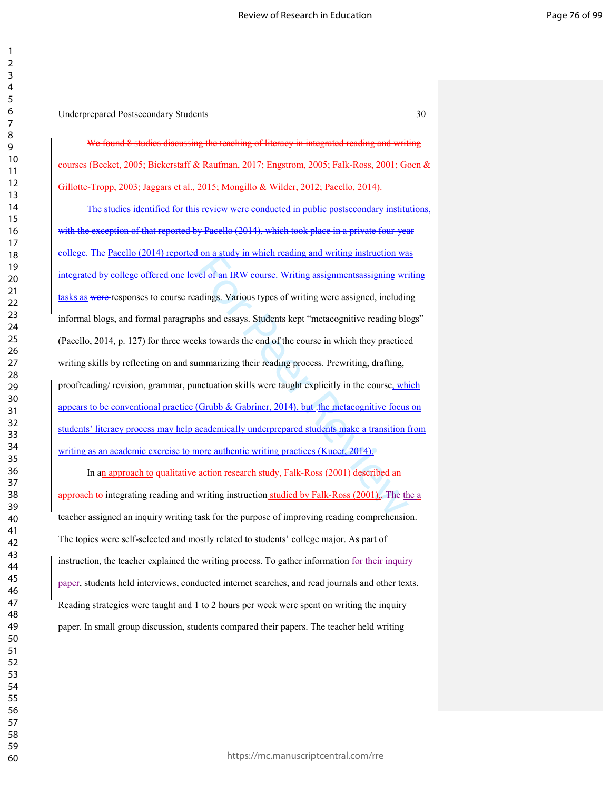Underprepared Postsecondary Students 30

We found 8 studies discussing the teaching of literacy in integrated reading and writing  $\frac{1}{2005}$ ; Bickerstaff & Raufman, 2017; Engstrom, 2005; Falk-Ross, 2001; Goen Gillotte-Tropp, 2003; Jaggars et al., 2015; Mongillo & Wilder, 2012; Pacello, 2014).

For a staty in which idealing and writing instruction was<br>
wel of an IRW course. Writing assignments assigning writing<br>
adings. Various types of writing were assigned, includin<br>
this and essays. Students kept "metacogniti The studies identified for this review were conducted in public postsecondary institutions, with the exception of that reported by Pacello (2014), which took place in a private four-year college. The Pacello (2014) reported on a study in which reading and writing instruction was integrated by college offered one level of an IRW course. Writing assignmentsassigning writing tasks as were responses to course readings. Various types of writing were assigned, including informal blogs, and formal paragraphs and essays. Students kept "metacognitive reading blogs" (Pacello, 2014, p. 127) for three weeks towards the end of the course in which they practiced writing skills by reflecting on and summarizing their reading process. Prewriting, drafting, proofreading/ revision, grammar, punctuation skills were taught explicitly in the course, which appears to be conventional practice (Grubb  $\&$  Gabriner, 2014), but  $\pm$ the metacognitive focus on students' literacy process may help academically underprepared students make a transition from writing as an academic exercise to more authentic writing practices (Kucer, 2014).

In an approach to qualitative action research study, Falk-Ross (2001) described an approach to integrating reading and writing instruction studied by Falk-Ross  $(2001)$ . The the  $a$ teacher assigned an inquiry writing task for the purpose of improving reading comprehension. The topics were self-selected and mostly related to students' college major. As part of instruction, the teacher explained the writing process. To gather information for their inquiry paper, students held interviews, conducted internet searches, and read journals and other texts. Reading strategies were taught and 1 to 2 hours per week were spent on writing the inquiry paper. In small group discussion, students compared their papers. The teacher held writing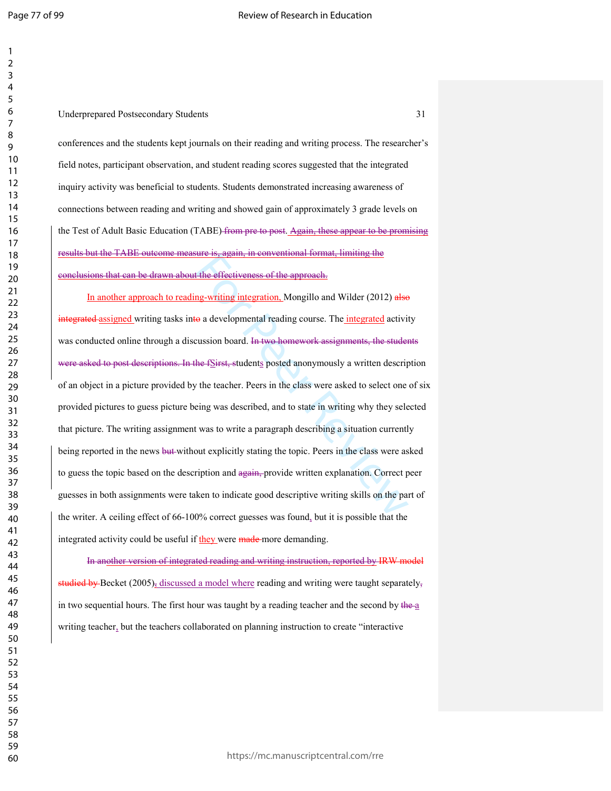| 1                 |  |
|-------------------|--|
| 2                 |  |
| 3                 |  |
| 4                 |  |
| 5                 |  |
| 6                 |  |
|                   |  |
| 8                 |  |
|                   |  |
| 9                 |  |
| 10                |  |
| 1<br>$\mathbf{1}$ |  |
| $\overline{12}$   |  |
| 13                |  |
| 4<br>1            |  |
| 15                |  |
| 16                |  |
| 1                 |  |
| 18                |  |
| 19                |  |
| 20                |  |
| $\overline{21}$   |  |
| $^{22}$           |  |
| 23                |  |
| $^{24}$           |  |
| 25                |  |
|                   |  |
| 26                |  |
| 27                |  |
| 28                |  |
| 29                |  |
| 30                |  |
| 31                |  |
| 32                |  |
| 33                |  |
| 34                |  |
| 35                |  |
| 36                |  |
| 37                |  |
| 38                |  |
| 39                |  |
| 40                |  |
| 41                |  |
| 42                |  |
| 43                |  |
|                   |  |
| 44                |  |
| 45                |  |
| 46                |  |
| 47                |  |
| 48                |  |
| 49                |  |
| 50                |  |
| 51                |  |
| 52                |  |
| 53                |  |
| 54                |  |
| 55                |  |
| 56                |  |
| 57                |  |
| 58                |  |
| 59                |  |
|                   |  |

Underprepared Postsecondary Students 31

conferences and the students kept journals on their reading and writing process. The researcher's field notes, participant observation, and student reading scores suggested that the integrated inquiry activity was beneficial to students. Students demonstrated increasing awareness of connections between reading and writing and showed gain of approximately 3 grade levels on the Test of Adult Basic Education (TABE) from pre to post. Again, these appear to be promising results but the TABE outcome measure is, again, in conventional format, limiting the conclusions that can be drawn about the effectiveness of the approach.

The Equity in the effectiveness of the approach.<br>
In the effectiveness of the approach.<br>
In the effectiveness of the approach.<br>
The integrated activity<br>
ussion board. In two homework assignments, the studer<br>
the fSirst, st In another approach to reading-writing integration, Mongillo and Wilder (2012) also integrated assigned writing tasks into a developmental reading course. The integrated activity was conducted online through a discussion board. In two homework assignments, the students were asked to post descriptions. In the fSirst, students posted anonymously a written description of an object in a picture provided by the teacher. Peers in the class were asked to select one of six provided pictures to guess picture being was described, and to state in writing why they selected that picture. The writing assignment was to write a paragraph describing a situation currently being reported in the news but without explicitly stating the topic. Peers in the class were asked to guess the topic based on the description and again, provide written explanation. Correct peer guesses in both assignments were taken to indicate good descriptive writing skills on the part of the writer. A ceiling effect of 66-100% correct guesses was found, but it is possible that the integrated activity could be useful if they were made more demanding.

In another version of integrated reading and writing instruction, reported by IRW model studied by Becket (2005)<sub>2</sub> discussed a model where reading and writing were taught separately, in two sequential hours. The first hour was taught by a reading teacher and the second by the a writing teacher, but the teachers collaborated on planning instruction to create "interactive"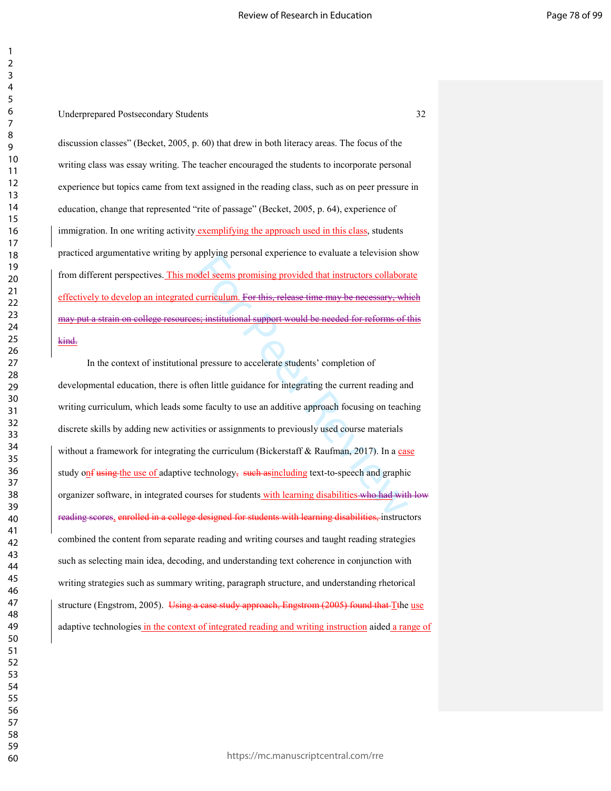discussion classes" (Becket, 2005, p. 60) that drew in both literacy areas. The focus of the writing class was essay writing. The teacher encouraged the students to incorporate personal experience but topics came from text assigned in the reading class, such as on peer pressure in education, change that represented "rite of passage" (Becket, 2005, p. 64), experience of immigration. In one writing activity exemplifying the approach used in this class, students practiced argumentative writing by applying personal experience to evaluate a television show from different perspectives. This model seems promising provided that instructors collaborate effectively to develop an integrated curriculum. For this, release time may be necessary, which may put a strain on college resources; institutional support would be needed for reforms of this kind.

ordel seems promising provided that instructors collaborated seems promising provided that instructors collaborated activised exergency. What we see impact the media or pressure to accelerate students' completion of the li In the context of institutional pressure to accelerate students' completion of developmental education, there is often little guidance for integrating the current reading and writing curriculum, which leads some faculty to use an additive approach focusing on teaching discrete skills by adding new activities or assignments to previously used course materials without a framework for integrating the curriculum (Bickerstaff  $& R$ aufman, 2017). In a case study onf using the use of adaptive technology, such assinctualing text-to-speech and graphic organizer software, in integrated courses for students with learning disabilities who had with low reading scores, enrolled in a college designed for students with learning disabilities, instructors combined the content from separate reading and writing courses and taught reading strategies such as selecting main idea, decoding, and understanding text coherence in conjunction with writing strategies such as summary writing, paragraph structure, and understanding rhetorical structure (Engstrom, 2005). Using a case study approach, Engstrom (2005) found that Tthe use adaptive technologies in the context of integrated reading and writing instruction aided a range of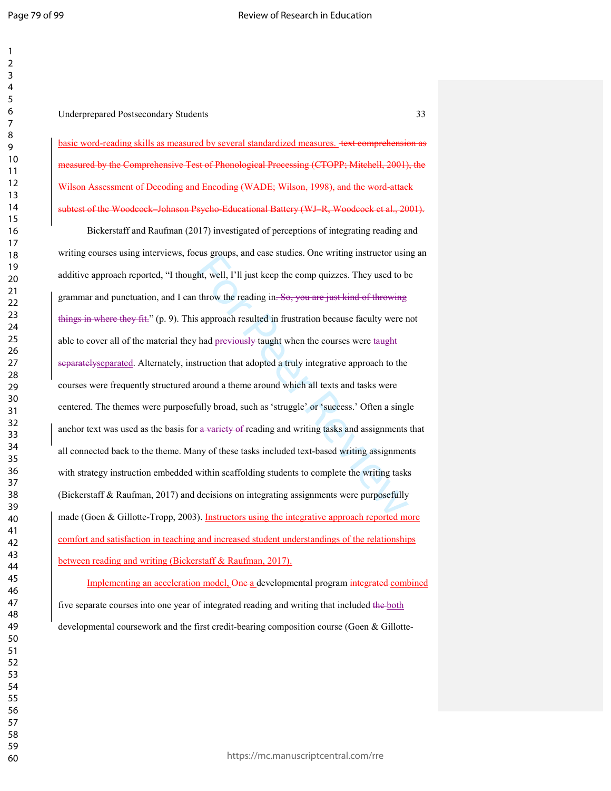Underprepared Postsecondary Students 33

basic word-reading skills as measured by several standardized measures. text comprehension as measured by the Comprehensive Test of Phonological Processing (CTOPP; Mitchell, 2001), the Wilson Assessment of Decoding and Encoding (WADE; Wilson, 1998), and the word-attack subtest of the Woodcock–Johnson Psycho-Educational Battery (WJ–R, Woodcock et al., 2001).

the groups, and case studies. One writing instructor distinguish, the set of throw the reading in-So, you are just kind of throwing<br>sapproach resulted in frustration because faculty were n<br>had <del>previously t</del>aught when the Bickerstaff and Raufman (2017) investigated of perceptions of integrating reading and writing courses using interviews, focus groups, and case studies. One writing instructor using an additive approach reported, "I thought, well, I'll just keep the comp quizzes. They used to be grammar and punctuation, and I can throw the reading in. So, you are just kind of throwing things in where they fit." (p. 9). This approach resulted in frustration because faculty were not able to cover all of the material they had previously taught when the courses were taught separatelyseparated. Alternately, instruction that adopted a truly integrative approach to the courses were frequently structured around a theme around which all texts and tasks were centered. The themes were purposefully broad, such as 'struggle' or 'success.' Often a single anchor text was used as the basis for a variety of reading and writing tasks and assignments that all connected back to the theme. Many of these tasks included text-based writing assignments with strategy instruction embedded within scaffolding students to complete the writing tasks (Bickerstaff & Raufman, 2017) and decisions on integrating assignments were purposefully made (Goen & Gillotte-Tropp, 2003). Instructors using the integrative approach reported more comfort and satisfaction in teaching and increased student understandings of the relationships between reading and writing (Bickerstaff & Raufman, 2017).

Implementing an acceleration model, One a developmental program integrated combined five separate courses into one year of integrated reading and writing that included the both developmental coursework and the first credit-bearing composition course (Goen & Gillotte-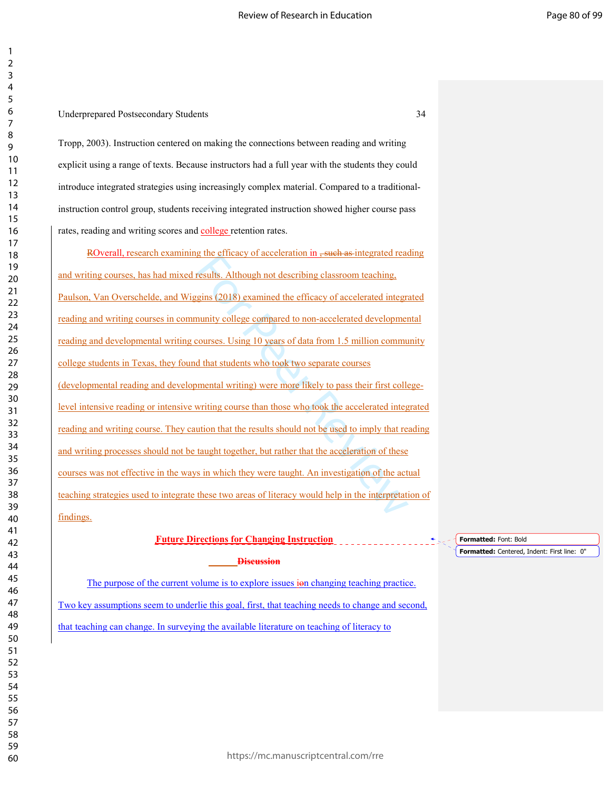### Underprepared Postsecondary Students 34

Tropp, 2003). Instruction centered on making the connections between reading and writing explicit using a range of texts. Because instructors had a full year with the students they could introduce integrated strategies using increasingly complex material. Compared to a traditionalinstruction control group, students receiving integrated instruction showed higher course pass rates, reading and writing scores and **college** retention rates.

results. Although not describing classroom teaching,<br>results. Although not describing classroom teaching,<br>gins (2018) examined the efficacy of accelerated integra-<br>munity college compared to non-accelerated developmer<br>cour ROverall, research examining the efficacy of acceleration in <del>, such as</del> integrated reading and writing courses, has had mixed results. Although not describing classroom teaching, Paulson, Van Overschelde, and Wiggins (2018) examined the efficacy of accelerated integrated reading and writing courses in community college compared to non-accelerated developmental reading and developmental writing courses. Using 10 years of data from 1.5 million community college students in Texas, they found that students who took two separate courses (developmental reading and developmental writing) were more likely to pass their first collegelevel intensive reading or intensive writing course than those who took the accelerated integrated reading and writing course. They caution that the results should not be used to imply that reading and writing processes should not be taught together, but rather that the acceleration of these courses was not effective in the ways in which they were taught. An investigation of the actual teaching strategies used to integrate these two areas of literacy would help in the interpretation of findings.

# **Future Directions for Changing Instruction**

**Discussion** 

The purpose of the current volume is to explore issues ion changing teaching practice. Two key assumptions seem to underlie this goal, first, that teaching needs to change and second,

that teaching can change. In surveying the available literature on teaching of literacy to

**Formatted:** Font: Bold

**Formatted:** Centered, Indent: First line: 0"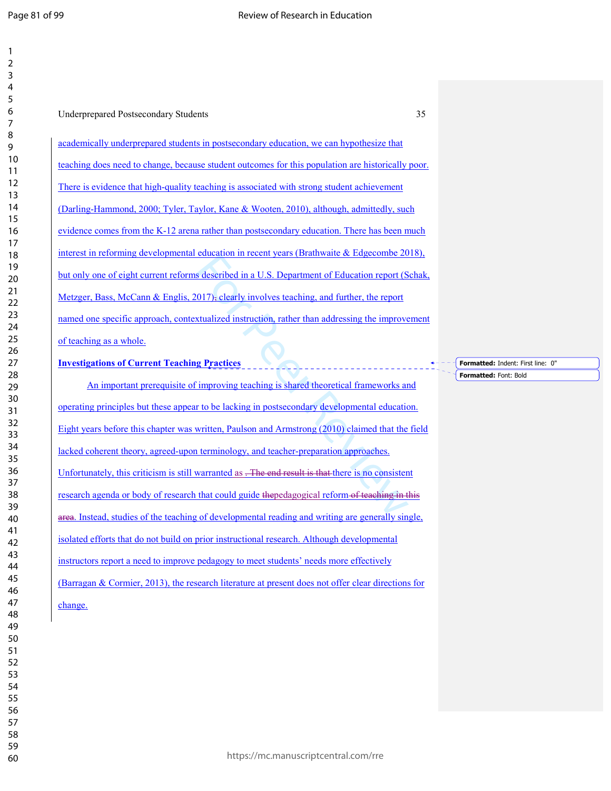|                                                     | 35<br><b>Underprepared Postsecondary Students</b>                                                   |
|-----------------------------------------------------|-----------------------------------------------------------------------------------------------------|
|                                                     | academically underprepared students in postsecondary education, we can hypothesize that             |
|                                                     | teaching does need to change, because student outcomes for this population are historically poor.   |
|                                                     | There is evidence that high-quality teaching is associated with strong student achievement          |
|                                                     | (Darling-Hammond, 2000; Tyler, Taylor, Kane & Wooten, 2010), although, admittedly, such             |
|                                                     | evidence comes from the K-12 arena rather than postsecondary education. There has been much         |
|                                                     | interest in reforming developmental education in recent years (Brathwaite & Edgecombe 2018).        |
|                                                     | but only one of eight current reforms described in a U.S. Department of Education report (Schak,    |
|                                                     | Metzger, Bass, McCann & Englis, $2017$ , clearly involves teaching, and further, the report         |
|                                                     | named one specific approach, contextualized instruction, rather than addressing the improvement     |
| of teaching as a whole.                             |                                                                                                     |
| <b>Investigations of Current Teaching Practices</b> |                                                                                                     |
|                                                     | An important prerequisite of improving teaching is shared theoretical frameworks and                |
|                                                     | operating principles but these appear to be lacking in postsecondary developmental education.       |
|                                                     | Eight years before this chapter was written, Paulson and Armstrong (2010) claimed that the field    |
|                                                     | lacked coherent theory, agreed-upon terminology, and teacher-preparation approaches.                |
|                                                     | Unfortunately, this criticism is still warranted as . The end result is that there is no consistent |
|                                                     | research agenda or body of research that could guide the pedagogical reform of teaching in this     |
|                                                     | area. Instead, studies of the teaching of developmental reading and writing are generally single,   |
|                                                     |                                                                                                     |
|                                                     | isolated efforts that do not build on prior instructional research. Although developmental          |

**Formatted:** Indent: First line: 0" **Formatted:** Font: Bold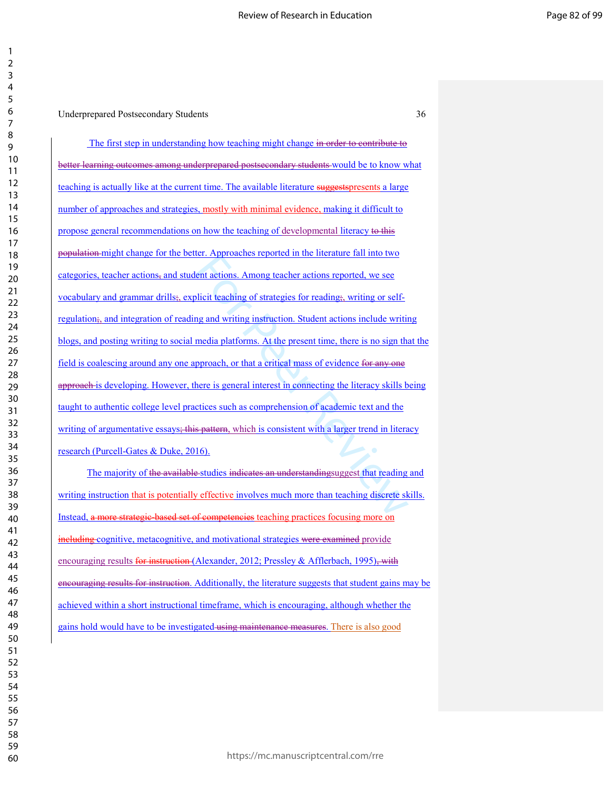Underprepared Postsecondary Students 36

Example 1 and more tractational into the see<br>the actions. Among teacher actions reported, we see<br>licit teaching of strategies for readings, writing or self-<br>ng and writing instruction. Student actions include writin<br>media The first step in understanding how teaching might change in order to contribute to better learning outcomes among underprepared postsecondary students would be to know what teaching is actually like at the current time. The available literature suggestspresents a large number of approaches and strategies, mostly with minimal evidence, making it difficult to propose general recommendations on how the teaching of developmental literacy to this population might change for the better. Approaches reported in the literature fall into two categories, teacher actions, and student actions. Among teacher actions reported, we see vocabulary and grammar drills;, explicit teaching of strategies for reading;, writing or selfregulation;, and integration of reading and writing instruction. Student actions include writing blogs, and posting writing to social media platforms. At the present time, there is no sign that the field is coalescing around any one approach, or that a critical mass of evidence for any one approach is developing. However, there is general interest in connecting the literacy skills being taught to authentic college level practices such as comprehension of academic text and the writing of argumentative essays; this pattern, which is consistent with a larger trend in literacy research (Purcell-Gates & Duke, 2016).

The majority of the available studies indicates an understandingsuggest that reading and writing instruction that is potentially effective involves much more than teaching discrete skills. Instead, a more strategic-based set of competencies teaching practices focusing more on including cognitive, metacognitive, and motivational strategies were examined provide encouraging results for instruction (Alexander, 2012; Pressley & Afflerbach, 1995), with encouraging results for instruction. Additionally, the literature suggests that student gains may be achieved within a short instructional timeframe, which is encouraging, although whether the gains hold would have to be investigated using maintenance measures. There is also good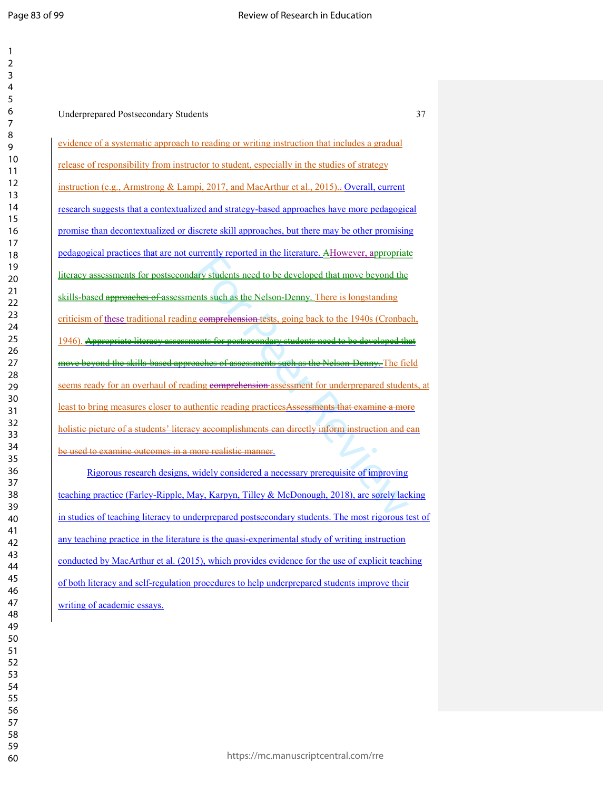| 1              |                                                                                                         |
|----------------|---------------------------------------------------------------------------------------------------------|
| $\overline{2}$ |                                                                                                         |
| 3              |                                                                                                         |
| 4              |                                                                                                         |
| 5              |                                                                                                         |
| 6              | 37<br><b>Underprepared Postsecondary Students</b>                                                       |
| 7              |                                                                                                         |
| 8              |                                                                                                         |
| 9              | evidence of a systematic approach to reading or writing instruction that includes a gradual             |
| 10             |                                                                                                         |
| 11             | release of responsibility from instructor to student, especially in the studies of strategy             |
| 12             | instruction (e.g., Armstrong & Lampi, 2017, and MacArthur et al., 2015).-Overall, current               |
| 13             |                                                                                                         |
| 14             | research suggests that a contextualized and strategy-based approaches have more pedagogical             |
| 15             |                                                                                                         |
| 16             | promise than decontextualized or discrete skill approaches, but there may be other promising            |
| 17             |                                                                                                         |
| 18             | pedagogical practices that are not currently reported in the literature. AHowever, appropriate          |
| 19             |                                                                                                         |
| 20             | literacy assessments for postsecondary students need to be developed that move beyond the               |
| 21             | skills-based approaches of assessments such as the Nelson-Denny. There is longstanding                  |
| 22             |                                                                                                         |
| 23             | criticism of these traditional reading comprehension tests, going back to the 1940s (Cronbach,          |
| 24             |                                                                                                         |
| 25             | literacy assessments for postsecondary students need to be developed that<br>1946). <del>Appropri</del> |
| 26             |                                                                                                         |
| 27             | move beyond the skills-based approaches of assessments such as the Nelson-Denny. The field              |
| 28             | seems ready for an overhaul of reading comprehension assessment for underprepared students, at          |
| 29             |                                                                                                         |
| 30<br>31       | least to bring measures closer to authentic reading practices Assessments that examine a more           |
| 32             |                                                                                                         |
| 33             | holistic picture of a students' literacy accomplishments can directly inform instruction and can        |
| 34             |                                                                                                         |
|                |                                                                                                         |
|                | be used to examine outcomes in a more realistic manner.<br>$\bullet$                                    |
| 35             |                                                                                                         |
| 36             | Rigorous research designs, widely considered a necessary prerequisite of improving                      |
| 37             |                                                                                                         |
| 38             | teaching practice (Farley-Ripple, May, Karpyn, Tilley & McDonough, 2018), are sorely lacking            |
| 39             | in studies of teaching literacy to underprepared postsecondary students. The most rigorous test of      |
| 40<br>41       |                                                                                                         |
| 42             | any teaching practice in the literature is the quasi-experimental study of writing instruction          |
| 43             |                                                                                                         |
| 44             | conducted by MacArthur et al. (2015), which provides evidence for the use of explicit teaching          |
| 45             |                                                                                                         |
| 46             | of both literacy and self-regulation procedures to help underprepared students improve their            |
| 47             | writing of academic essays.                                                                             |
| 48             |                                                                                                         |
| 49             |                                                                                                         |
| 50<br>51       |                                                                                                         |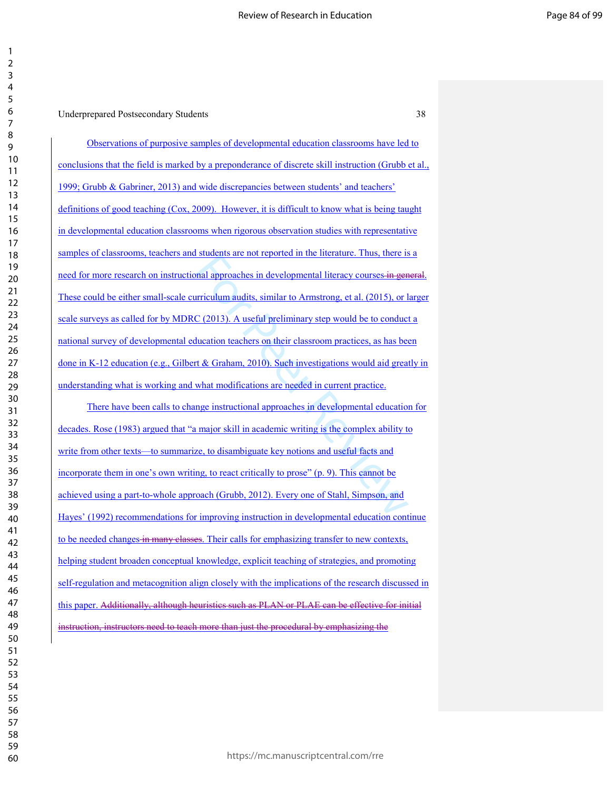mal approaches in developmental literacy courses in general approaches in developmental literacy courses in genericulum audits, similar to Armstrong, et al. (2015), or 1<br>C (2013). A useful preliminary step would be to cond Observations of purposive samples of developmental education classrooms have led to conclusions that the field is marked by a preponderance of discrete skill instruction (Grubb et al., 1999; Grubb & Gabriner, 2013) and wide discrepancies between students' and teachers' definitions of good teaching (Cox, 2009). However, it is difficult to know what is being taught in developmental education classrooms when rigorous observation studies with representative samples of classrooms, teachers and students are not reported in the literature. Thus, there is a need for more research on instructional approaches in developmental literacy courses in general. These could be either small-scale curriculum audits, similar to Armstrong, et al. (2015), or larger scale surveys as called for by MDRC (2013). A useful preliminary step would be to conduct a national survey of developmental education teachers on their classroom practices, as has been done in K-12 education (e.g., Gilbert & Graham, 2010). Such investigations would aid greatly in understanding what is working and what modifications are needed in current practice.

There have been calls to change instructional approaches in developmental education for decades. Rose (1983) argued that "a major skill in academic writing is the complex ability to write from other texts—to summarize, to disambiguate key notions and useful facts and incorporate them in one's own writing, to react critically to prose" (p. 9). This cannot be achieved using a part-to-whole approach (Grubb, 2012). Every one of Stahl, Simpson, and Hayes' (1992) recommendations for improving instruction in developmental education continue to be needed changes in many classes. Their calls for emphasizing transfer to new contexts, helping student broaden conceptual knowledge, explicit teaching of strategies, and promoting self-regulation and metacognition align closely with the implications of the research discussed in this paper. Additionally, although heuristics such as PLAN or PLAE can be effective for initial instruction, instructors need to teach more than just the procedural by emphasizing the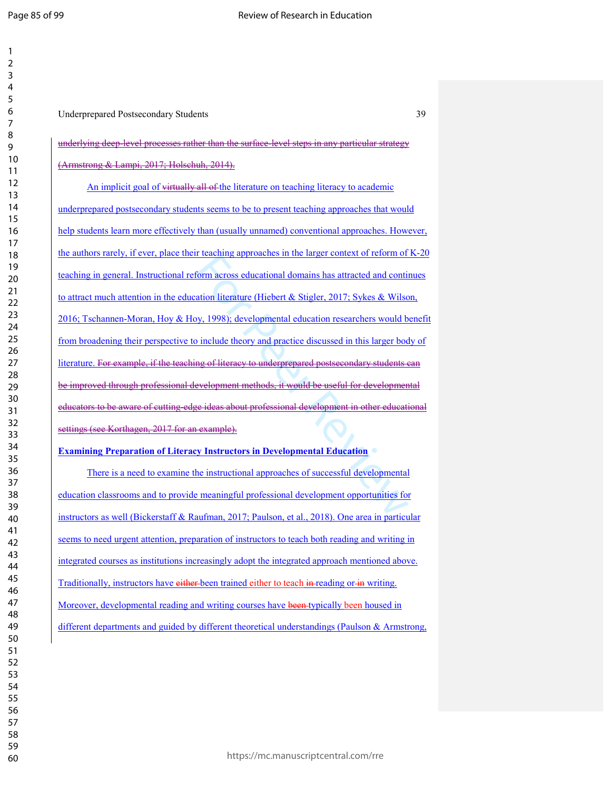$\mathbf{1}$  $\overline{2}$  $\mathsf 3$  $\overline{4}$  $\boldsymbol{6}$  $\overline{7}$  $\,8\,$ 

| <b>Underprepared Postsecondary Students</b>                                                          |
|------------------------------------------------------------------------------------------------------|
| underlying deep level processes rather than the surface level steps in any particular strategy       |
| (Armstrong & Lampi, 2017; Holschuh, 2014).                                                           |
| An implicit goal of virtually all of the literature on teaching literacy to academic                 |
| underprepared postsecondary students seems to be to present teaching approaches that would           |
| help students learn more effectively than (usually unnamed) conventional approaches. However,        |
| the authors rarely, if ever, place their teaching approaches in the larger context of reform of K-20 |
| teaching in general. Instructional reform across educational domains has attracted and continues     |
| to attract much attention in the education literature (Hiebert & Stigler, 2017; Sykes & Wilson,      |
| 2016; Tschannen-Moran, Hoy & Hoy, 1998); developmental education researchers would benefit           |
| from broadening their perspective to include theory and practice discussed in this larger body of    |
| literature. For example, if the teaching of literacy to underprepared postsecondary students can     |
| be improved through professional development methods, it would be useful for developmental           |
| educators to be aware of cutting edge ideas about professional development in other educational      |
| settings (see Korthagen, 2017 for an example).                                                       |
| <b>Examining Preparation of Literacy Instructors in Developmental Education</b>                      |
| There is a need to examine the instructional approaches of successful developmental                  |
| education classrooms and to provide meaningful professional development opportunities for            |
| instructors as well (Bickerstaff & Raufman, 2017; Paulson, et al., 2018). One area in particular     |
| seems to need urgent attention, preparation of instructors to teach both reading and writing in      |
| integrated courses as institutions increasingly adopt the integrated approach mentioned above.       |
| Traditionally, instructors have either been trained either to teach in reading or in writing.        |
| Moreover, developmental reading and writing courses have been-typically been housed in               |
| different departments and guided by different theoretical understandings (Paulson & Armstrong,       |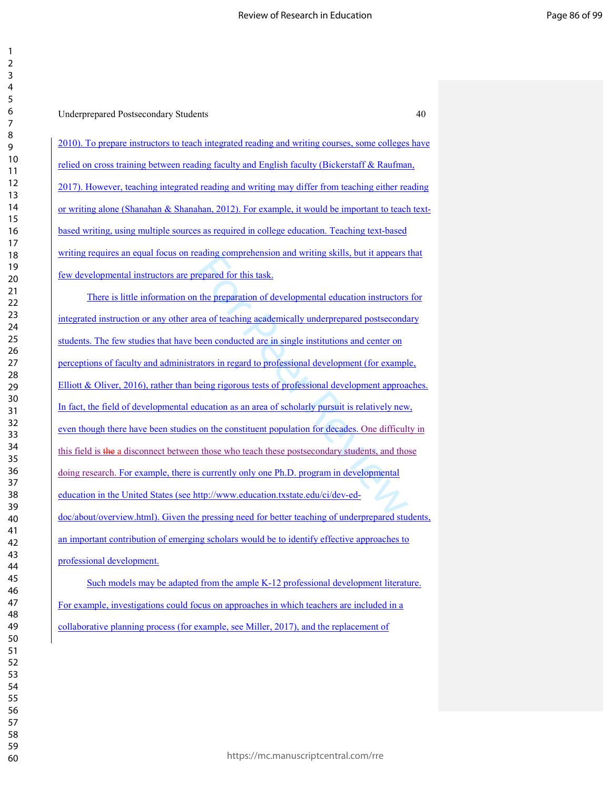| 2                            |
|------------------------------|
| ξ                            |
|                              |
| 4                            |
| 5                            |
| 6                            |
|                              |
|                              |
| 8                            |
| 9                            |
| 10                           |
| 1<br>1                       |
|                              |
| 1<br>C                       |
| 13                           |
| 1<br>4                       |
| 15                           |
|                              |
| 16                           |
| 1                            |
| 18                           |
| 19                           |
|                              |
| 20                           |
| $\overline{21}$              |
| $\overline{c}$<br>,          |
| $\overline{2}$<br>ξ          |
| $\frac{24}{5}$               |
|                              |
| 25                           |
| 26                           |
| 27                           |
|                              |
| 28                           |
| 29                           |
| 30                           |
| $\overline{\textbf{3}}$      |
|                              |
| $\overline{\mathbf{S}}$<br>, |
| $\overline{\mathbf{3}}$<br>ξ |
| 34                           |
| 35                           |
|                              |
| 36                           |
| $\overline{\mathbf{3}}$      |
| 38                           |
| J                            |
| $\frac{3}{2}$                |
| 40                           |
| 41                           |
| 42                           |
| 43                           |
|                              |
| 44                           |
| 45                           |
| 46                           |
|                              |
| 47                           |
| 48                           |
| 49                           |
| 50                           |
|                              |
| 51                           |
| 52                           |
| 53                           |
| 54                           |
|                              |
| 55                           |
| 56                           |
| 57                           |
| 58                           |
|                              |
| 59                           |

Underprepared Postsecondary Students 40

2010). To prepare instructors to teach integrated reading and writing courses, some colleges have relied on cross training between reading faculty and English faculty (Bickerstaff & Raufman, 2017). However, teaching integrated reading and writing may differ from teaching either reading or writing alone (Shanahan & Shanahan, 2012). For example, it would be important to teach textbased writing, using multiple sources as required in college education. Teaching text-based writing requires an equal focus on reading comprehension and writing skills, but it appears that few developmental instructors are prepared for this task.

Example comprenension and writing skins, out it appears if<br>the prepared for this task.<br>the preparation of developmental education instructors<br>rea of teaching academically underprepared postseconda<br>been conducted are in sin There is little information on the preparation of developmental education instructors for integrated instruction or any other area of teaching academically underprepared postsecondary students. The few studies that have been conducted are in single institutions and center on perceptions of faculty and administrators in regard to professional development (for example, Elliott & Oliver, 2016), rather than being rigorous tests of professional development approaches. In fact, the field of developmental education as an area of scholarly pursuit is relatively new, even though there have been studies on the constituent population for decades. One difficulty in this field is the a disconnect between those who teach these postsecondary students, and those doing research. For example, there is currently only one Ph.D. program in developmental education in the United States (see http://www.education.txstate.edu/ci/dev-eddoc/about/overview.html). Given the pressing need for better teaching of underprepared students, an important contribution of emerging scholars would be to identify effective approaches to professional development.

Such models may be adapted from the ample K-12 professional development literature. For example, investigations could focus on approaches in which teachers are included in a collaborative planning process (for example, see Miller, 2017), and the replacement of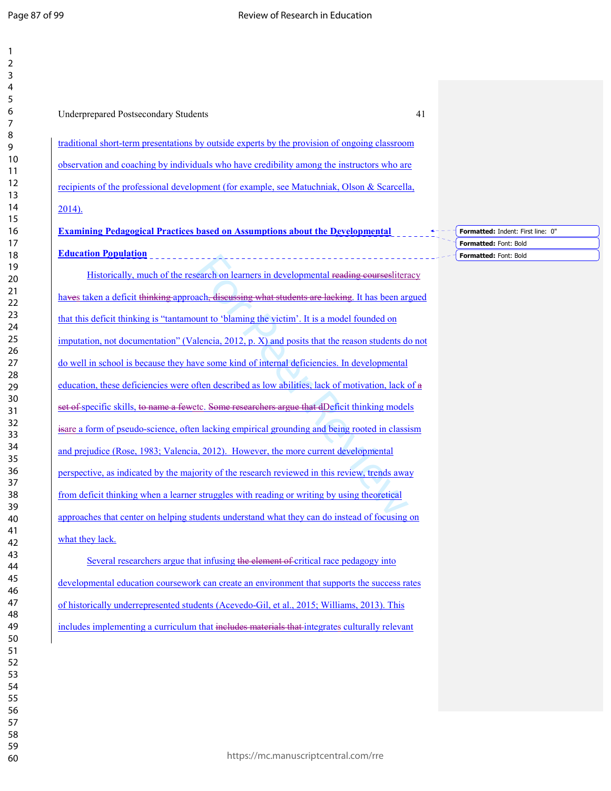| <b>Underprepared Postsecondary Students</b><br>41                                                  |                                                |
|----------------------------------------------------------------------------------------------------|------------------------------------------------|
| traditional short-term presentations by outside experts by the provision of ongoing classroom      |                                                |
| observation and coaching by individuals who have credibility among the instructors who are         |                                                |
| recipients of the professional development (for example, see Matuchniak, Olson & Scarcella,        |                                                |
| $2014$ ).                                                                                          |                                                |
| <b>Examining Pedagogical Practices based on Assumptions about the Developmental</b>                | Formatted: Indent: First line: 0"              |
| <b>Education Population</b>                                                                        | Formatted: Font: Bold<br>Formatted: Font: Bold |
| Historically, much of the research on learners in developmental reading courses literacy           |                                                |
| haves taken a deficit thinking approach, discussing what students are lacking. It has been argued  |                                                |
| that this deficit thinking is "tantamount to 'blaming the victim'. It is a model founded on        |                                                |
| imputation, not documentation" (Valencia, 2012, p. X) and posits that the reason students do not   |                                                |
| do well in school is because they have some kind of internal deficiencies. In developmental        |                                                |
| education, these deficiencies were often described as low abilities, lack of motivation, lack of a |                                                |
| set of specific skills, to name a fewetc. Some researchers argue that dDeficit thinking models     |                                                |
| is are a form of pseudo-science, often lacking empirical grounding and being rooted in classism    |                                                |
| and prejudice (Rose, 1983; Valencia, 2012). However, the more current developmental                |                                                |
| perspective, as indicated by the majority of the research reviewed in this review, trends away     |                                                |
| from deficit thinking when a learner struggles with reading or writing by using theoretical        |                                                |
| approaches that center on helping students understand what they can do instead of focusing on      |                                                |
| what they lack.                                                                                    |                                                |
| Several researchers argue that infusing the element of critical race pedagogy into                 |                                                |
| developmental education coursework can create an environment that supports the success rates       |                                                |
| of historically underrepresented students (Acevedo-Gil, et al., 2015; Williams, 2013). This        |                                                |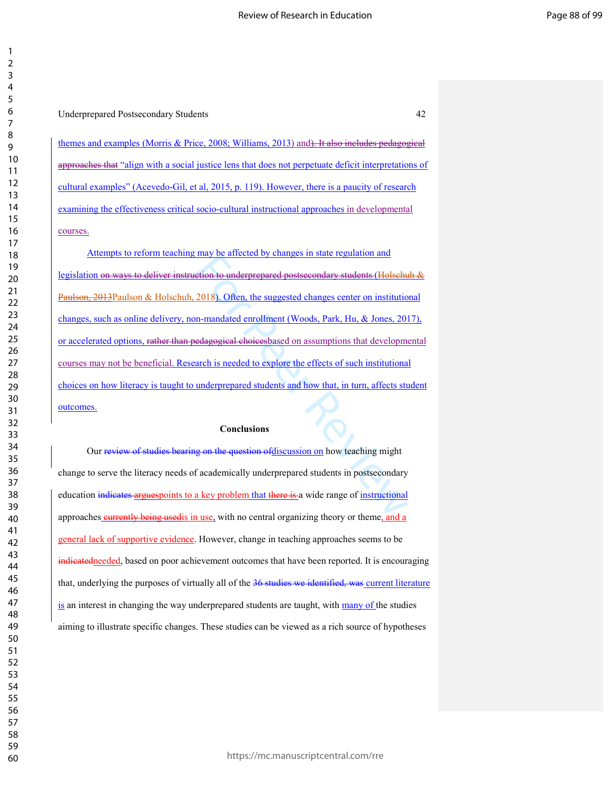themes and examples (Morris & Price, 2008; Williams, 2013) and). It also includes pedagogical approaches that "align with a social justice lens that does not perpetuate deficit interpretations of cultural examples" (Acevedo-Gil, et al, 2015, p. 119). However, there is a paucity of research examining the effectiveness critical socio-cultural instructional approaches in developmental courses.

They be antected by changes in state regulation and<br>etion to underprepared postseeondary students (Holsehu<br>2018). Often, the suggested changes center on institution<br>n-mandated enrollment (Woods, Park, Hu, & Jones, 201<br>edag Attempts to reform teaching may be affected by changes in state regulation and legislation on ways to deliver instruction to underprepared postsecondary students (Holschuh & Paulson, 2013Paulson & Holschuh, 2018). Often, the suggested changes center on institutional changes, such as online delivery, non-mandated enrollment (Woods, Park, Hu, & Jones, 2017), or accelerated options, rather than pedagogical choicesbased on assumptions that developmental courses may not be beneficial. Research is needed to explore the effects of such institutional choices on how literacy is taught to underprepared students and how that, in turn, affects student outcomes.

#### **Conclusions**

Our review of studies bearing on the question of discussion on how teaching might change to serve the literacy needs of academically underprepared students in postsecondary education indicates arguespoints to a key problem that there is a wide range of instructional approaches eurrently being used is in use, with no central organizing theory or theme, and a general lack of supportive evidence. However, change in teaching approaches seems to be indicatedneeded, based on poor achievement outcomes that have been reported. It is encouraging that, underlying the purposes of virtually all of the 36 studies we identified, was current literature is an interest in changing the way underprepared students are taught, with many of the studies aiming to illustrate specific changes. These studies can be viewed as a rich source of hypotheses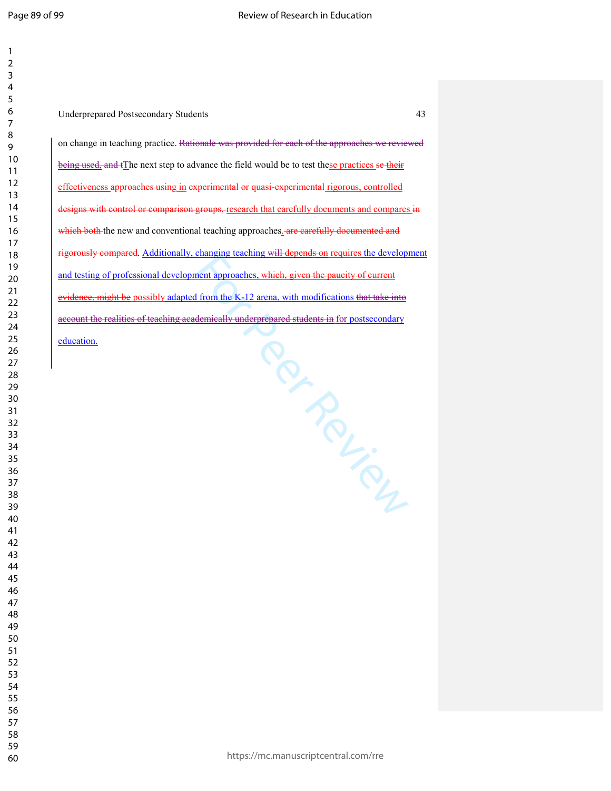| 1<br>$\overline{c}$                |               |  |
|------------------------------------|---------------|--|
| 3<br>4                             |               |  |
| 5<br>6                             | J             |  |
| $\overline{7}$<br>8<br>9           | C             |  |
| 10                                 | $\frac{1}{2}$ |  |
| 11<br>12                           |               |  |
| 13<br>14                           |               |  |
| 15<br>16                           |               |  |
| 17<br>18                           |               |  |
| 19<br>20                           | $\mathbf a$   |  |
| $\overline{21}$<br>$\overline{22}$ |               |  |
| 23<br>24                           | $\frac{a}{2}$ |  |
| 25<br>26                           |               |  |
| 27<br>28                           |               |  |
| 29                                 |               |  |
| 30<br>31                           |               |  |
| 32<br>33                           |               |  |
| 34<br>35                           |               |  |
| 36<br>37                           |               |  |
| 38<br>39                           |               |  |
| 40                                 |               |  |
| 41<br>42                           |               |  |
| 43<br>44                           |               |  |
| 45<br>46                           |               |  |
| 47<br>48                           |               |  |
| 49                                 |               |  |
| 50<br>51                           |               |  |
| 52<br>53                           |               |  |
| 54<br>55                           |               |  |
| 56<br>57                           |               |  |
| 58                                 |               |  |

 

Per Person Underprepared Postsecondary Students 43 on change in teaching practice. Rationale was provided for each of the approaches we reviewed being used, and tThe next step to advance the field would be to test these practices se their ffectiveness approaches using in experimental or quasi-experimental rigorous, controlled lesigns with control or comparison groups, research that carefully documents and compares in which both the new and conventional teaching approaches. **Are carefully documented and** igorously compared. Additionally, changing teaching will depends on requires the development and testing of professional development approaches, which, given the paucity of current widence, might be possibly adapted from the K-12 arena, with modifications that take into account the realities of teaching academically underprepared students in for postsecondary ducation.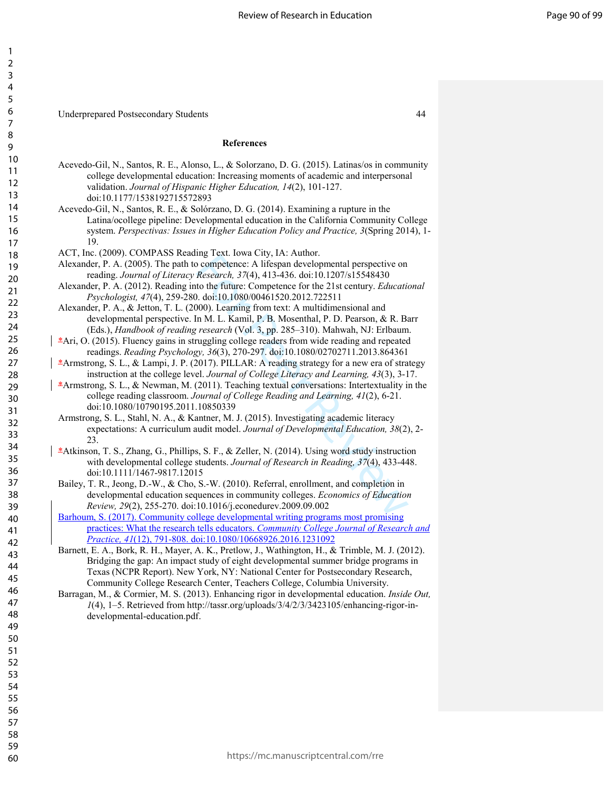Underprepared Postsecondary Students 44

### **References**

- Acevedo-Gil, N., Santos, R. E., Alonso, L., & Solorzano, D. G. (2015). Latinas/os in community college developmental education: Increasing moments of academic and interpersonal validation. *Journal of Hispanic Higher Education, 14*(2), 101-127. doi:10.1177/1538192715572893
- Acevedo-Gil, N., Santos, R. E., & Solórzano, D. G. (2014). Examining a rupture in the Latina/ocollege pipeline: Developmental education in the California Community College system. *Perspectivas: Issues in Higher Education Policy and Practice, 3*(Spring 2014), 1- 19.
- ACT, Inc. (2009). COMPASS Reading Text. Iowa City, IA: Author.
- Alexander, P. A. (2005). The path to competence: A lifespan developmental perspective on reading. *Journal of Literacy Research, 37*(4), 413-436. doi:10.1207/s15548430
- Alexander, P. A. (2012). Reading into the future: Competence for the 21st century. *Educational Psychologist, 47*(4), 259-280. doi:10.1080/00461520.2012.722511
- Alexander, P. A., & Jetton, T. L. (2000). Learning from text: A multidimensional and developmental perspective. In M. L. Kamil, P. B. Mosenthal, P. D. Pearson, & R. Barr (Eds.), *Handbook of reading research* (Vol. 3, pp. 285–310). Mahwah, NJ: Erlbaum.
- \*Ari, O. (2015). Fluency gains in struggling college readers from wide reading and repeated readings. *Reading Psychology, 36*(3), 270-297. doi:10.1080/02702711.2013.864361
- \*Armstrong, S. L., & Lampi, J. P. (2017). PILLAR: A reading strategy for a new era of strategy instruction at the college level. *Journal of College Literacy and Learning, 43*(3), 3-17.
- $*$ Armstrong, S. L., & Newman, M. (2011). Teaching textual conversations: Intertextuality in the college reading classroom. *Journal of College Reading and Learning, 41*(2), 6-21. doi:10.1080/10790195.2011.10850339
- ing Fext. Iowa City, 1A: Nation.<br>
ing competence: A lifespan developmental perspective on<br> *Research*, 37(4), 413-436. doi:10.1207/s15548430<br>
to the future: Competence for the 21st century. *Educatio*<br>
1. doi:10.1080/0046 Armstrong, S. L., Stahl, N. A., & Kantner, M. J. (2015). Investigating academic literacy expectations: A curriculum audit model. *Journal of Developmental Education, 38*(2), 2- 23.
- \*Atkinson, T. S., Zhang, G., Phillips, S. F., & Zeller, N. (2014). Using word study instruction with developmental college students. *Journal of Research in Reading, 37*(4), 433-448. doi:10.1111/1467-9817.12015
- Bailey, T. R., Jeong, D.-W., & Cho, S.-W. (2010). Referral, enrollment, and completion in developmental education sequences in community colleges. *Economics of Education Review, 29*(2), 255-270. doi:10.1016/j.econedurev.2009.09.002
- Barhoum, S. (2017). Community college developmental writing programs most promising practices: What the research tells educators. *Community College Journal of Research and Practice, 41*(12), 791-808. doi:10.1080/10668926.2016.1231092
	- Barnett, E. A., Bork, R. H., Mayer, A. K., Pretlow, J., Wathington, H., & Trimble, M. J. (2012). Bridging the gap: An impact study of eight developmental summer bridge programs in Texas (NCPR Report). New York, NY: National Center for Postsecondary Research, Community College Research Center, Teachers College, Columbia University.
- Barragan, M., & Cormier, M. S. (2013). Enhancing rigor in developmental education. *Inside Out, 1*(4), 1–5. Retrieved from http://tassr.org/uploads/3/4/2/3/3423105/enhancing-rigor-indevelopmental-education.pdf.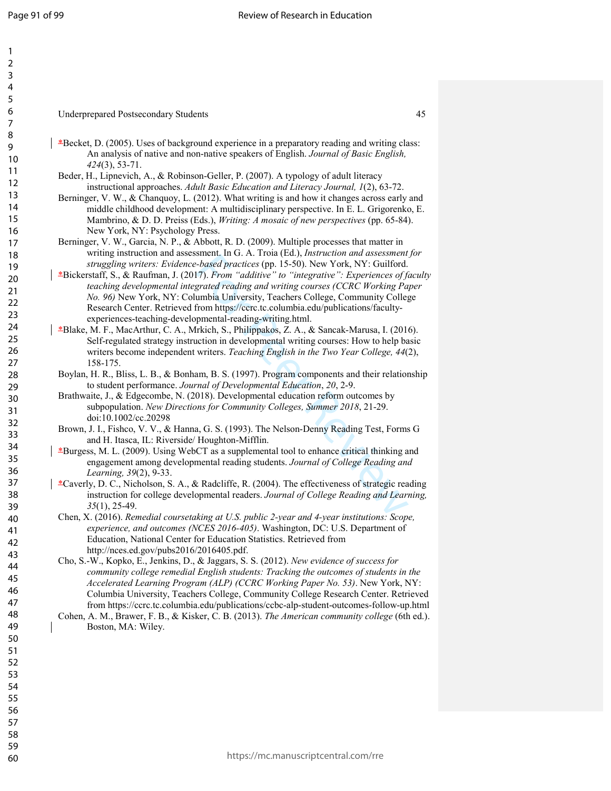| 1                            |  |
|------------------------------|--|
| ,                            |  |
| 3                            |  |
| 4                            |  |
| 5                            |  |
|                              |  |
| 6                            |  |
|                              |  |
| 8                            |  |
| )                            |  |
| 10                           |  |
| 1<br>1                       |  |
|                              |  |
| $\overline{ }$<br>1          |  |
| Ì<br>1<br>3                  |  |
| 1<br>4                       |  |
| 15                           |  |
| 16                           |  |
| 1                            |  |
|                              |  |
| 1<br>8                       |  |
| 9<br>1                       |  |
| 20                           |  |
| $\overline{21}$              |  |
| $\overline{2}$<br>,          |  |
| $\overline{2}$<br>ξ          |  |
| 24                           |  |
|                              |  |
| 25                           |  |
| $\frac{26}{5}$               |  |
| $\overline{\mathbf{r}}$      |  |
| $^{28}$                      |  |
| 29                           |  |
| 30                           |  |
|                              |  |
| $\overline{\phantom{1}}$     |  |
| $\overline{\mathbf{3}}$<br>, |  |
| $\overline{\mathbf{3}}$<br>ξ |  |
| 4<br>3                       |  |
| 35                           |  |
| 36                           |  |
|                              |  |
| 37                           |  |
| 88                           |  |
| 39                           |  |
| 40                           |  |
| 41                           |  |
| 42                           |  |
| 43                           |  |
|                              |  |
| 44                           |  |
| 45                           |  |
| 46                           |  |
| 47                           |  |
| 48                           |  |
| 49                           |  |
|                              |  |
| 50                           |  |
| 51                           |  |
| 5.<br>フ                      |  |
| 53                           |  |
| 54                           |  |
| 55                           |  |
|                              |  |
| 56                           |  |
| 57                           |  |
| 58                           |  |
| 59                           |  |

- Underprepared Postsecondary Students 45 \*<br>
\*Becket, D. (2005). Uses of background experience in a preparatory reading and writing class: An analysis of native and non-native speakers of English. *Journal of Basic English, 424*(3), 53-71.
- Beder, H., Lipnevich, A., & Robinson-Geller, P. (2007). A typology of adult literacy instructional approaches. *Adult Basic Education and Literacy Journal, 1*(2), 63-72.
- Berninger, V. W., & Chanquoy, L. (2012). What writing is and how it changes across early and middle childhood development: A multidisciplinary perspective. In E. L. Grigorenko, E. Mambrino, & D. D. Preiss (Eds.), *Writing: A mosaic of new perspectives* (pp. 65-84). New York, NY: Psychology Press.
- Berninger, V. W., Garcia, N. P., & Abbott, R. D. (2009). Multiple processes that matter in writing instruction and assessment. In G. A. Troia (Ed.), *Instruction and assessment for struggling writers: Evidence-based practices* (pp. 15-50). New York, NY: Guilford.
- Sharehold and C.A. Hota (22.), *Instruction and assessment*, The<br>*-based practices* (pp. 15-50). New York, NY: Guilford.<br>7). *From "additive" to "integrative": Experiences of fgrated reading and writing courses (CCRC Work* \*Bickerstaff, S., & Raufman, J. (2017). *From "additive" to "integrative": Experiences of faculty teaching developmental integrated reading and writing courses (CCRC Working Paper No. 96)* New York, NY: Columbia University, Teachers College, Community College Research Center. Retrieved from https://ccrc.tc.columbia.edu/publications/facultyexperiences-teaching-developmental-reading-writing.html.
- \*Blake, M. F., MacArthur, C. A., Mrkich, S., Philippakos, Z. A., & Sancak-Marusa, I. (2016). Self-regulated strategy instruction in developmental writing courses: How to help basic writers become independent writers. *Teaching English in the Two Year College, 44*(2), 158-175.
- Boylan, H. R., Bliss, L. B., & Bonham, B. S. (1997). Program components and their relationship to student performance. *Journal of Developmental Education*, *20*, 2-9.
- Brathwaite, J., & Edgecombe, N. (2018). Developmental education reform outcomes by subpopulation. *New Directions for Community Colleges, Summer 2018*, 21-29. doi:10.1002/cc.20298
- Brown, J. I., Fishco, V. V., & Hanna, G. S. (1993). The Nelson-Denny Reading Test, Forms G and H. Itasca, IL: Riverside/ Houghton-Mifflin.
- \*Burgess, M. L. (2009). Using WebCT as a supplemental tool to enhance critical thinking and engagement among developmental reading students. *Journal of College Reading and Learning, 39*(2), 9-33.
- \*Caverly, D. C., Nicholson, S. A., & Radcliffe, R. (2004). The effectiveness of strategic reading instruction for college developmental readers. *Journal of College Reading and Learning, 35*(1), 25-49.
- Chen, X. (2016). *Remedial coursetaking at U.S. public 2-year and 4-year institutions: Scope, experience, and outcomes (NCES 2016-405)*. Washington, DC: U.S. Department of Education, National Center for Education Statistics. Retrieved from http://nces.ed.gov/pubs2016/2016405.pdf.
- Cho, S.-W., Kopko, E., Jenkins, D., & Jaggars, S. S. (2012). *New evidence of success for community college remedial English students: Tracking the outcomes of students in the Accelerated Learning Program (ALP) (CCRC Working Paper No. 53)*. New York, NY: Columbia University, Teachers College, Community College Research Center. Retrieved from https://ccrc.tc.columbia.edu/publications/ccbc-alp-student-outcomes-follow-up.html
- Cohen, A. M., Brawer, F. B., & Kisker, C. B. (2013). *The American community college* (6th ed.). Boston, MA: Wiley.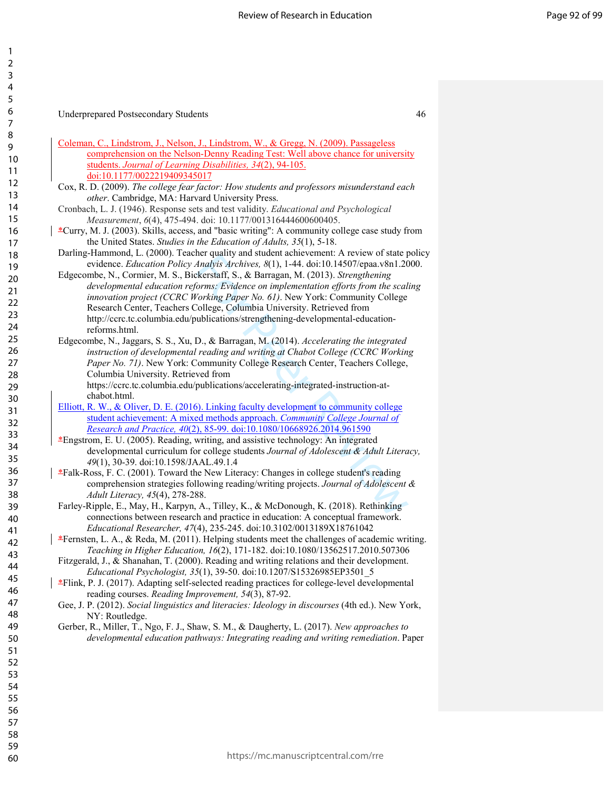1

Underprepared Postsecondary Students 46

- Coleman, C., Lindstrom, J., Nelson, J., Lindstrom, W., & Gregg, N. (2009). Passageless comprehension on the Nelson-Denny Reading Test: Well above chance for university students. *Journal of Learning Disabilities, 34*(2), 94-105. doi:10.1177/0022219409345017
- Cox, R. D. (2009). *The college fear factor: How students and professors misunderstand each other*. Cambridge, MA: Harvard University Press.

- Darling-Hammond, L. (2000). Teacher quality and student achievement: A review of state policy evidence. *Education Policy Analyis Archives, 8*(1), 1-44. doi:10.14507/epaa.v8n1.2000.
- nce quarity and student activecture. A review of state parallax<br>dnaglyis Archives, 8(1), 1-44. doi:10.14507/epaa.v8n1.20<br>ckerstaff, S., & Barragan, M. (2013). *Strengthening*<br>correst Street Content and Content of the scale Edgecombe, N., Cormier, M. S., Bickerstaff, S., & Barragan, M. (2013). *Strengthening developmental education reforms: Evidence on implementation efforts from the scaling innovation project (CCRC Working Paper No. 61)*. New York: Community College Research Center, Teachers College, Columbia University. Retrieved from http://ccrc.tc.columbia.edu/publications/strengthening-developmental-educationreforms.html.
- Edgecombe, N., Jaggars, S. S., Xu, D., & Barragan, M. (2014). *Accelerating the integrated instruction of developmental reading and writing at Chabot College (CCRC Working Paper No. 71)*. New York: Community College Research Center, Teachers College, Columbia University. Retrieved from https://ccrc.tc.columbia.edu/publications/accelerating-integrated-instruction-at-

chabot.html.

Elliott, R. W., & Oliver, D. E. (2016). Linking faculty development to community college student achievement: A mixed methods approach. *Community College Journal of Research and Practice, 40*(2), 85-99. doi:10.1080/10668926.2014.961590

\*Engstrom, E. U. (2005). Reading, writing, and assistive technology: An integrated developmental curriculum for college students *Journal of Adolescent & Adult Literacy, 49*(1), 30-39. doi:10.1598/JAAL.49.1.4

- $*Falk-Ross, F. C. (2001). Toward the New Literacy: Changes in college student's reading$ comprehension strategies following reading/writing projects. *Journal of Adolescent & Adult Literacy, 45*(4), 278-288.
- Farley-Ripple, E., May, H., Karpyn, A., Tilley, K., & McDonough, K. (2018). Rethinking connections between research and practice in education: A conceptual framework. *Educational Researcher, 47*(4), 235-245. doi:10.3102/0013189X18761042
- \*Fernsten, L. A., & Reda, M. (2011). Helping students meet the challenges of academic writing. *Teaching in Higher Education, 16*(2), 171-182. doi:10.1080/13562517.2010.507306
- Fitzgerald, J., & Shanahan, T. (2000). Reading and writing relations and their development. *Educational Psychologist, 35*(1), 39-50. doi:10.1207/S15326985EP3501\_5
- \*Flink, P. J. (2017). Adapting self-selected reading practices for college-level developmental reading courses. *Reading Improvement, 54*(3), 87-92.
- Gee, J. P. (2012). *Social linguistics and literacies: Ideology in discourses* (4th ed.). New York, NY: Routledge.
- Gerber, R., Miller, T., Ngo, F. J., Shaw, S. M., & Daugherty, L. (2017). *New approaches to developmental education pathways: Integrating reading and writing remediation*. Paper

Cronbach, L. J. (1946). Response sets and test validity. *Educational and Psychological Measurement*, *6*(4), 475-494. doi: 10.1177/001316444600600405.

<sup>\*</sup>Curry, M. J. (2003). Skills, access, and "basic writing": A community college case study from the United States. *Studies in the Education of Adults, 35*(1), 5-18.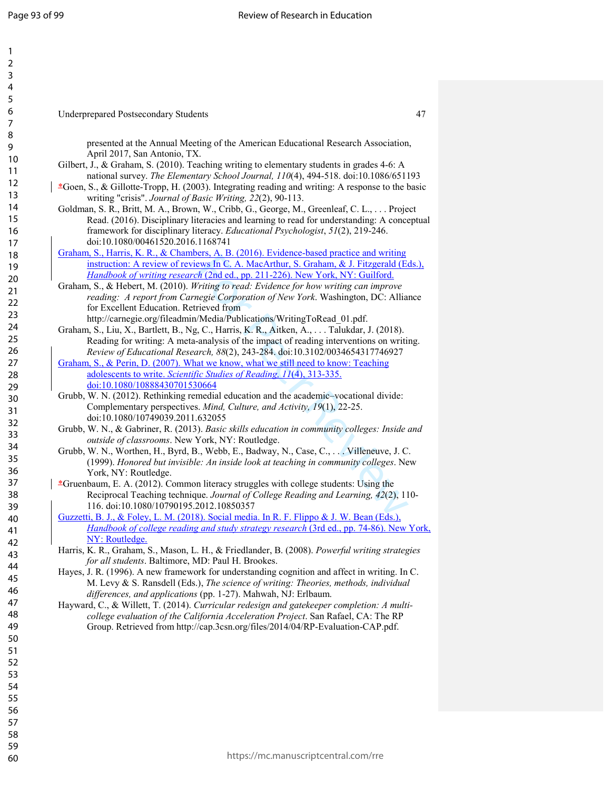| 1                              |  |
|--------------------------------|--|
| 2                              |  |
| 3                              |  |
| 4                              |  |
| 5                              |  |
| 6                              |  |
|                                |  |
| 8                              |  |
|                                |  |
| 9                              |  |
| 10                             |  |
| 1<br>$\mathbf{1}$              |  |
| $\mathbf{1}$<br>$\overline{2}$ |  |
| 3<br>1                         |  |
| 1<br>4                         |  |
| 1<br>5                         |  |
| 16                             |  |
| 1                              |  |
| 18                             |  |
| 19                             |  |
|                                |  |
| 20                             |  |
| $\overline{21}$                |  |
| $^{22}$                        |  |
| $^{23}$                        |  |
| $^{24}$                        |  |
| 25                             |  |
| 26                             |  |
| 27                             |  |
| 28                             |  |
|                                |  |
| 29                             |  |
| 30                             |  |
| $\overline{31}$                |  |
| $\overline{32}$                |  |
| 33                             |  |
| 34                             |  |
| 35                             |  |
| 36                             |  |
| 37                             |  |
| 38                             |  |
| 39                             |  |
|                                |  |
| 40                             |  |
| 41                             |  |
| 42                             |  |
| 43                             |  |
| 44                             |  |
| 45                             |  |
| 46                             |  |
| 47                             |  |
| 48                             |  |
| 49                             |  |
| 50                             |  |
|                                |  |
| 51                             |  |
| 52                             |  |
| 53                             |  |
| 54                             |  |
| 55                             |  |
| 56                             |  |
| 57                             |  |
| 58                             |  |
| 59                             |  |
|                                |  |

60

presented at the Annual Meeting of the American Educational Research Association, April 2017, San Antonio, TX. Gilbert, J., & Graham, S. (2010). Teaching writing to elementary students in grades 4-6: A national survey. *The Elementary School Journal, 110*(4), 494-518. doi:10.1086/651193

- $*$ Goen, S., & Gillotte-Tropp, H. (2003). Integrating reading and writing: A response to the basic writing "crisis". *Journal of Basic Writing, 22*(2), 90-113.
- Goldman, S. R., Britt, M. A., Brown, W., Cribb, G., George, M., Greenleaf, C. L., . . . Project Read. (2016). Disciplinary literacies and learning to read for understanding: A conceptual framework for disciplinary literacy. *Educational Psychologist*, *51*(2), 219-246. doi:10.1080/00461520.2016.1168741
- Graham, S., Harris, K. R., & Chambers, A. B. (2016). Evidence-based practice and writing instruction: A review of reviews In C. A. MacArthur, S. Graham, & J. Fitzgerald (Eds.), *Handbook of writing research* (2nd ed., pp. 211-226). New York, NY: Guilford.
- Graham, S., & Hebert, M. (2010). *Writing to read: Evidence for how writing can improve reading: A report from Carnegie Corporation of New York*. Washington, DC: Alliance for Excellent Education. Retrieved from http://carnegie.org/fileadmin/Media/Publications/WritingToRead\_01.pdf.
- **EVALUATE:** A.C. LOVIC LOVIC CUSED TRACTED (EVALUATION CONDITION AND TREVIEV AND TRISPET AND TRISPET AND TRISPET AND THE TRISPET AND THE TRISPET AND THE TRISPET AND THE TRISPET AND THE TRISPET AND THE TRISPET AND THE TRIS Graham, S., Liu, X., Bartlett, B., Ng, C., Harris, K. R., Aitken, A., . . . Talukdar, J. (2018). Reading for writing: A meta-analysis of the impact of reading interventions on writing. *Review of Educational Research, 88*(2), 243-284. doi:10.3102/0034654317746927
- Graham, S., & Perin, D. (2007). What we know, what we still need to know: Teaching adolescents to write. *Scientific Studies of Reading, 11*(4), 313-335. doi:10.1080/10888430701530664
- Grubb, W. N. (2012). Rethinking remedial education and the academic–vocational divide: Complementary perspectives. *Mind, Culture, and Activity, 19*(1), 22-25. doi:10.1080/10749039.2011.632055
- Grubb, W. N., & Gabriner, R. (2013). *Basic skills education in community colleges: Inside and outside of classrooms*. New York, NY: Routledge.
- Grubb, W. N., Worthen, H., Byrd, B., Webb, E., Badway, N., Case, C., . . . Villeneuve, J. C. (1999). *Honored but invisible: An inside look at teaching in community colleges*. New York, NY: Routledge.
- \*Gruenbaum, E. A. (2012). Common literacy struggles with college students: Using the Reciprocal Teaching technique. *Journal of College Reading and Learning, 42*(2), 110- 116. doi:10.1080/10790195.2012.10850357
- Guzzetti, B. J., & Foley, L. M. (2018). Social media. In R. F. Flippo & J. W. Bean (Eds.), *Handbook of college reading and study strategy research* (3rd ed., pp. 74-86). New York, NY: Routledge.
- Harris, K. R., Graham, S., Mason, L. H., & Friedlander, B. (2008). *Powerful writing strategies for all students*. Baltimore, MD: Paul H. Brookes.
- Hayes, J. R. (1996). A new framework for understanding cognition and affect in writing. In C. M. Levy & S. Ransdell (Eds.), *The science of writing: Theories, methods, individual differences, and applications* (pp. 1-27). Mahwah, NJ: Erlbaum.
- Hayward, C., & Willett, T. (2014). *Curricular redesign and gatekeeper completion: A multicollege evaluation of the California Acceleration Project*. San Rafael, CA: The RP Group. Retrieved from http://cap.3csn.org/files/2014/04/RP-Evaluation-CAP.pdf.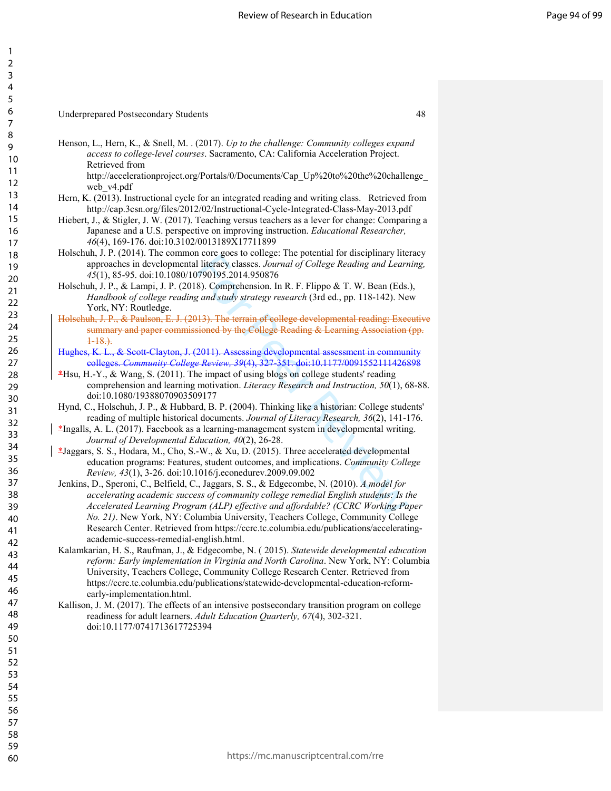# Underprepared Postsecondary Students 48

Henson, L., Hern, K., & Snell, M. . (2017). *Up to the challenge: Community colleges expand access to college-level courses*. Sacramento, CA: California Acceleration Project. Retrieved from

http://accelerationproject.org/Portals/0/Documents/Cap\_Up%20to%20the%20challenge\_ web\_v4.pdf

- Hern, K. (2013). Instructional cycle for an integrated reading and writing class. Retrieved from http://cap.3csn.org/files/2012/02/Instructional-Cycle-Integrated-Class-May-2013.pdf
- Hiebert, J., & Stigler, J. W. (2017). Teaching versus teachers as a lever for change: Comparing a Japanese and a U.S. perspective on improving instruction. *Educational Researcher, 46*(4), 169-176. doi:10.3102/0013189X17711899
- Holschuh, J. P. (2014). The common core goes to college: The potential for disciplinary literacy approaches in developmental literacy classes. *Journal of College Reading and Learning, 45*(1), 85-95. doi:10.1080/10790195.2014.950876
- Holschuh, J. P., & Lampi, J. P. (2018). Comprehension. In R. F. Flippo & T. W. Bean (Eds.), *Handbook of college reading and study strategy research* (3rd ed., pp. 118-142). New York, NY: Routledge.
- Holschuh, J. P., & Paulson, E. J. (2013). The terrain of college developmental reading: Executive summary and paper commissioned by the College Reading & Learning Association (pp.  $+18.$
- & Scott-Clayton, J. (2011). Assessing developmental assessment in community colleges. *Community College Review, 39*(4), 327-351. doi:10.1177/0091552111426898
- $*$ Hsu, H.-Y., & Wang, S. (2011). The impact of using blogs on college students' reading comprehension and learning motivation. *Literacy Research and Instruction, 50*(1), 68-88. doi:10.1080/19388070903509177
- Hynd, C., Holschuh, J. P., & Hubbard, B. P. (2004). Thinking like a historian: College students' reading of multiple historical documents. *Journal of Literacy Research, 36*(2), 141-176.
- \*Ingalls, A. L. (2017). Facebook as a learning-management system in developmental writing. *Journal of Developmental Education, 40*(2), 26-28.
- \*Jaggars, S. S., Hodara, M., Cho, S.-W., & Xu, D. (2015). Three accelerated developmental education programs: Features, student outcomes, and implications. *Community College Review, 43*(1), 3-26. doi:10.1016/j.econedurev.2009.09.002
- For Cucytos College. The potential for disclopinary incorrelated in the expect of Differency classes. Journal of College Reading and Learn<br>11 literacy classes. Journal of College Reading and Learn<br>8). Comprehension. In R. Jenkins, D., Speroni, C., Belfield, C., Jaggars, S. S., & Edgecombe, N. (2010). *A model for accelerating academic success of community college remedial English students: Is the Accelerated Learning Program (ALP) effective and affordable? (CCRC Working Paper No. 21)*. New York, NY: Columbia University, Teachers College, Community College Research Center. Retrieved from https://ccrc.tc.columbia.edu/publications/acceleratingacademic-success-remedial-english.html.
- Kalamkarian, H. S., Raufman, J., & Edgecombe, N. ( 2015). *Statewide developmental education reform: Early implementation in Virginia and North Carolina*. New York, NY: Columbia University, Teachers College, Community College Research Center. Retrieved from https://ccrc.tc.columbia.edu/publications/statewide-developmental-education-reformearly-implementation.html.
- Kallison, J. M. (2017). The effects of an intensive postsecondary transition program on college readiness for adult learners. *Adult Education Quarterly, 67*(4), 302-321. doi:10.1177/0741713617725394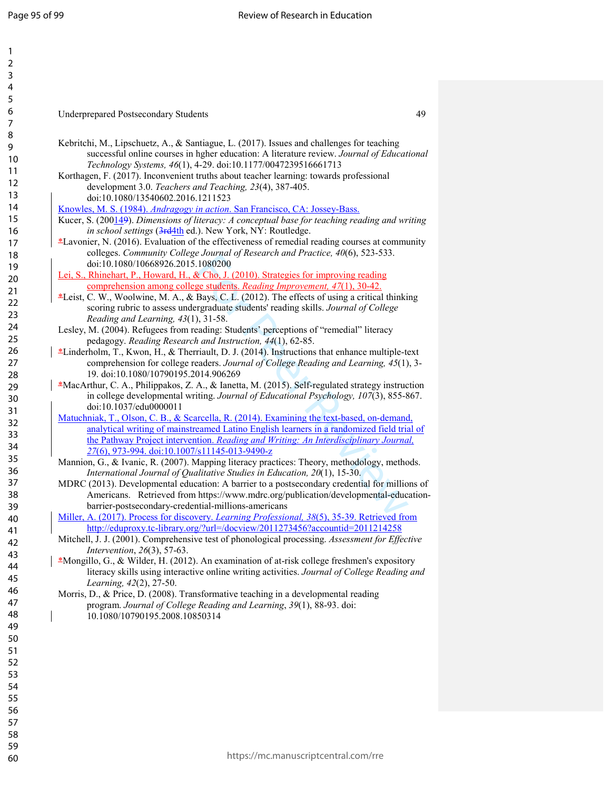| 1                            |  |
|------------------------------|--|
| ,                            |  |
| 3                            |  |
| 4                            |  |
| 5                            |  |
| 6                            |  |
|                              |  |
|                              |  |
| 8                            |  |
| €                            |  |
| 10                           |  |
| 1<br>1                       |  |
| 1<br>,                       |  |
| $\overline{1}$<br>3          |  |
| 1<br>4                       |  |
| 15                           |  |
| 16                           |  |
| 1                            |  |
| 18                           |  |
| 9<br>1                       |  |
| 20                           |  |
| $\overline{21}$              |  |
|                              |  |
| $\overline{2}$<br>,          |  |
| þ.<br>ξ                      |  |
| $\frac{2}{4}$                |  |
| 25                           |  |
| $\frac{26}{5}$               |  |
| $\overline{2}$               |  |
| $^{28}$                      |  |
| 29                           |  |
| 30                           |  |
| $\overline{\mathbf{3}}$      |  |
|                              |  |
| $\overline{\mathbf{S}}$<br>, |  |
| $\overline{\mathbf{S}}$<br>ξ |  |
| ξ<br>4                       |  |
| 35                           |  |
| 36                           |  |
| $\frac{1}{2}$                |  |
| $\overline{\textbf{8}}$      |  |
| 39                           |  |
| 40                           |  |
| 41                           |  |
| 42                           |  |
| 43                           |  |
|                              |  |
| 44                           |  |
| 45                           |  |
| 46                           |  |
| 47                           |  |
| 48                           |  |
| 49                           |  |
| 50                           |  |
| 51                           |  |
| 5<br>2                       |  |
| 53                           |  |
| 54                           |  |
|                              |  |
| 55                           |  |
| 56                           |  |
| 57                           |  |
| 58                           |  |
| 59                           |  |

60

# Underprepared Postsecondary Students 49

- Kebritchi, M., Lipschuetz, A., & Santiague, L. (2017). Issues and challenges for teaching successful online courses in hgher education: A literature review. *Journal of Educational Technology Systems, 46*(1), 4-29. doi:10.1177/0047239516661713
- Korthagen, F. (2017). Inconvenient truths about teacher learning: towards professional development 3.0. *Teachers and Teaching, 23*(4), 387-405. doi:10.1080/13540602.2016.1211523

Knowles, M. S. (1984). *Andragogy in action*. San Francisco, CA: Jossey-Bass.

- Kucer, S. (200<u>14</u>9). Dimensions of literacy: A conceptual base for teaching reading and writing in school settings (3rd4th ed.). New York, NY: Routledge.
- \*Lavonier, N. (2016). Evaluation of the effectiveness of remedial reading courses at community colleges. *Community College Journal of Research and Practice, 40*(6), 523-533. doi:10.1080/10668926.2015.1080200
- Lei, S., Rhinehart, P., Howard, H., & Cho, J. (2010). Strategies for improving reading comprehension among college students. *Reading Improvement, 47*(1), 30-42.
- \*Leist, C. W., Woolwine, M. A., & Bays, C. L. (2012). The effects of using a critical thinking scoring rubric to assess undergraduate students' reading skills. *Journal of College Reading and Learning, 43*(1), 31-58.
- Lesley, M. (2004). Refugees from reading: Students' perceptions of "remedial" literacy pedagogy. *Reading Research and Instruction, 44*(1), 62-85.
- \*Linderholm, T., Kwon, H., & Therriault, D. J. (2014). Instructions that enhance multiple-text comprehension for college readers. *Journal of College Reading and Learning, 45*(1), 3- 19. doi:10.1080/10790195.2014.906269
- \*MacArthur, C. A., Philippakos, Z. A., & Ianetta, M. (2015). Self-regulated strategy instruction in college developmental writing. *Journal of Educational Psychology, 107*(3), 855-867. doi:10.1037/edu0000011
- by Australian Constantinum and Tractace, 40(0), 325-5353.<br>
2.1080200<br>
2. Cho, J. (2010). Strategies for improving reading<br>
ge students. *Reading Improvement*, 47(1), 30-42.<br>
Bays, C. L. (2012). The effects of using a crit Matuchniak, T., Olson, C. B., & Scarcella, R. (2014). Examining the text-based, on-demand, analytical writing of mainstreamed Latino English learners in a randomized field trial of the Pathway Project intervention. *Reading and Writing: An Interdisciplinary Journal, 27*(6), 973-994. doi:10.1007/s11145-013-9490-z
- Mannion, G., & Ivanic, R. (2007). Mapping literacy practices: Theory, methodology, methods. *International Journal of Qualitative Studies in Education, 20*(1), 15-30.
- MDRC (2013). Developmental education: A barrier to a postsecondary credential for millions of Americans. Retrieved from https://www.mdrc.org/publication/developmental-educationbarrier-postsecondary-credential-millions-americans
- Miller, A. (2017). Process for discovery. *Learning Professional, 38*(5), 35-39. Retrieved from http://eduproxy.tc-library.org/?url=/docview/2011273456?accountid=2011214258
- Mitchell, J. J. (2001). Comprehensive test of phonological processing. *Assessment for Effective Intervention*, *26*(3), 57-63.
- \*Mongillo, G., & Wilder, H. (2012). An examination of at-risk college freshmen's expository literacy skills using interactive online writing activities. *Journal of College Reading and Learning, 42*(2), 27-50.
- Morris, D., & Price, D. (2008). Transformative teaching in a developmental reading program. *Journal of College Reading and Learning*, *39*(1), 88-93. doi: 10.1080/10790195.2008.10850314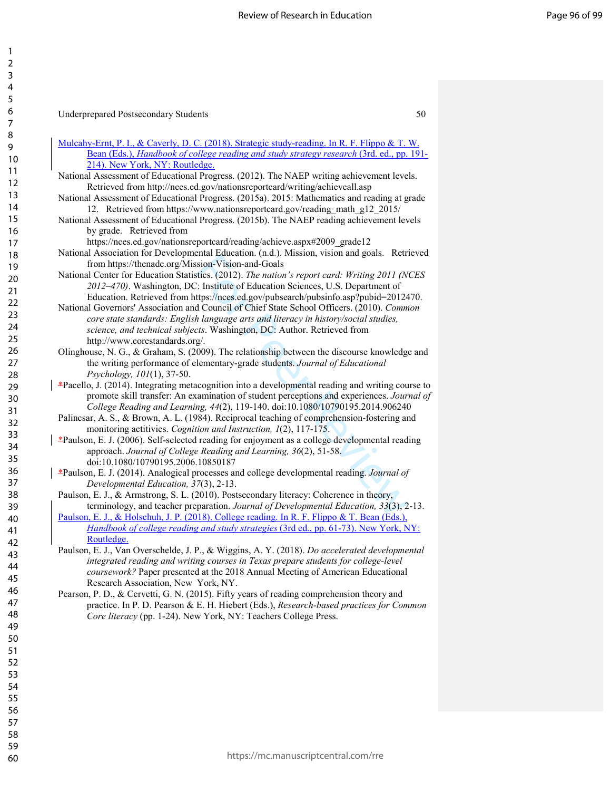| Underprepared Postsecondary Students |  |
|--------------------------------------|--|
|--------------------------------------|--|

| Mulcahy-Ernt, P. I., & Caverly, D. C. (2018). Strategic study-reading. In R. F. Flippo & T. W.    |
|---------------------------------------------------------------------------------------------------|
| Bean (Eds.), Handbook of college reading and study strategy research (3rd. ed., pp. 191-          |
| 214). New York, NY: Routledge.                                                                    |
| National Assessment of Educational Progress. (2012). The NAEP writing achievement levels.         |
| Retrieved from http://nces.ed.gov/nationsreportcard/writing/achieveall.asp                        |
| National Assessment of Educational Progress. (2015a). 2015: Mathematics and reading at grade      |
| 12. Retrieved from https://www.nationsreportcard.gov/reading_math_g12_2015/                       |
| National Assessment of Educational Progress. (2015b). The NAEP reading achievement levels         |
| by grade. Retrieved from                                                                          |
| https://nces.ed.gov/nationsreportcard/reading/achieve.aspx#2009_grade12                           |
| National Association for Developmental Education. (n.d.). Mission, vision and goals. Retrieved    |
| from https://thenade.org/Mission-Vision-and-Goals                                                 |
| National Center for Education Statistics. (2012). The nation's report card: Writing 2011 (NCES    |
| 2012-470). Washington, DC: Institute of Education Sciences, U.S. Department of                    |
| Education. Retrieved from https://nces.ed.gov/pubsearch/pubsinfo.asp?pubid=2012470.               |
| National Governors' Association and Council of Chief State School Officers. (2010). Common        |
| core state standards: English language arts and literacy in history/social studies,               |
| science, and technical subjects. Washington, DC: Author. Retrieved from                           |
| http://www.corestandards.org/.                                                                    |
| Olinghouse, N. G., & Graham, S. (2009). The relationship between the discourse knowledge and      |
| the writing performance of elementary-grade students. Journal of Educational                      |
| Psychology, 101(1), 37-50.                                                                        |
| *Pacello, J. (2014). Integrating metacognition into a developmental reading and writing course to |
| promote skill transfer: An examination of student perceptions and experiences. Journal of         |
| College Reading and Learning, 44(2), 119-140. doi:10.1080/10790195.2014.906240                    |
| Palincsar, A. S., & Brown, A. L. (1984). Reciprocal teaching of comprehension-fostering and       |
| monitoring actitivies. Cognition and Instruction, 1(2), 117-175.                                  |
| *Paulson, E. J. (2006). Self-selected reading for enjoyment as a college developmental reading    |
| approach. Journal of College Reading and Learning, 36(2), 51-58.                                  |
| doi:10.1080/10790195.2006.10850187                                                                |
| *Paulson, E. J. (2014). Analogical processes and college developmental reading. Journal of        |
| Developmental Education, 37(3), 2-13.                                                             |
| Paulson, E. J., & Armstrong, S. L. (2010). Postsecondary literacy: Coherence in theory,           |
| terminology, and teacher preparation. Journal of Developmental Education, 33(3), 2-13.            |
| Paulson, E. J., & Holschuh, J. P. (2018). College reading. In R. F. Flippo & T. Bean (Eds.).      |
| Handbook of college reading and study strategies (3rd ed., pp. 61-73). New York, NY:              |
| Routledge.                                                                                        |
| Paulson, E. J., Van Overschelde, J. P., & Wiggins, A. Y. (2018). Do accelerated developmental     |
| integrated reading and writing courses in Texas prepare students for college-level                |
| coursework? Paper presented at the 2018 Annual Meeting of American Educational                    |
| Research Association, New York, NY.                                                               |
| Pearson, P. D., & Cervetti, G. N. (2015). Fifty years of reading comprehension theory and         |
| practice. In P. D. Pearson & E. H. Hiebert (Eds.), Research-based practices for Common            |
| Core literacy (pp. 1-24). New York, NY: Teachers College Press.                                   |
|                                                                                                   |
|                                                                                                   |
|                                                                                                   |
|                                                                                                   |
|                                                                                                   |
|                                                                                                   |
|                                                                                                   |
|                                                                                                   |
|                                                                                                   |
|                                                                                                   |
|                                                                                                   |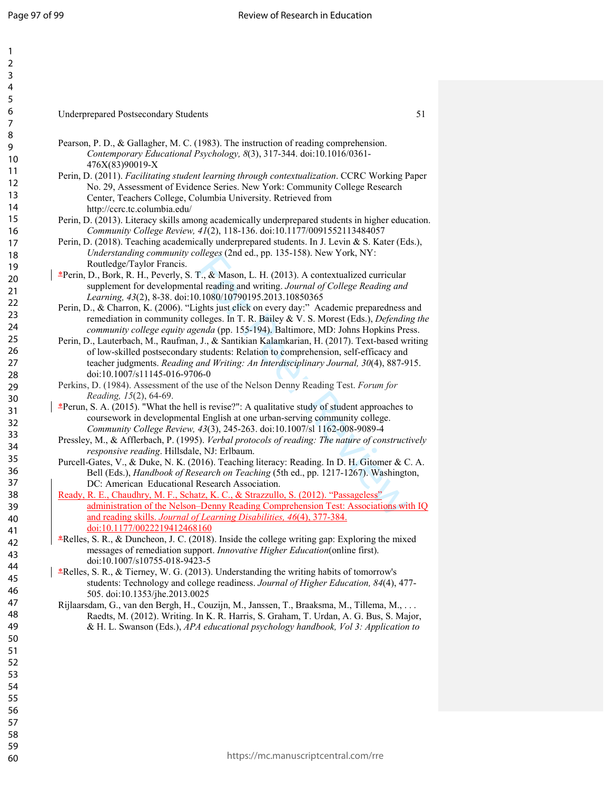| 1                        |                                                                                                                                                                                    |
|--------------------------|------------------------------------------------------------------------------------------------------------------------------------------------------------------------------------|
| $\overline{2}$           |                                                                                                                                                                                    |
| 3                        |                                                                                                                                                                                    |
| $\overline{\mathcal{A}}$ |                                                                                                                                                                                    |
| 5                        |                                                                                                                                                                                    |
| 6                        | <b>Underprepared Postsecondary Students</b><br>51                                                                                                                                  |
| $\overline{7}$           |                                                                                                                                                                                    |
| 8                        | Pearson, P. D., & Gallagher, M. C. (1983). The instruction of reading comprehension.                                                                                               |
| 9<br>10                  | Contemporary Educational Psychology, 8(3), 317-344. doi:10.1016/0361-                                                                                                              |
| 11                       | 476X(83)90019-X                                                                                                                                                                    |
| 12                       | Perin, D. (2011). Facilitating student learning through contextualization. CCRC Working Paper                                                                                      |
| 13                       | No. 29, Assessment of Evidence Series. New York: Community College Research<br>Center, Teachers College, Columbia University. Retrieved from                                       |
| 14                       | http://ccrc.tc.columbia.edu/                                                                                                                                                       |
| 15                       | Perin, D. (2013). Literacy skills among academically underprepared students in higher education.                                                                                   |
| 16                       | Community College Review, 41(2), 118-136. doi:10.1177/0091552113484057                                                                                                             |
| 17                       | Perin, D. (2018). Teaching academically underprepared students. In J. Levin & S. Kater (Eds.),                                                                                     |
| 18                       | Understanding community colleges (2nd ed., pp. 135-158). New York, NY:                                                                                                             |
| 19                       | Routledge/Taylor Francis.                                                                                                                                                          |
| 20                       | *Perin, D., Bork, R. H., Peverly, S. T., & Mason, L. H. (2013). A contextualized curricular                                                                                        |
| 21                       | supplement for developmental reading and writing. Journal of College Reading and                                                                                                   |
| 22                       | Learning, 43(2), 8-38. doi:10.1080/10790195.2013.10850365<br>Perin, D., & Charron, K. (2006). "Lights just click on every day:" Academic preparedness and                          |
| 23                       | remediation in community colleges. In T. R. Bailey & V. S. Morest (Eds.), Defending the                                                                                            |
| 24                       | community college equity agenda (pp. 155-194). Baltimore, MD: Johns Hopkins Press.                                                                                                 |
| 25                       | Perin, D., Lauterbach, M., Raufman, J., & Santikian Kalamkarian, H. (2017). Text-based writing                                                                                     |
| 26                       | of low-skilled postsecondary students. Relation to comprehension, self-efficacy and                                                                                                |
| 27                       | teacher judgments. Reading and Writing: An Interdisciplinary Journal, 30(4), 887-915.                                                                                              |
| 28                       | doi:10.1007/s11145-016-9706-0                                                                                                                                                      |
| 29                       | Perkins, D. (1984). Assessment of the use of the Nelson Denny Reading Test. Forum for                                                                                              |
| 30                       | Reading, 15(2), 64-69.<br>$E$ Perun, S. A. (2015). "What the hell is revise?": A qualitative study of student approaches to                                                        |
| 31                       | coursework in developmental English at one urban-serving community college.                                                                                                        |
| 32                       | Community College Review, 43(3), 245-263. doi:10.1007/sl 1162-008-9089-4                                                                                                           |
| 33                       | Pressley, M., & Afflerbach, P. (1995). Verbal protocols of reading: The nature of constructively                                                                                   |
| 34                       | responsive reading. Hillsdale, NJ: Erlbaum.                                                                                                                                        |
| 35                       | Purcell-Gates, V., & Duke, N. K. (2016). Teaching literacy: Reading. In D. H. Gitomer & C. A.                                                                                      |
| 36                       | Bell (Eds.), Handbook of Research on Teaching (5th ed., pp. 1217-1267). Washington,                                                                                                |
| 37                       | DC: American Educational Research Association.                                                                                                                                     |
| 38                       | Ready, R. E., Chaudhry, M. F., Schatz, K. C., & Strazzullo, S. (2012). "Passageless"                                                                                               |
| 39                       | administration of the Nelson-Denny Reading Comprehension Test: Associations with IQ<br>and reading skills. Journal of Learning Disabilities, 46(4), 377-384.                       |
| 40                       | doi:10.1177/0022219412468160                                                                                                                                                       |
| 41<br>42                 | $\text{\textsterling}$ Relles, S. R., & Duncheon, J. C. (2018). Inside the college writing gap: Exploring the mixed                                                                |
| 43                       | messages of remediation support. Innovative Higher Education(online first).                                                                                                        |
| 44                       | doi:10.1007/s10755-018-9423-5                                                                                                                                                      |
| 45                       | *Relles, S. R., & Tierney, W. G. (2013). Understanding the writing habits of tomorrow's                                                                                            |
| 46                       | students: Technology and college readiness. Journal of Higher Education, 84(4), 477-                                                                                               |
| 47                       | 505. doi:10.1353/jhe.2013.0025                                                                                                                                                     |
| 48                       | Rijlaarsdam, G., van den Bergh, H., Couzijn, M., Janssen, T., Braaksma, M., Tillema, M.,<br>Raedts, M. (2012). Writing. In K. R. Harris, S. Graham, T. Urdan, A. G. Bus, S. Major, |
| 49                       | & H. L. Swanson (Eds.), APA educational psychology handbook, Vol 3: Application to                                                                                                 |
| 50                       |                                                                                                                                                                                    |
| 51                       |                                                                                                                                                                                    |
| 52                       |                                                                                                                                                                                    |
| 53                       |                                                                                                                                                                                    |
| 54                       |                                                                                                                                                                                    |
| 55                       |                                                                                                                                                                                    |
| 56                       |                                                                                                                                                                                    |
| 57                       |                                                                                                                                                                                    |
| 58                       |                                                                                                                                                                                    |
| 59                       |                                                                                                                                                                                    |
| 60                       | https://mc.manuscriptcentral.com/rre                                                                                                                                               |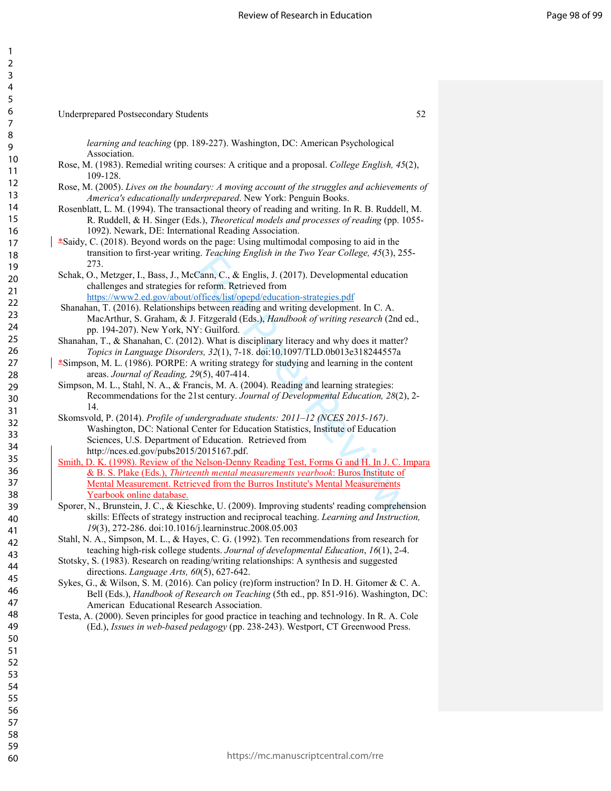| 3                                         |
|-------------------------------------------|
| 4                                         |
|                                           |
| б                                         |
|                                           |
| $\epsilon$<br>$\overline{\mathbf{3}}$     |
| 9                                         |
| 10                                        |
| $\mathbf{1}$<br>1                         |
| $\overline{c}$<br>1                       |
| 13<br>3                                   |
|                                           |
| 14                                        |
| $\mathbf{1}$                              |
| 16                                        |
| 1                                         |
| . .<br>18                                 |
| 19                                        |
| $\overline{20}$                           |
| -<br>21<br>22                             |
|                                           |
| $^{23}$                                   |
| 24                                        |
| 2!                                        |
| $\overline{26}$                           |
|                                           |
| $\overline{2}$                            |
| $\frac{1}{28}$                            |
| 29                                        |
| 30                                        |
| .<br>31                                   |
| $\overline{c}$<br>$\overline{\mathbf{3}}$ |
| 33                                        |
| 34                                        |
| 3!                                        |
| $\overline{\text{}}$                      |
| $\frac{1}{37}$                            |
| ر<br>38                                   |
| 39                                        |
|                                           |
| 40                                        |
| 4<br>1                                    |
| 4<br>,                                    |
| 4<br>ξ                                    |
| 44                                        |
| 4 <sup>1</sup>                            |
| 46                                        |
| 4                                         |
| 48                                        |
| 49<br>ϡ                                   |
| I<br>50                                   |
| $\mathbf{r}$<br>l<br>l                    |
| l<br>5<br>,                               |
| l<br>5                                    |
| ξ<br>l                                    |
| $\frac{1}{2}$                             |
| $\frac{1}{2}$<br>l                        |
| l<br>$\frac{1}{2}$                        |
| l<br>ś                                    |
| l<br>$\overline{\delta}$                  |
| $\overline{\mathbf{S}}$<br>ľ              |
| 5O<br>в                                   |

1  $\mathbf{\hat{a}}$ 

Underprepared Postsecondary Students 52

*learning and teaching* (pp. 189-227). Washington, DC: American Psychological Association. Rose, M. (1983). Remedial writing courses: A critique and a proposal. *College English, 45*(2),

- 109-128. Rose, M. (2005). *Lives on the boundary: A moving account of the struggles and achievements of America's educationally underprepared*. New York: Penguin Books.
- Rosenblatt, L. M. (1994). The transactional theory of reading and writing. In R. B. Ruddell, M. R. Ruddell, & H. Singer (Eds.), *Theoretical models and processes of reading* (pp. 1055- 1092). Newark, DE: International Reading Association.
- \*Saidy, C. (2018). Beyond words on the page: Using multimodal composing to aid in the transition to first-year writing. *Teaching English in the Two Year College, 45*(3), 255- 273.
	- Schak, O., Metzger, I., Bass, J., McCann, C., & Englis, J. (2017). Developmental education challenges and strategies for reform. Retrieved from https://www2.ed.gov/about/offices/list/opepd/education-strategies.pdf
	- Shanahan, T. (2016). Relationships between reading and writing development. In C. A. MacArthur, S. Graham, & J. Fitzgerald (Eds.), *Handbook of writing research* (2nd ed., pp. 194-207). New York, NY: Guilford.
- Shanahan, T., & Shanahan, C. (2012). What is disciplinary literacy and why does it matter? *Topics in Language Disorders, 32*(1), 7-18. doi:10.1097/TLD.0b013e318244557a
- \*Simpson, M. L. (1986). PORPE: A writing strategy for studying and learning in the content areas. *Journal of Reading, 29*(5), 407-414.
- Simpson, M. L., Stahl, N. A., & Francis, M. A. (2004). Reading and learning strategies: Recommendations for the 21st century. *Journal of Developmental Education, 28*(2), 2- 14.
	- Skomsvold, P. (2014). *Profile of undergraduate students: 2011–12 (NCES 2015-167)*. Washington, DC: National Center for Education Statistics, Institute of Education Sciences, U.S. Department of Education. Retrieved from http://nces.ed.gov/pubs2015/2015167.pdf.
- g. Featuring English in the Two Tear Cotege,  $\pm$  2013.<br>Cann, C., & Englis, J. (2017). Developmental education<br>reform. Retrieved from<br>offices/list/opepd/education-strategies.pdf<br>between reading and writing development. In Smith, D. K. (1998). Review of the Nelson-Denny Reading Test, Forms G and H. In J. C. Impara & B. S. Plake (Eds.), *Thirteenth mental measurements yearbook*: Buros Institute of Mental Measurement. Retrieved from the Burros Institute's Mental Measurements Yearbook online database.
	- Sporer, N., Brunstein, J. C., & Kieschke, U. (2009). Improving students' reading comprehension skills: Effects of strategy instruction and reciprocal teaching. *Learning and Instruction, 19*(3), 272-286. doi:10.1016/j.learninstruc.2008.05.003
- Stahl, N. A., Simpson, M. L., & Hayes, C. G. (1992). Ten recommendations from research for teaching high-risk college students. *Journal of developmental Education*, *16*(1), 2-4.
- Stotsky, S. (1983). Research on reading/writing relationships: A synthesis and suggested directions. *Language Arts, 60*(5), 627-642.
- Sykes, G., & Wilson, S. M. (2016). Can policy (re)form instruction? In D. H. Gitomer & C. A. Bell (Eds.), *Handbook of Research on Teaching* (5th ed., pp. 851-916). Washington, DC: American Educational Research Association.
- Testa, A. (2000). Seven principles for good practice in teaching and technology. In R. A. Cole (Ed.), *Issues in web-based pedagogy* (pp. 238-243). Westport, CT Greenwood Press.